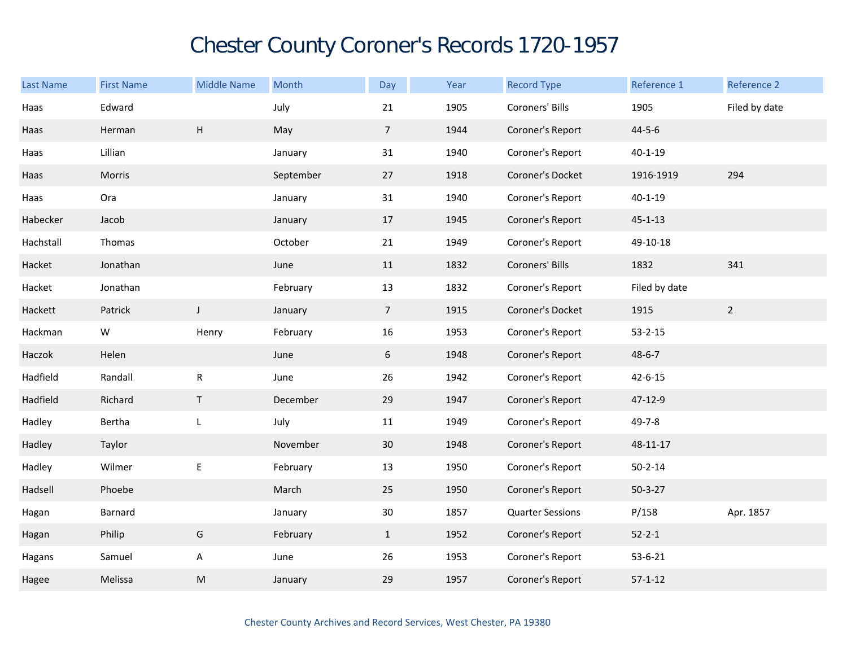## Chester County Coroner's Records 1720-1957

| Last Name | <b>First Name</b> | <b>Middle Name</b> | Month     | Day             | Year | <b>Record Type</b>      | Reference 1   | Reference 2   |
|-----------|-------------------|--------------------|-----------|-----------------|------|-------------------------|---------------|---------------|
| Haas      | Edward            |                    | July      | 21              | 1905 | Coroners' Bills         | 1905          | Filed by date |
| Haas      | Herman            | H                  | May       | 7 <sup>7</sup>  | 1944 | Coroner's Report        | $44 - 5 - 6$  |               |
| Haas      | Lillian           |                    | January   | 31              | 1940 | Coroner's Report        | $40 - 1 - 19$ |               |
| Haas      | Morris            |                    | September | 27              | 1918 | Coroner's Docket        | 1916-1919     | 294           |
| Haas      | Ora               |                    | January   | 31              | 1940 | Coroner's Report        | $40 - 1 - 19$ |               |
| Habecker  | Jacob             |                    | January   | 17              | 1945 | Coroner's Report        | $45 - 1 - 13$ |               |
| Hachstall | Thomas            |                    | October   | 21              | 1949 | Coroner's Report        | 49-10-18      |               |
| Hacket    | Jonathan          |                    | June      | 11              | 1832 | Coroners' Bills         | 1832          | 341           |
| Hacket    | Jonathan          |                    | February  | $13\,$          | 1832 | Coroner's Report        | Filed by date |               |
| Hackett   | Patrick           | $\mathsf J$        | January   | $7\overline{ }$ | 1915 | Coroner's Docket        | 1915          | $2^{\circ}$   |
| Hackman   | W                 | Henry              | February  | 16              | 1953 | Coroner's Report        | $53 - 2 - 15$ |               |
| Haczok    | Helen             |                    | June      | 6               | 1948 | Coroner's Report        | $48 - 6 - 7$  |               |
| Hadfield  | Randall           | ${\sf R}$          | June      | 26              | 1942 | Coroner's Report        | $42 - 6 - 15$ |               |
| Hadfield  | Richard           | $\mathsf T$        | December  | 29              | 1947 | Coroner's Report        | 47-12-9       |               |
| Hadley    | Bertha            | $\mathsf L$        | July      | 11              | 1949 | Coroner's Report        | 49-7-8        |               |
| Hadley    | Taylor            |                    | November  | 30              | 1948 | Coroner's Report        | 48-11-17      |               |
| Hadley    | Wilmer            | E                  | February  | 13              | 1950 | Coroner's Report        | $50 - 2 - 14$ |               |
| Hadsell   | Phoebe            |                    | March     | 25              | 1950 | Coroner's Report        | $50 - 3 - 27$ |               |
| Hagan     | Barnard           |                    | January   | 30              | 1857 | <b>Quarter Sessions</b> | P/158         | Apr. 1857     |
| Hagan     | Philip            | G                  | February  | $\mathbf{1}$    | 1952 | Coroner's Report        | $52 - 2 - 1$  |               |
| Hagans    | Samuel            | A                  | June      | 26              | 1953 | Coroner's Report        | $53 - 6 - 21$ |               |
| Hagee     | Melissa           | M                  | January   | 29              | 1957 | Coroner's Report        | $57 - 1 - 12$ |               |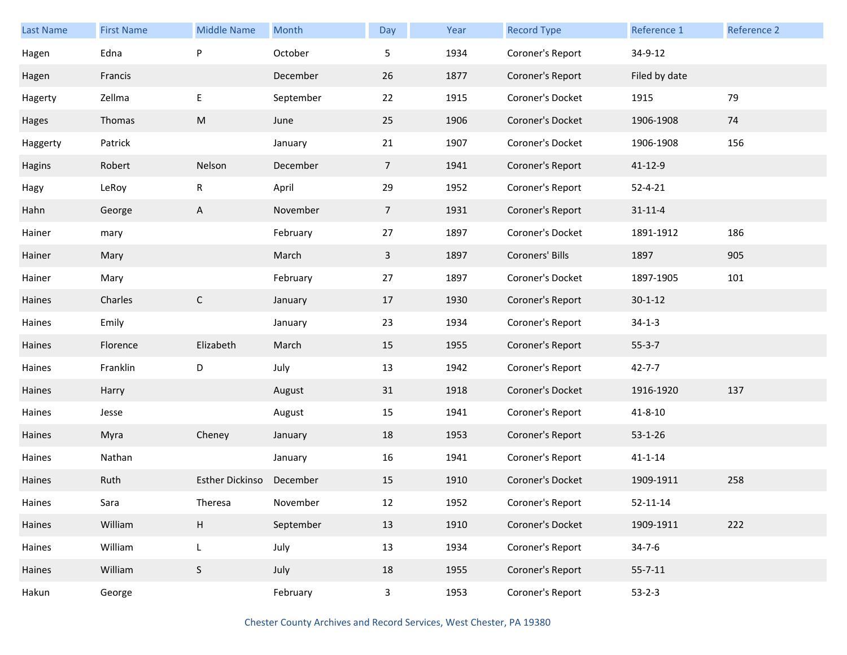| <b>Last Name</b> | <b>First Name</b> | <b>Middle Name</b> | Month     | Day            | Year | <b>Record Type</b> | Reference 1    | <b>Reference 2</b> |
|------------------|-------------------|--------------------|-----------|----------------|------|--------------------|----------------|--------------------|
| Hagen            | Edna              | P                  | October   | 5              | 1934 | Coroner's Report   | 34-9-12        |                    |
| Hagen            | Francis           |                    | December  | 26             | 1877 | Coroner's Report   | Filed by date  |                    |
| Hagerty          | Zellma            | E                  | September | 22             | 1915 | Coroner's Docket   | 1915           | 79                 |
| Hages            | Thomas            | M                  | June      | 25             | 1906 | Coroner's Docket   | 1906-1908      | 74                 |
| Haggerty         | Patrick           |                    | January   | 21             | 1907 | Coroner's Docket   | 1906-1908      | 156                |
| Hagins           | Robert            | Nelson             | December  | 7 <sup>1</sup> | 1941 | Coroner's Report   | 41-12-9        |                    |
| Hagy             | LeRoy             | R                  | April     | 29             | 1952 | Coroner's Report   | $52 - 4 - 21$  |                    |
| Hahn             | George            | A                  | November  | 7 <sup>1</sup> | 1931 | Coroner's Report   | $31 - 11 - 4$  |                    |
| Hainer           | mary              |                    | February  | 27             | 1897 | Coroner's Docket   | 1891-1912      | 186                |
| Hainer           | Mary              |                    | March     | 3              | 1897 | Coroners' Bills    | 1897           | 905                |
| Hainer           | Mary              |                    | February  | 27             | 1897 | Coroner's Docket   | 1897-1905      | 101                |
| Haines           | Charles           | $\mathsf{C}$       | January   | 17             | 1930 | Coroner's Report   | $30 - 1 - 12$  |                    |
| Haines           | Emily             |                    | January   | 23             | 1934 | Coroner's Report   | $34-1-3$       |                    |
| Haines           | Florence          | Elizabeth          | March     | 15             | 1955 | Coroner's Report   | $55 - 3 - 7$   |                    |
| Haines           | Franklin          | D                  | July      | 13             | 1942 | Coroner's Report   | $42 - 7 - 7$   |                    |
| Haines           | Harry             |                    | August    | 31             | 1918 | Coroner's Docket   | 1916-1920      | 137                |
| Haines           | Jesse             |                    | August    | 15             | 1941 | Coroner's Report   | $41 - 8 - 10$  |                    |
| Haines           | Myra              | Cheney             | January   | 18             | 1953 | Coroner's Report   | $53 - 1 - 26$  |                    |
| Haines           | Nathan            |                    | January   | 16             | 1941 | Coroner's Report   | $41 - 1 - 14$  |                    |
| Haines           | Ruth              | Esther Dickinso    | December  | 15             | 1910 | Coroner's Docket   | 1909-1911      | 258                |
| Haines           | Sara              | Theresa            | November  | 12             | 1952 | Coroner's Report   | $52 - 11 - 14$ |                    |
| Haines           | William           | H                  | September | 13             | 1910 | Coroner's Docket   | 1909-1911      | 222                |
| Haines           | William           | L                  | July      | 13             | 1934 | Coroner's Report   | $34 - 7 - 6$   |                    |
| Haines           | William           | $\sf S$            | July      | 18             | 1955 | Coroner's Report   | $55 - 7 - 11$  |                    |
| Hakun            | George            |                    | February  | $\mathbf{3}$   | 1953 | Coroner's Report   | $53 - 2 - 3$   |                    |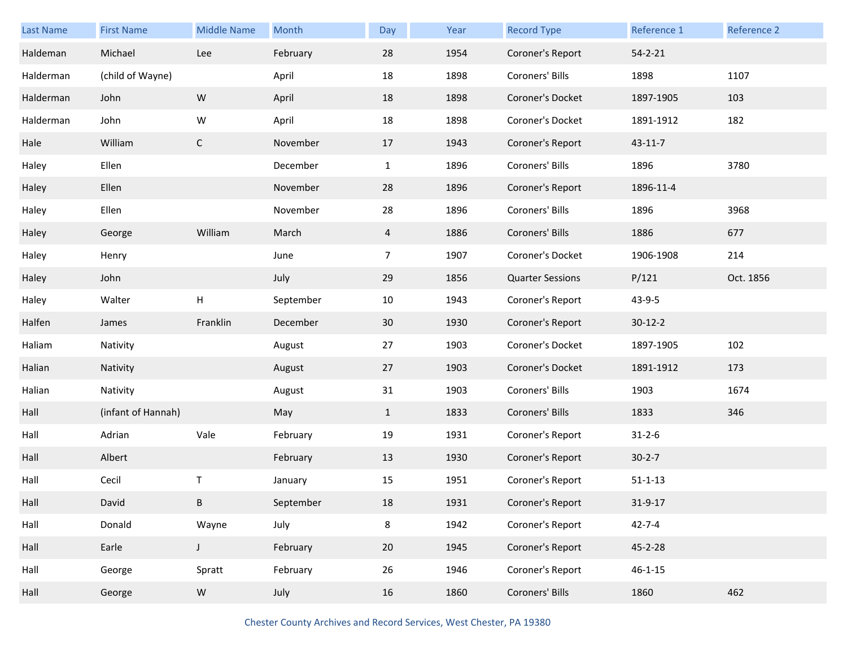| Last Name | <b>First Name</b>  | <b>Middle Name</b> | Month     | Day            | Year | <b>Record Type</b>      | Reference 1   | <b>Reference 2</b> |
|-----------|--------------------|--------------------|-----------|----------------|------|-------------------------|---------------|--------------------|
| Haldeman  | Michael            | Lee                | February  | 28             | 1954 | Coroner's Report        | $54 - 2 - 21$ |                    |
| Halderman | (child of Wayne)   |                    | April     | 18             | 1898 | Coroners' Bills         | 1898          | 1107               |
| Halderman | John               | ${\sf W}$          | April     | 18             | 1898 | Coroner's Docket        | 1897-1905     | 103                |
| Halderman | John               | W                  | April     | 18             | 1898 | Coroner's Docket        | 1891-1912     | 182                |
| Hale      | William            | $\mathsf C$        | November  | 17             | 1943 | Coroner's Report        | 43-11-7       |                    |
| Haley     | Ellen              |                    | December  | $\mathbf{1}$   | 1896 | Coroners' Bills         | 1896          | 3780               |
| Haley     | Ellen              |                    | November  | 28             | 1896 | Coroner's Report        | 1896-11-4     |                    |
| Haley     | Ellen              |                    | November  | 28             | 1896 | Coroners' Bills         | 1896          | 3968               |
| Haley     | George             | William            | March     | $\overline{4}$ | 1886 | Coroners' Bills         | 1886          | 677                |
| Haley     | Henry              |                    | June      | $\overline{7}$ | 1907 | Coroner's Docket        | 1906-1908     | 214                |
| Haley     | John               |                    | July      | 29             | 1856 | <b>Quarter Sessions</b> | P/121         | Oct. 1856          |
| Haley     | Walter             | н                  | September | 10             | 1943 | Coroner's Report        | 43-9-5        |                    |
| Halfen    | James              | Franklin           | December  | 30             | 1930 | Coroner's Report        | $30-12-2$     |                    |
| Haliam    | Nativity           |                    | August    | 27             | 1903 | Coroner's Docket        | 1897-1905     | 102                |
| Halian    | Nativity           |                    | August    | 27             | 1903 | Coroner's Docket        | 1891-1912     | 173                |
| Halian    | Nativity           |                    | August    | 31             | 1903 | Coroners' Bills         | 1903          | 1674               |
| Hall      | (infant of Hannah) |                    | May       | $\mathbf{1}$   | 1833 | Coroners' Bills         | 1833          | 346                |
| Hall      | Adrian             | Vale               | February  | 19             | 1931 | Coroner's Report        | $31 - 2 - 6$  |                    |
| Hall      | Albert             |                    | February  | 13             | 1930 | Coroner's Report        | $30 - 2 - 7$  |                    |
| Hall      | Cecil              | т                  | January   | 15             | 1951 | Coroner's Report        | $51 - 1 - 13$ |                    |
| Hall      | David              | B                  | September | 18             | 1931 | Coroner's Report        | 31-9-17       |                    |
| Hall      | Donald             | Wayne              | July      | 8              | 1942 | Coroner's Report        | $42 - 7 - 4$  |                    |
| Hall      | Earle              | $\mathsf J$        | February  | 20             | 1945 | Coroner's Report        | 45-2-28       |                    |
| Hall      | George             | Spratt             | February  | 26             | 1946 | Coroner's Report        | $46 - 1 - 15$ |                    |
| Hall      | George             | ${\sf W}$          | July      | 16             | 1860 | Coroners' Bills         | 1860          | 462                |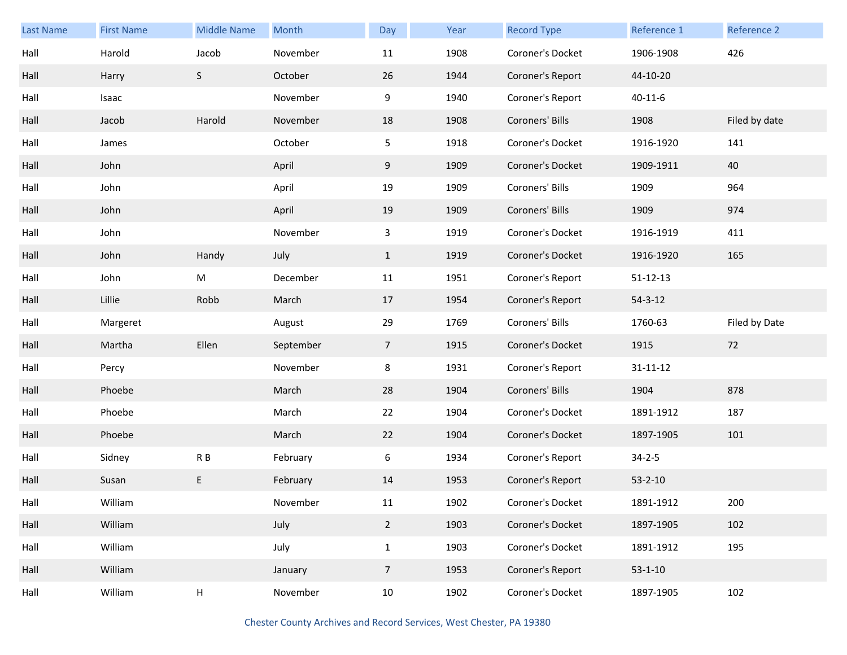| Last Name | <b>First Name</b> | <b>Middle Name</b>        | Month     | Day            | Year | <b>Record Type</b> | Reference 1    | Reference 2   |
|-----------|-------------------|---------------------------|-----------|----------------|------|--------------------|----------------|---------------|
| Hall      | Harold            | Jacob                     | November  | 11             | 1908 | Coroner's Docket   | 1906-1908      | 426           |
| Hall      | Harry             | S                         | October   | 26             | 1944 | Coroner's Report   | 44-10-20       |               |
| Hall      | Isaac             |                           | November  | 9              | 1940 | Coroner's Report   | $40 - 11 - 6$  |               |
| Hall      | Jacob             | Harold                    | November  | 18             | 1908 | Coroners' Bills    | 1908           | Filed by date |
| Hall      | James             |                           | October   | 5 <sub>1</sub> | 1918 | Coroner's Docket   | 1916-1920      | 141           |
| Hall      | John              |                           | April     | 9              | 1909 | Coroner's Docket   | 1909-1911      | 40            |
| Hall      | John              |                           | April     | 19             | 1909 | Coroners' Bills    | 1909           | 964           |
| Hall      | John              |                           | April     | 19             | 1909 | Coroners' Bills    | 1909           | 974           |
| Hall      | John              |                           | November  | 3              | 1919 | Coroner's Docket   | 1916-1919      | 411           |
| Hall      | John              | Handy                     | July      | $\mathbf{1}$   | 1919 | Coroner's Docket   | 1916-1920      | 165           |
| Hall      | John              | M                         | December  | 11             | 1951 | Coroner's Report   | $51 - 12 - 13$ |               |
| Hall      | Lillie            | Robb                      | March     | 17             | 1954 | Coroner's Report   | $54 - 3 - 12$  |               |
| Hall      | Margeret          |                           | August    | 29             | 1769 | Coroners' Bills    | 1760-63        | Filed by Date |
| Hall      | Martha            | Ellen                     | September | $\overline{7}$ | 1915 | Coroner's Docket   | 1915           | 72            |
| Hall      | Percy             |                           | November  | 8              | 1931 | Coroner's Report   | $31 - 11 - 12$ |               |
| Hall      | Phoebe            |                           | March     | 28             | 1904 | Coroners' Bills    | 1904           | 878           |
| Hall      | Phoebe            |                           | March     | 22             | 1904 | Coroner's Docket   | 1891-1912      | 187           |
| Hall      | Phoebe            |                           | March     | 22             | 1904 | Coroner's Docket   | 1897-1905      | 101           |
| Hall      | Sidney            | R B                       | February  | 6              | 1934 | Coroner's Report   | $34 - 2 - 5$   |               |
| Hall      | Susan             | E                         | February  | 14             | 1953 | Coroner's Report   | $53 - 2 - 10$  |               |
| Hall      | William           |                           | November  | 11             | 1902 | Coroner's Docket   | 1891-1912      | 200           |
| Hall      | William           |                           | July      | $2^{\circ}$    | 1903 | Coroner's Docket   | 1897-1905      | 102           |
| Hall      | William           |                           | July      | $\mathbf{1}$   | 1903 | Coroner's Docket   | 1891-1912      | 195           |
| Hall      | William           |                           | January   | $\overline{7}$ | 1953 | Coroner's Report   | $53 - 1 - 10$  |               |
| Hall      | William           | $\boldsymbol{\mathsf{H}}$ | November  | 10             | 1902 | Coroner's Docket   | 1897-1905      | 102           |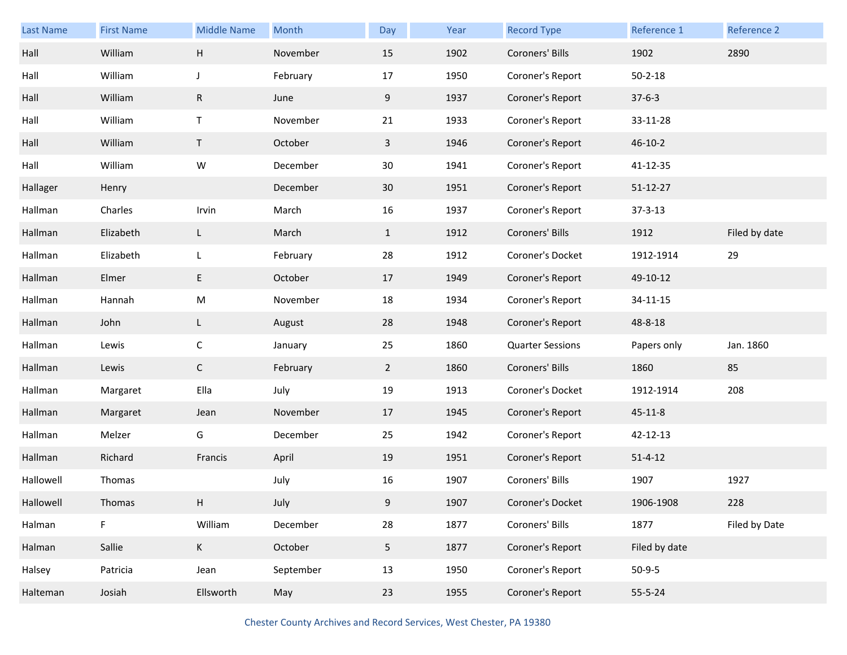| Last Name | <b>First Name</b> | <b>Middle Name</b> | Month     | Day            | Year | <b>Record Type</b>      | Reference 1    | Reference 2   |
|-----------|-------------------|--------------------|-----------|----------------|------|-------------------------|----------------|---------------|
| Hall      | William           | Н                  | November  | 15             | 1902 | Coroners' Bills         | 1902           | 2890          |
| Hall      | William           | J                  | February  | 17             | 1950 | Coroner's Report        | $50 - 2 - 18$  |               |
| Hall      | William           | ${\sf R}$          | June      | 9              | 1937 | Coroner's Report        | $37 - 6 - 3$   |               |
| Hall      | William           | $\mathsf T$        | November  | 21             | 1933 | Coroner's Report        | 33-11-28       |               |
| Hall      | William           | $\mathsf T$        | October   | $\mathbf{3}$   | 1946 | Coroner's Report        | $46 - 10 - 2$  |               |
| Hall      | William           | W                  | December  | 30             | 1941 | Coroner's Report        | 41-12-35       |               |
| Hallager  | Henry             |                    | December  | 30             | 1951 | Coroner's Report        | $51 - 12 - 27$ |               |
| Hallman   | Charles           | Irvin              | March     | 16             | 1937 | Coroner's Report        | $37 - 3 - 13$  |               |
| Hallman   | Elizabeth         | L                  | March     | $\mathbf{1}$   | 1912 | Coroners' Bills         | 1912           | Filed by date |
| Hallman   | Elizabeth         | L                  | February  | 28             | 1912 | Coroner's Docket        | 1912-1914      | 29            |
| Hallman   | Elmer             | E                  | October   | 17             | 1949 | Coroner's Report        | 49-10-12       |               |
| Hallman   | Hannah            | M                  | November  | 18             | 1934 | Coroner's Report        | 34-11-15       |               |
| Hallman   | John              | L                  | August    | 28             | 1948 | Coroner's Report        | 48-8-18        |               |
| Hallman   | Lewis             | $\mathsf{C}$       | January   | 25             | 1860 | <b>Quarter Sessions</b> | Papers only    | Jan. 1860     |
| Hallman   | Lewis             | $\mathsf C$        | February  | $2^{\circ}$    | 1860 | Coroners' Bills         | 1860           | 85            |
| Hallman   | Margaret          | Ella               | July      | 19             | 1913 | Coroner's Docket        | 1912-1914      | 208           |
| Hallman   | Margaret          | Jean               | November  | 17             | 1945 | Coroner's Report        | $45 - 11 - 8$  |               |
| Hallman   | Melzer            | G                  | December  | 25             | 1942 | Coroner's Report        | 42-12-13       |               |
| Hallman   | Richard           | Francis            | April     | 19             | 1951 | Coroner's Report        | $51 - 4 - 12$  |               |
| Hallowell | Thomas            |                    | July      | 16             | 1907 | Coroners' Bills         | 1907           | 1927          |
| Hallowell | Thomas            | H                  | July      | 9              | 1907 | Coroner's Docket        | 1906-1908      | 228           |
| Halman    | F.                | William            | December  | 28             | 1877 | Coroners' Bills         | 1877           | Filed by Date |
| Halman    | Sallie            | $\mathsf K$        | October   | 5 <sub>1</sub> | 1877 | Coroner's Report        | Filed by date  |               |
| Halsey    | Patricia          | Jean               | September | 13             | 1950 | Coroner's Report        | $50-9-5$       |               |
| Halteman  | Josiah            | Ellsworth          | May       | 23             | 1955 | Coroner's Report        | 55-5-24        |               |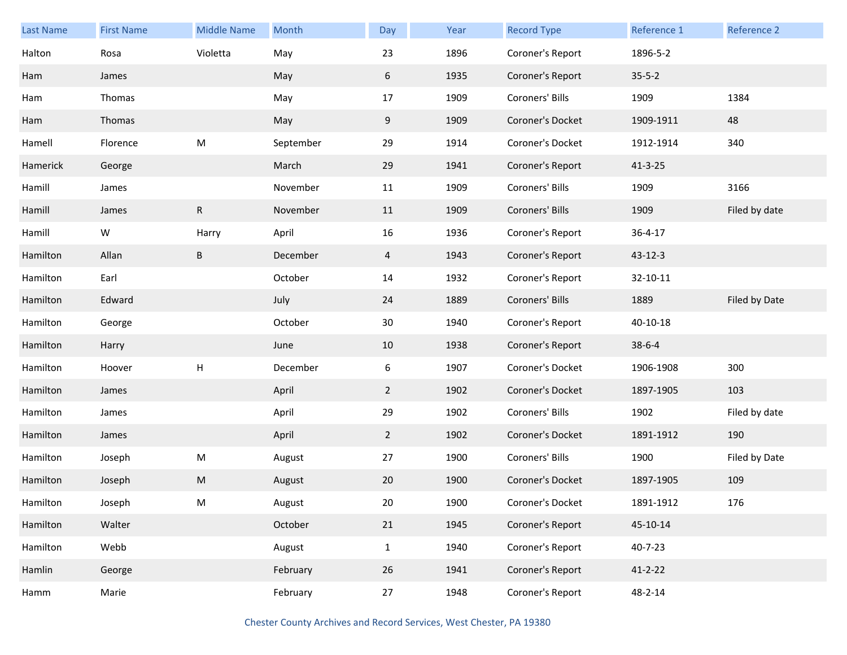| Last Name | <b>First Name</b> | <b>Middle Name</b> | Month     | Day            | Year | <b>Record Type</b> | Reference 1   | Reference 2   |
|-----------|-------------------|--------------------|-----------|----------------|------|--------------------|---------------|---------------|
| Halton    | Rosa              | Violetta           | May       | 23             | 1896 | Coroner's Report   | 1896-5-2      |               |
| Ham       | James             |                    | May       | 6              | 1935 | Coroner's Report   | $35 - 5 - 2$  |               |
| Ham       | Thomas            |                    | May       | 17             | 1909 | Coroners' Bills    | 1909          | 1384          |
| Ham       | Thomas            |                    | May       | 9              | 1909 | Coroner's Docket   | 1909-1911     | 48            |
| Hamell    | Florence          | M                  | September | 29             | 1914 | Coroner's Docket   | 1912-1914     | 340           |
| Hamerick  | George            |                    | March     | 29             | 1941 | Coroner's Report   | $41 - 3 - 25$ |               |
| Hamill    | James             |                    | November  | 11             | 1909 | Coroners' Bills    | 1909          | 3166          |
| Hamill    | James             | $\mathsf{R}$       | November  | 11             | 1909 | Coroners' Bills    | 1909          | Filed by date |
| Hamill    | W                 | Harry              | April     | 16             | 1936 | Coroner's Report   | $36 - 4 - 17$ |               |
| Hamilton  | Allan             | $\sf B$            | December  | $\overline{4}$ | 1943 | Coroner's Report   | $43 - 12 - 3$ |               |
| Hamilton  | Earl              |                    | October   | 14             | 1932 | Coroner's Report   | 32-10-11      |               |
| Hamilton  | Edward            |                    | July      | 24             | 1889 | Coroners' Bills    | 1889          | Filed by Date |
| Hamilton  | George            |                    | October   | $30\,$         | 1940 | Coroner's Report   | 40-10-18      |               |
| Hamilton  | Harry             |                    | June      | 10             | 1938 | Coroner's Report   | $38 - 6 - 4$  |               |
| Hamilton  | Hoover            | H                  | December  | 6              | 1907 | Coroner's Docket   | 1906-1908     | 300           |
| Hamilton  | James             |                    | April     | $\overline{2}$ | 1902 | Coroner's Docket   | 1897-1905     | 103           |
| Hamilton  | James             |                    | April     | 29             | 1902 | Coroners' Bills    | 1902          | Filed by date |
| Hamilton  | James             |                    | April     | $2^{\circ}$    | 1902 | Coroner's Docket   | 1891-1912     | 190           |
| Hamilton  | Joseph            | M                  | August    | 27             | 1900 | Coroners' Bills    | 1900          | Filed by Date |
| Hamilton  | Joseph            | M                  | August    | 20             | 1900 | Coroner's Docket   | 1897-1905     | 109           |
| Hamilton  | Joseph            | M                  | August    | 20             | 1900 | Coroner's Docket   | 1891-1912     | 176           |
| Hamilton  | Walter            |                    | October   | 21             | 1945 | Coroner's Report   | 45-10-14      |               |
| Hamilton  | Webb              |                    | August    | $\mathbf{1}$   | 1940 | Coroner's Report   | 40-7-23       |               |
| Hamlin    | George            |                    | February  | 26             | 1941 | Coroner's Report   | $41 - 2 - 22$ |               |
| Hamm      | Marie             |                    | February  | 27             | 1948 | Coroner's Report   | 48-2-14       |               |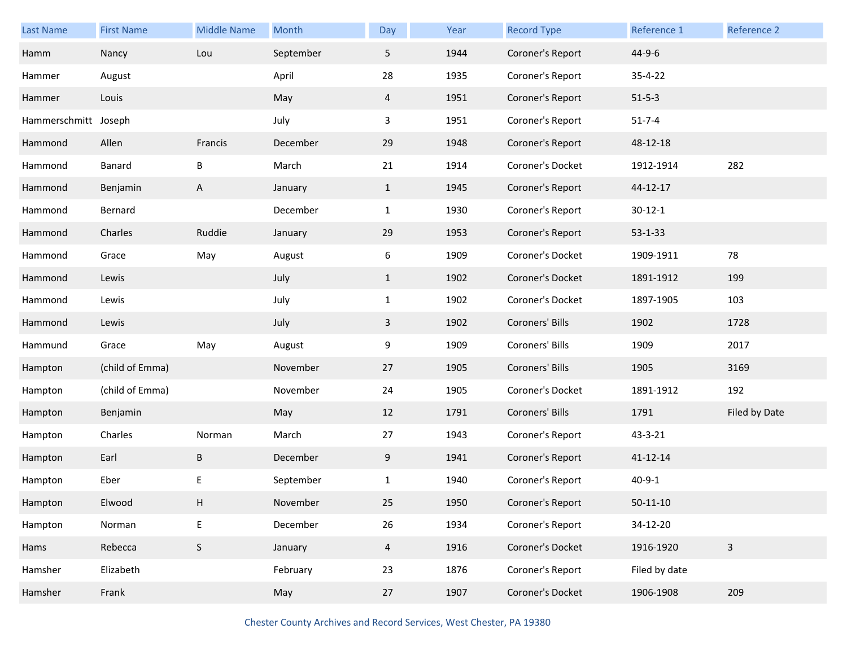| Last Name            | <b>First Name</b> | <b>Middle Name</b> | Month     | Day            | Year | <b>Record Type</b> | Reference 1    | Reference 2   |
|----------------------|-------------------|--------------------|-----------|----------------|------|--------------------|----------------|---------------|
| Hamm                 | Nancy             | Lou                | September | 5              | 1944 | Coroner's Report   | 44-9-6         |               |
| Hammer               | August            |                    | April     | 28             | 1935 | Coroner's Report   | 35-4-22        |               |
| Hammer               | Louis             |                    | May       | $\overline{4}$ | 1951 | Coroner's Report   | $51 - 5 - 3$   |               |
| Hammerschmitt Joseph |                   |                    | July      | 3              | 1951 | Coroner's Report   | $51 - 7 - 4$   |               |
| Hammond              | Allen             | Francis            | December  | 29             | 1948 | Coroner's Report   | 48-12-18       |               |
| Hammond              | Banard            | B                  | March     | 21             | 1914 | Coroner's Docket   | 1912-1914      | 282           |
| Hammond              | Benjamin          | A                  | January   | $\mathbf{1}$   | 1945 | Coroner's Report   | 44-12-17       |               |
| Hammond              | Bernard           |                    | December  | $\mathbf{1}$   | 1930 | Coroner's Report   | $30 - 12 - 1$  |               |
| Hammond              | Charles           | Ruddie             | January   | 29             | 1953 | Coroner's Report   | $53 - 1 - 33$  |               |
| Hammond              | Grace             | May                | August    | 6              | 1909 | Coroner's Docket   | 1909-1911      | 78            |
| Hammond              | Lewis             |                    | July      | $\mathbf{1}$   | 1902 | Coroner's Docket   | 1891-1912      | 199           |
| Hammond              | Lewis             |                    | July      | $\mathbf{1}$   | 1902 | Coroner's Docket   | 1897-1905      | 103           |
| Hammond              | Lewis             |                    | July      | $\mathbf{3}$   | 1902 | Coroners' Bills    | 1902           | 1728          |
| Hammund              | Grace             | May                | August    | 9              | 1909 | Coroners' Bills    | 1909           | 2017          |
| Hampton              | (child of Emma)   |                    | November  | 27             | 1905 | Coroners' Bills    | 1905           | 3169          |
| Hampton              | (child of Emma)   |                    | November  | 24             | 1905 | Coroner's Docket   | 1891-1912      | 192           |
| Hampton              | Benjamin          |                    | May       | 12             | 1791 | Coroners' Bills    | 1791           | Filed by Date |
| Hampton              | Charles           | Norman             | March     | 27             | 1943 | Coroner's Report   | 43-3-21        |               |
| Hampton              | Earl              | B                  | December  | 9              | 1941 | Coroner's Report   | 41-12-14       |               |
| Hampton              | Eber              | E                  | September | $\mathbf{1}$   | 1940 | Coroner's Report   | $40 - 9 - 1$   |               |
| Hampton              | Elwood            | H                  | November  | 25             | 1950 | Coroner's Report   | $50 - 11 - 10$ |               |
| Hampton              | Norman            | $\mathsf E$        | December  | 26             | 1934 | Coroner's Report   | 34-12-20       |               |
| Hams                 | Rebecca           | $\mathsf S$        | January   | $\overline{4}$ | 1916 | Coroner's Docket   | 1916-1920      | $\mathbf{3}$  |
| Hamsher              | Elizabeth         |                    | February  | 23             | 1876 | Coroner's Report   | Filed by date  |               |
| Hamsher              | Frank             |                    | May       | 27             | 1907 | Coroner's Docket   | 1906-1908      | 209           |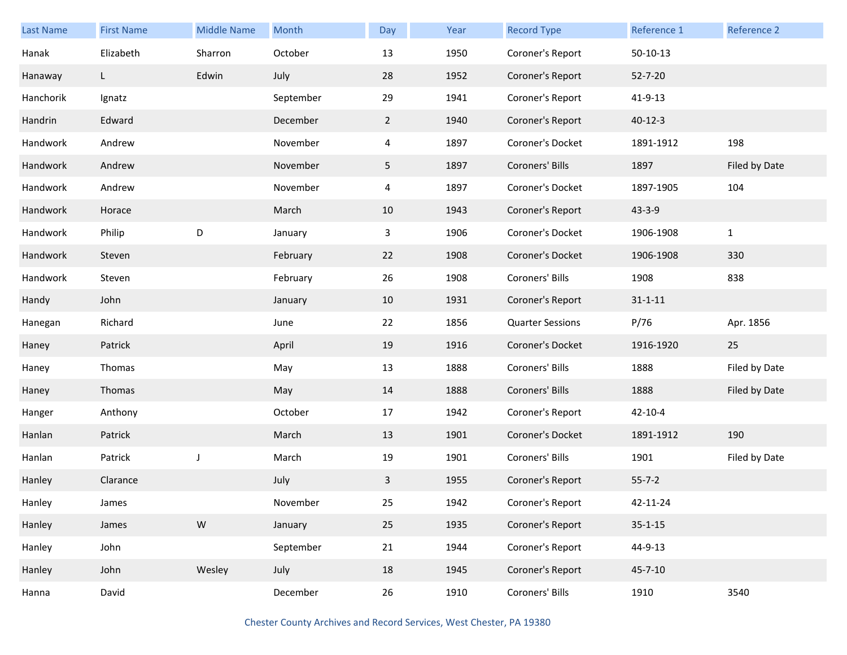| Last Name | <b>First Name</b> | <b>Middle Name</b> | Month     | Day            | Year | <b>Record Type</b>      | Reference 1   | Reference 2   |
|-----------|-------------------|--------------------|-----------|----------------|------|-------------------------|---------------|---------------|
| Hanak     | Elizabeth         | Sharron            | October   | 13             | 1950 | Coroner's Report        | $50-10-13$    |               |
| Hanaway   | L                 | Edwin              | July      | 28             | 1952 | Coroner's Report        | $52 - 7 - 20$ |               |
| Hanchorik | Ignatz            |                    | September | 29             | 1941 | Coroner's Report        | 41-9-13       |               |
| Handrin   | Edward            |                    | December  | $\overline{2}$ | 1940 | Coroner's Report        | $40 - 12 - 3$ |               |
| Handwork  | Andrew            |                    | November  | 4              | 1897 | Coroner's Docket        | 1891-1912     | 198           |
| Handwork  | Andrew            |                    | November  | 5              | 1897 | Coroners' Bills         | 1897          | Filed by Date |
| Handwork  | Andrew            |                    | November  | 4              | 1897 | Coroner's Docket        | 1897-1905     | 104           |
| Handwork  | Horace            |                    | March     | 10             | 1943 | Coroner's Report        | $43 - 3 - 9$  |               |
| Handwork  | Philip            | $\mathsf D$        | January   | 3              | 1906 | Coroner's Docket        | 1906-1908     | $\mathbf{1}$  |
| Handwork  | Steven            |                    | February  | 22             | 1908 | Coroner's Docket        | 1906-1908     | 330           |
| Handwork  | Steven            |                    | February  | 26             | 1908 | Coroners' Bills         | 1908          | 838           |
| Handy     | John              |                    | January   | 10             | 1931 | Coroner's Report        | $31 - 1 - 11$ |               |
| Hanegan   | Richard           |                    | June      | 22             | 1856 | <b>Quarter Sessions</b> | P/76          | Apr. 1856     |
| Haney     | Patrick           |                    | April     | 19             | 1916 | Coroner's Docket        | 1916-1920     | 25            |
| Haney     | Thomas            |                    | May       | 13             | 1888 | Coroners' Bills         | 1888          | Filed by Date |
| Haney     | Thomas            |                    | May       | 14             | 1888 | Coroners' Bills         | 1888          | Filed by Date |
| Hanger    | Anthony           |                    | October   | 17             | 1942 | Coroner's Report        | $42 - 10 - 4$ |               |
| Hanlan    | Patrick           |                    | March     | 13             | 1901 | Coroner's Docket        | 1891-1912     | 190           |
| Hanlan    | Patrick           | J                  | March     | 19             | 1901 | Coroners' Bills         | 1901          | Filed by Date |
| Hanley    | Clarance          |                    | July      | 3              | 1955 | Coroner's Report        | $55 - 7 - 2$  |               |
| Hanley    | James             |                    | November  | 25             | 1942 | Coroner's Report        | 42-11-24      |               |
| Hanley    | James             | ${\sf W}$          | January   | 25             | 1935 | Coroner's Report        | $35 - 1 - 15$ |               |
| Hanley    | John              |                    | September | 21             | 1944 | Coroner's Report        | 44-9-13       |               |
| Hanley    | John              | Wesley             | July      | 18             | 1945 | Coroner's Report        | $45 - 7 - 10$ |               |
| Hanna     | David             |                    | December  | 26             | 1910 | Coroners' Bills         | 1910          | 3540          |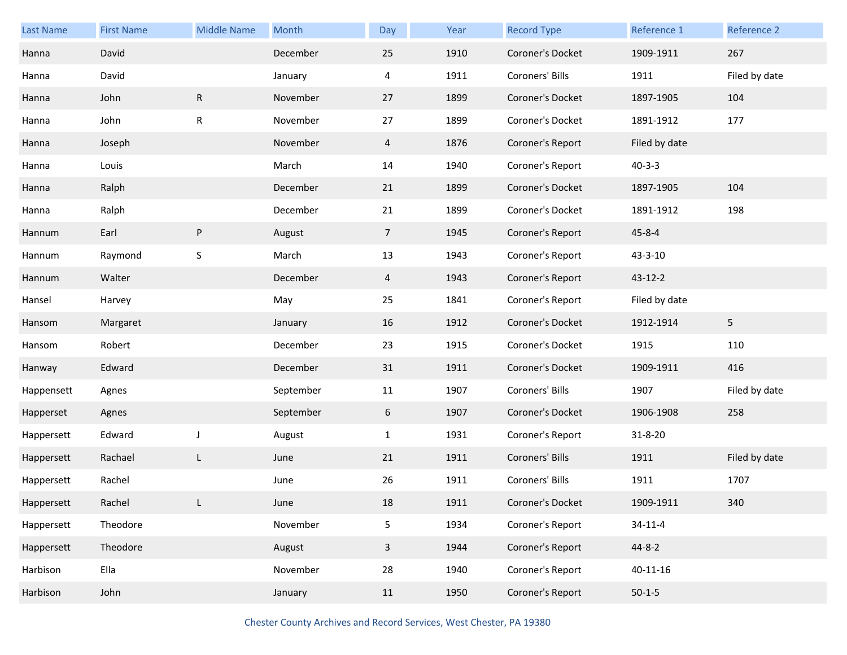| Last Name  | <b>First Name</b> | <b>Middle Name</b> | Month     | Day            | Year | <b>Record Type</b> | Reference 1    | Reference 2    |
|------------|-------------------|--------------------|-----------|----------------|------|--------------------|----------------|----------------|
| Hanna      | David             |                    | December  | 25             | 1910 | Coroner's Docket   | 1909-1911      | 267            |
| Hanna      | David             |                    | January   | 4              | 1911 | Coroners' Bills    | 1911           | Filed by date  |
| Hanna      | John              | ${\sf R}$          | November  | 27             | 1899 | Coroner's Docket   | 1897-1905      | 104            |
| Hanna      | John              | R                  | November  | 27             | 1899 | Coroner's Docket   | 1891-1912      | 177            |
| Hanna      | Joseph            |                    | November  | $\overline{4}$ | 1876 | Coroner's Report   | Filed by date  |                |
| Hanna      | Louis             |                    | March     | 14             | 1940 | Coroner's Report   | $40 - 3 - 3$   |                |
| Hanna      | Ralph             |                    | December  | 21             | 1899 | Coroner's Docket   | 1897-1905      | 104            |
| Hanna      | Ralph             |                    | December  | 21             | 1899 | Coroner's Docket   | 1891-1912      | 198            |
| Hannum     | Earl              | ${\sf P}$          | August    | 7 <sup>7</sup> | 1945 | Coroner's Report   | $45 - 8 - 4$   |                |
| Hannum     | Raymond           | S                  | March     | 13             | 1943 | Coroner's Report   | 43-3-10        |                |
| Hannum     | Walter            |                    | December  | 4              | 1943 | Coroner's Report   | 43-12-2        |                |
| Hansel     | Harvey            |                    | May       | 25             | 1841 | Coroner's Report   | Filed by date  |                |
| Hansom     | Margaret          |                    | January   | 16             | 1912 | Coroner's Docket   | 1912-1914      | 5 <sub>5</sub> |
| Hansom     | Robert            |                    | December  | 23             | 1915 | Coroner's Docket   | 1915           | 110            |
| Hanway     | Edward            |                    | December  | 31             | 1911 | Coroner's Docket   | 1909-1911      | 416            |
| Happensett | Agnes             |                    | September | 11             | 1907 | Coroners' Bills    | 1907           | Filed by date  |
| Happerset  | Agnes             |                    | September | 6              | 1907 | Coroner's Docket   | 1906-1908      | 258            |
| Happersett | Edward            | J                  | August    | $\mathbf{1}$   | 1931 | Coroner's Report   | 31-8-20        |                |
| Happersett | Rachael           | L                  | June      | 21             | 1911 | Coroners' Bills    | 1911           | Filed by date  |
| Happersett | Rachel            |                    | June      | 26             | 1911 | Coroners' Bills    | 1911           | 1707           |
| Happersett | Rachel            | L.                 | June      | 18             | 1911 | Coroner's Docket   | 1909-1911      | 340            |
| Happersett | Theodore          |                    | November  | 5              | 1934 | Coroner's Report   | $34 - 11 - 4$  |                |
| Happersett | Theodore          |                    | August    | $\mathbf{3}$   | 1944 | Coroner's Report   | 44-8-2         |                |
| Harbison   | Ella              |                    | November  | 28             | 1940 | Coroner's Report   | $40 - 11 - 16$ |                |
| Harbison   | John              |                    | January   | 11             | 1950 | Coroner's Report   | $50-1-5$       |                |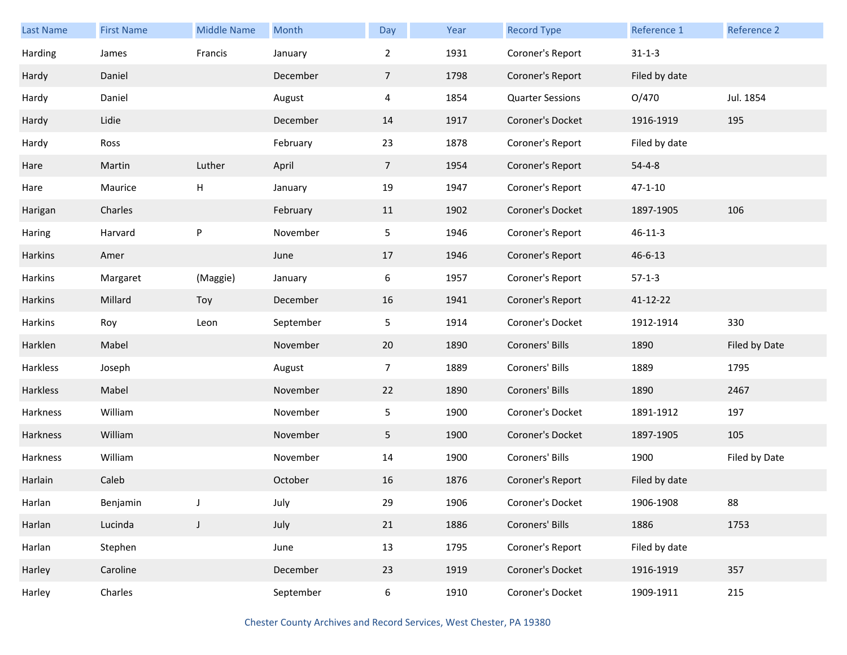| <b>Last Name</b> | <b>First Name</b> | <b>Middle Name</b> | Month     | Day            | Year | <b>Record Type</b>      | Reference 1   | Reference 2   |
|------------------|-------------------|--------------------|-----------|----------------|------|-------------------------|---------------|---------------|
| Harding          | James             | Francis            | January   | $\overline{2}$ | 1931 | Coroner's Report        | $31 - 1 - 3$  |               |
| Hardy            | Daniel            |                    | December  | $\overline{7}$ | 1798 | Coroner's Report        | Filed by date |               |
| Hardy            | Daniel            |                    | August    | $\overline{4}$ | 1854 | <b>Quarter Sessions</b> | O/470         | Jul. 1854     |
| Hardy            | Lidie             |                    | December  | 14             | 1917 | Coroner's Docket        | 1916-1919     | 195           |
| Hardy            | Ross              |                    | February  | 23             | 1878 | Coroner's Report        | Filed by date |               |
| Hare             | Martin            | Luther             | April     | $\overline{7}$ | 1954 | Coroner's Report        | $54 - 4 - 8$  |               |
| Hare             | Maurice           | H                  | January   | 19             | 1947 | Coroner's Report        | $47 - 1 - 10$ |               |
| Harigan          | Charles           |                    | February  | 11             | 1902 | Coroner's Docket        | 1897-1905     | 106           |
| Haring           | Harvard           | ${\sf P}$          | November  | 5 <sub>1</sub> | 1946 | Coroner's Report        | $46 - 11 - 3$ |               |
| <b>Harkins</b>   | Amer              |                    | June      | 17             | 1946 | Coroner's Report        | $46 - 6 - 13$ |               |
| Harkins          | Margaret          | (Maggie)           | January   | 6              | 1957 | Coroner's Report        | $57-1-3$      |               |
| <b>Harkins</b>   | Millard           | Toy                | December  | 16             | 1941 | Coroner's Report        | 41-12-22      |               |
| Harkins          | Roy               | Leon               | September | 5              | 1914 | Coroner's Docket        | 1912-1914     | 330           |
| Harklen          | Mabel             |                    | November  | 20             | 1890 | Coroners' Bills         | 1890          | Filed by Date |
| Harkless         | Joseph            |                    | August    | $\overline{7}$ | 1889 | Coroners' Bills         | 1889          | 1795          |
| Harkless         | Mabel             |                    | November  | 22             | 1890 | Coroners' Bills         | 1890          | 2467          |
| Harkness         | William           |                    | November  | 5 <sub>1</sub> | 1900 | Coroner's Docket        | 1891-1912     | 197           |
| Harkness         | William           |                    | November  | 5              | 1900 | Coroner's Docket        | 1897-1905     | 105           |
| Harkness         | William           |                    | November  | 14             | 1900 | Coroners' Bills         | 1900          | Filed by Date |
| Harlain          | Caleb             |                    | October   | 16             | 1876 | Coroner's Report        | Filed by date |               |
| Harlan           | Benjamin          |                    | July      | 29             | 1906 | Coroner's Docket        | 1906-1908     | 88            |
| Harlan           | Lucinda           | $\mathsf J$        | July      | 21             | 1886 | Coroners' Bills         | 1886          | 1753          |
| Harlan           | Stephen           |                    | June      | 13             | 1795 | Coroner's Report        | Filed by date |               |
| Harley           | Caroline          |                    | December  | 23             | 1919 | Coroner's Docket        | 1916-1919     | 357           |
| Harley           | Charles           |                    | September | 6              | 1910 | Coroner's Docket        | 1909-1911     | 215           |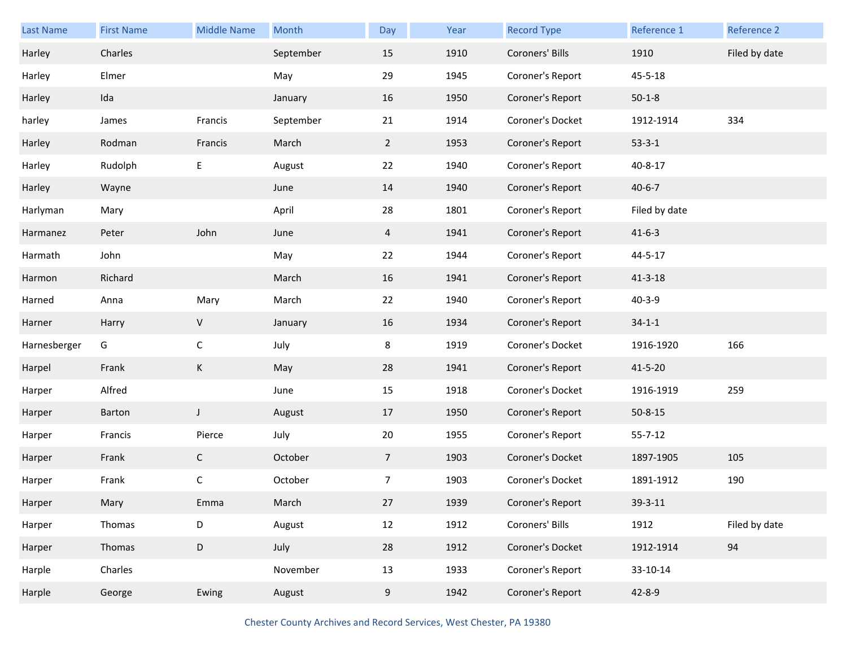| <b>Last Name</b> | <b>First Name</b> | <b>Middle Name</b> | Month     | Day             | Year | <b>Record Type</b> | Reference 1   | Reference 2   |
|------------------|-------------------|--------------------|-----------|-----------------|------|--------------------|---------------|---------------|
| Harley           | Charles           |                    | September | 15              | 1910 | Coroners' Bills    | 1910          | Filed by date |
| Harley           | Elmer             |                    | May       | 29              | 1945 | Coroner's Report   | 45-5-18       |               |
| Harley           | Ida               |                    | January   | 16              | 1950 | Coroner's Report   | $50 - 1 - 8$  |               |
| harley           | James             | Francis            | September | 21              | 1914 | Coroner's Docket   | 1912-1914     | 334           |
| Harley           | Rodman            | Francis            | March     | $\overline{2}$  | 1953 | Coroner's Report   | $53 - 3 - 1$  |               |
| Harley           | Rudolph           | Е                  | August    | 22              | 1940 | Coroner's Report   | 40-8-17       |               |
| Harley           | Wayne             |                    | June      | 14              | 1940 | Coroner's Report   | $40 - 6 - 7$  |               |
| Harlyman         | Mary              |                    | April     | 28              | 1801 | Coroner's Report   | Filed by date |               |
| Harmanez         | Peter             | John               | June      | $\overline{4}$  | 1941 | Coroner's Report   | $41 - 6 - 3$  |               |
| Harmath          | John              |                    | May       | 22              | 1944 | Coroner's Report   | 44-5-17       |               |
| Harmon           | Richard           |                    | March     | 16              | 1941 | Coroner's Report   | $41 - 3 - 18$ |               |
| Harned           | Anna              | Mary               | March     | 22              | 1940 | Coroner's Report   | $40 - 3 - 9$  |               |
| Harner           | Harry             | $\sf V$            | January   | 16              | 1934 | Coroner's Report   | $34 - 1 - 1$  |               |
| Harnesberger     | G                 | $\mathsf{C}$       | July      | 8               | 1919 | Coroner's Docket   | 1916-1920     | 166           |
| Harpel           | Frank             | К                  | May       | 28              | 1941 | Coroner's Report   | $41 - 5 - 20$ |               |
| Harper           | Alfred            |                    | June      | 15              | 1918 | Coroner's Docket   | 1916-1919     | 259           |
| Harper           | Barton            | $\mathsf J$        | August    | 17              | 1950 | Coroner's Report   | $50 - 8 - 15$ |               |
| Harper           | Francis           | Pierce             | July      | 20              | 1955 | Coroner's Report   | $55 - 7 - 12$ |               |
| Harper           | Frank             | $\mathsf{C}$       | October   | $7\overline{ }$ | 1903 | Coroner's Docket   | 1897-1905     | 105           |
| Harper           | Frank             | С                  | October   | 7               | 1903 | Coroner's Docket   | 1891-1912     | 190           |
| Harper           | Mary              | Emma               | March     | 27              | 1939 | Coroner's Report   | 39-3-11       |               |
| Harper           | Thomas            | D                  | August    | 12              | 1912 | Coroners' Bills    | 1912          | Filed by date |
| Harper           | Thomas            | $\mathsf D$        | July      | 28              | 1912 | Coroner's Docket   | 1912-1914     | 94            |
| Harple           | Charles           |                    | November  | 13              | 1933 | Coroner's Report   | 33-10-14      |               |
| Harple           | George            | Ewing              | August    | 9               | 1942 | Coroner's Report   | $42 - 8 - 9$  |               |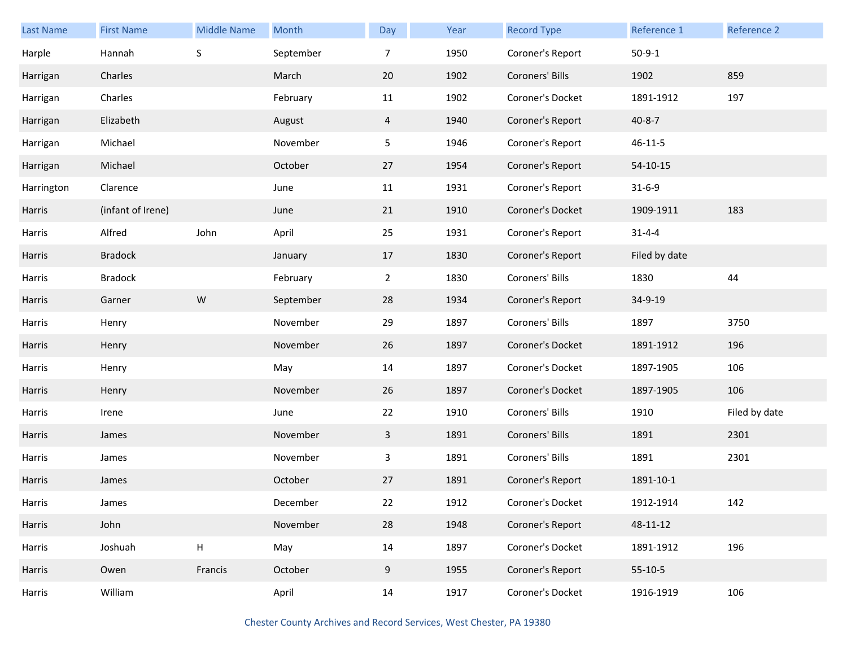| <b>Last Name</b> | <b>First Name</b> | <b>Middle Name</b> | Month     | Day            | Year | <b>Record Type</b> | Reference 1   | Reference 2   |
|------------------|-------------------|--------------------|-----------|----------------|------|--------------------|---------------|---------------|
| Harple           | Hannah            | $\sf S$            | September | 7              | 1950 | Coroner's Report   | $50-9-1$      |               |
| Harrigan         | Charles           |                    | March     | 20             | 1902 | Coroners' Bills    | 1902          | 859           |
| Harrigan         | Charles           |                    | February  | 11             | 1902 | Coroner's Docket   | 1891-1912     | 197           |
| Harrigan         | Elizabeth         |                    | August    | 4              | 1940 | Coroner's Report   | $40 - 8 - 7$  |               |
| Harrigan         | Michael           |                    | November  | 5              | 1946 | Coroner's Report   | $46 - 11 - 5$ |               |
| Harrigan         | Michael           |                    | October   | 27             | 1954 | Coroner's Report   | $54-10-15$    |               |
| Harrington       | Clarence          |                    | June      | 11             | 1931 | Coroner's Report   | $31 - 6 - 9$  |               |
| Harris           | (infant of Irene) |                    | June      | 21             | 1910 | Coroner's Docket   | 1909-1911     | 183           |
| Harris           | Alfred            | John               | April     | 25             | 1931 | Coroner's Report   | $31 - 4 - 4$  |               |
| Harris           | <b>Bradock</b>    |                    | January   | 17             | 1830 | Coroner's Report   | Filed by date |               |
| Harris           | <b>Bradock</b>    |                    | February  | $\overline{2}$ | 1830 | Coroners' Bills    | 1830          | 44            |
| Harris           | Garner            | ${\sf W}$          | September | 28             | 1934 | Coroner's Report   | 34-9-19       |               |
| Harris           | Henry             |                    | November  | 29             | 1897 | Coroners' Bills    | 1897          | 3750          |
| Harris           | Henry             |                    | November  | 26             | 1897 | Coroner's Docket   | 1891-1912     | 196           |
| Harris           | Henry             |                    | May       | 14             | 1897 | Coroner's Docket   | 1897-1905     | 106           |
| Harris           | Henry             |                    | November  | 26             | 1897 | Coroner's Docket   | 1897-1905     | 106           |
| Harris           | Irene             |                    | June      | 22             | 1910 | Coroners' Bills    | 1910          | Filed by date |
| Harris           | James             |                    | November  | 3              | 1891 | Coroners' Bills    | 1891          | 2301          |
| Harris           | James             |                    | November  | $\mathbf{3}$   | 1891 | Coroners' Bills    | 1891          | 2301          |
| Harris           | James             |                    | October   | 27             | 1891 | Coroner's Report   | 1891-10-1     |               |
| Harris           | James             |                    | December  | 22             | 1912 | Coroner's Docket   | 1912-1914     | 142           |
| Harris           | John              |                    | November  | 28             | 1948 | Coroner's Report   | 48-11-12      |               |
| Harris           | Joshuah           | H                  | May       | 14             | 1897 | Coroner's Docket   | 1891-1912     | 196           |
| Harris           | Owen              | Francis            | October   | 9              | 1955 | Coroner's Report   | $55-10-5$     |               |
| Harris           | William           |                    | April     | 14             | 1917 | Coroner's Docket   | 1916-1919     | 106           |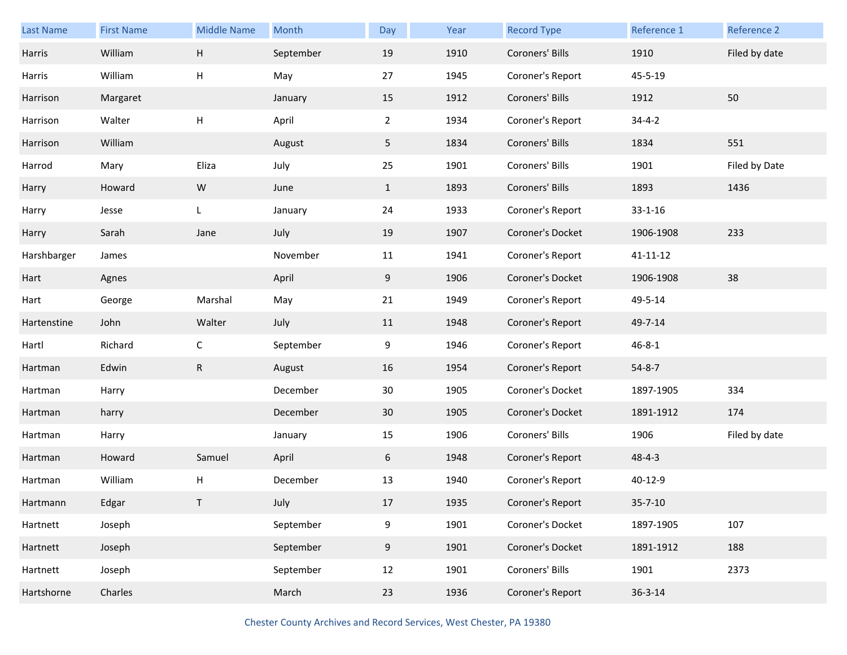| Last Name   | <b>First Name</b> | <b>Middle Name</b>        | Month     | Day            | Year | <b>Record Type</b> | Reference 1    | Reference 2   |
|-------------|-------------------|---------------------------|-----------|----------------|------|--------------------|----------------|---------------|
| Harris      | William           | $\boldsymbol{\mathsf{H}}$ | September | 19             | 1910 | Coroners' Bills    | 1910           | Filed by date |
| Harris      | William           | Н                         | May       | 27             | 1945 | Coroner's Report   | 45-5-19        |               |
| Harrison    | Margaret          |                           | January   | 15             | 1912 | Coroners' Bills    | 1912           | 50            |
| Harrison    | Walter            | Н                         | April     | $\overline{2}$ | 1934 | Coroner's Report   | $34 - 4 - 2$   |               |
| Harrison    | William           |                           | August    | 5 <sub>1</sub> | 1834 | Coroners' Bills    | 1834           | 551           |
| Harrod      | Mary              | Eliza                     | July      | 25             | 1901 | Coroners' Bills    | 1901           | Filed by Date |
| Harry       | Howard            | ${\sf W}$                 | June      | $\mathbf{1}$   | 1893 | Coroners' Bills    | 1893           | 1436          |
| Harry       | Jesse             | L                         | January   | 24             | 1933 | Coroner's Report   | $33 - 1 - 16$  |               |
| Harry       | Sarah             | Jane                      | July      | 19             | 1907 | Coroner's Docket   | 1906-1908      | 233           |
| Harshbarger | James             |                           | November  | 11             | 1941 | Coroner's Report   | $41 - 11 - 12$ |               |
| Hart        | Agnes             |                           | April     | 9              | 1906 | Coroner's Docket   | 1906-1908      | 38            |
| Hart        | George            | Marshal                   | May       | 21             | 1949 | Coroner's Report   | 49-5-14        |               |
| Hartenstine | John              | Walter                    | July      | 11             | 1948 | Coroner's Report   | 49-7-14        |               |
| Hartl       | Richard           | $\mathsf{C}$              | September | 9              | 1946 | Coroner's Report   | $46 - 8 - 1$   |               |
| Hartman     | Edwin             | ${\sf R}$                 | August    | 16             | 1954 | Coroner's Report   | $54 - 8 - 7$   |               |
| Hartman     | Harry             |                           | December  | 30             | 1905 | Coroner's Docket   | 1897-1905      | 334           |
| Hartman     | harry             |                           | December  | 30             | 1905 | Coroner's Docket   | 1891-1912      | 174           |
| Hartman     | Harry             |                           | January   | 15             | 1906 | Coroners' Bills    | 1906           | Filed by date |
| Hartman     | Howard            | Samuel                    | April     | 6              | 1948 | Coroner's Report   | $48 - 4 - 3$   |               |
| Hartman     | William           | Н                         | December  | 13             | 1940 | Coroner's Report   | 40-12-9        |               |
| Hartmann    | Edgar             | T                         | July      | 17             | 1935 | Coroner's Report   | $35 - 7 - 10$  |               |
| Hartnett    | Joseph            |                           | September | $9\,$          | 1901 | Coroner's Docket   | 1897-1905      | 107           |
| Hartnett    | Joseph            |                           | September | 9              | 1901 | Coroner's Docket   | 1891-1912      | 188           |
| Hartnett    | Joseph            |                           | September | 12             | 1901 | Coroners' Bills    | 1901           | 2373          |
| Hartshorne  | Charles           |                           | March     | 23             | 1936 | Coroner's Report   | $36 - 3 - 14$  |               |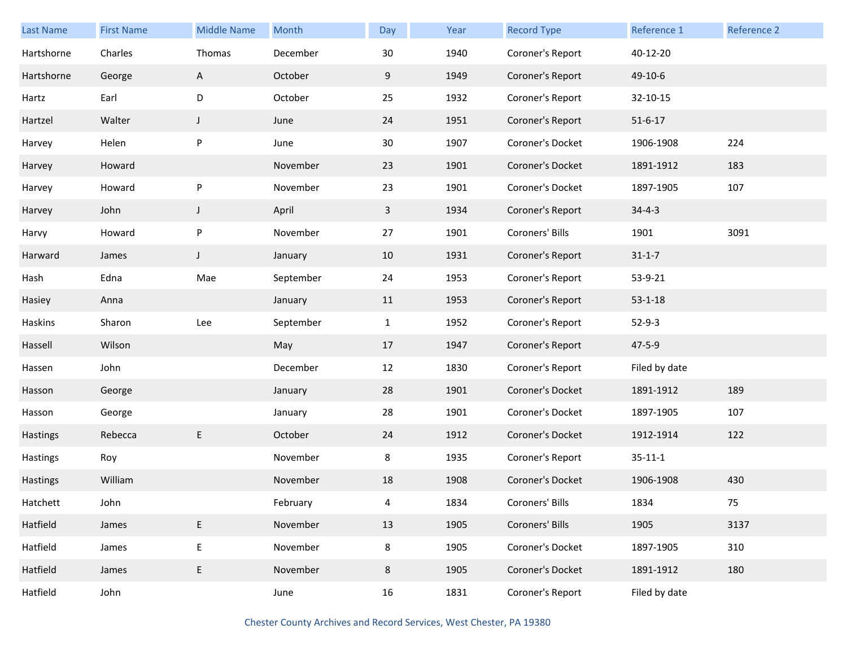| <b>Last Name</b> | <b>First Name</b> | <b>Middle Name</b> | Month     | Day          | Year | <b>Record Type</b> | Reference 1   | <b>Reference 2</b> |
|------------------|-------------------|--------------------|-----------|--------------|------|--------------------|---------------|--------------------|
| Hartshorne       | Charles           | Thomas             | December  | 30           | 1940 | Coroner's Report   | 40-12-20      |                    |
| Hartshorne       | George            | A                  | October   | 9            | 1949 | Coroner's Report   | 49-10-6       |                    |
| Hartz            | Earl              | D                  | October   | 25           | 1932 | Coroner's Report   | 32-10-15      |                    |
| Hartzel          | Walter            | $\mathsf{J}$       | June      | 24           | 1951 | Coroner's Report   | $51 - 6 - 17$ |                    |
| Harvey           | Helen             | ${\sf P}$          | June      | 30           | 1907 | Coroner's Docket   | 1906-1908     | 224                |
| Harvey           | Howard            |                    | November  | 23           | 1901 | Coroner's Docket   | 1891-1912     | 183                |
| Harvey           | Howard            | P                  | November  | 23           | 1901 | Coroner's Docket   | 1897-1905     | 107                |
| Harvey           | John              | J                  | April     | 3            | 1934 | Coroner's Report   | $34 - 4 - 3$  |                    |
| Harvy            | Howard            | ${\sf P}$          | November  | 27           | 1901 | Coroners' Bills    | 1901          | 3091               |
| Harward          | James             | J                  | January   | 10           | 1931 | Coroner's Report   | $31 - 1 - 7$  |                    |
| Hash             | Edna              | Mae                | September | 24           | 1953 | Coroner's Report   | 53-9-21       |                    |
| Hasiey           | Anna              |                    | January   | 11           | 1953 | Coroner's Report   | $53 - 1 - 18$ |                    |
| Haskins          | Sharon            | Lee                | September | $\mathbf{1}$ | 1952 | Coroner's Report   | $52-9-3$      |                    |
| Hassell          | Wilson            |                    | May       | 17           | 1947 | Coroner's Report   | $47 - 5 - 9$  |                    |
| Hassen           | John              |                    | December  | 12           | 1830 | Coroner's Report   | Filed by date |                    |
| Hasson           | George            |                    | January   | 28           | 1901 | Coroner's Docket   | 1891-1912     | 189                |
| Hasson           | George            |                    | January   | 28           | 1901 | Coroner's Docket   | 1897-1905     | 107                |
| Hastings         | Rebecca           | E                  | October   | 24           | 1912 | Coroner's Docket   | 1912-1914     | 122                |
| Hastings         | Roy               |                    | November  | 8            | 1935 | Coroner's Report   | $35 - 11 - 1$ |                    |
| Hastings         | William           |                    | November  | 18           | 1908 | Coroner's Docket   | 1906-1908     | 430                |
| Hatchett         | John              |                    | February  | 4            | 1834 | Coroners' Bills    | 1834          | 75                 |
| Hatfield         | James             | E                  | November  | 13           | 1905 | Coroners' Bills    | 1905          | 3137               |
| Hatfield         | James             | $\mathsf E$        | November  | 8            | 1905 | Coroner's Docket   | 1897-1905     | 310                |
| Hatfield         | James             | E                  | November  | 8            | 1905 | Coroner's Docket   | 1891-1912     | 180                |
| Hatfield         | John              |                    | June      | 16           | 1831 | Coroner's Report   | Filed by date |                    |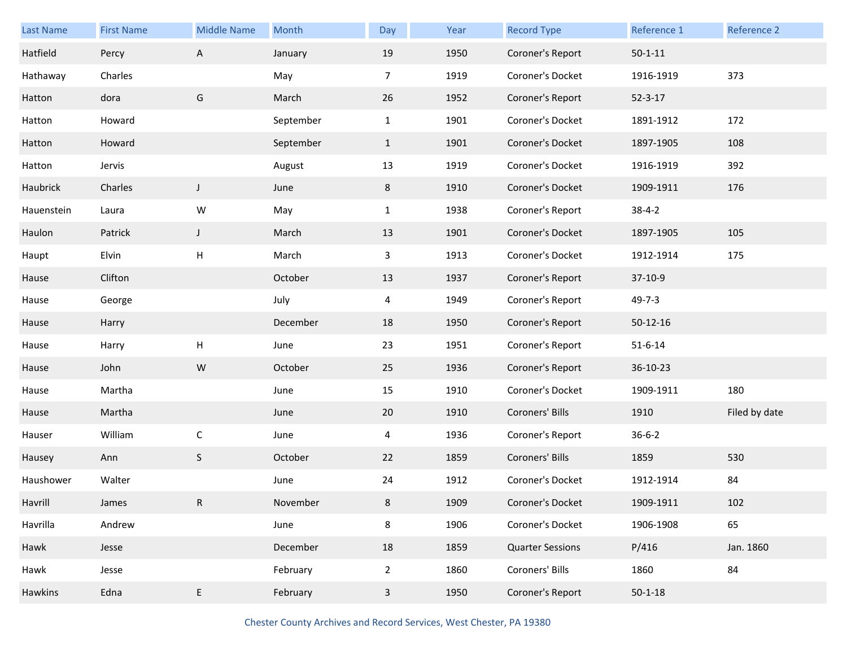| Last Name  | <b>First Name</b> | <b>Middle Name</b> | Month     | Day            | Year | <b>Record Type</b>      | Reference 1   | Reference 2   |
|------------|-------------------|--------------------|-----------|----------------|------|-------------------------|---------------|---------------|
| Hatfield   | Percy             | A                  | January   | 19             | 1950 | Coroner's Report        | $50 - 1 - 11$ |               |
| Hathaway   | Charles           |                    | May       | $\overline{7}$ | 1919 | Coroner's Docket        | 1916-1919     | 373           |
| Hatton     | dora              | G                  | March     | 26             | 1952 | Coroner's Report        | $52 - 3 - 17$ |               |
| Hatton     | Howard            |                    | September | $\mathbf{1}$   | 1901 | Coroner's Docket        | 1891-1912     | 172           |
| Hatton     | Howard            |                    | September | $\mathbf{1}$   | 1901 | Coroner's Docket        | 1897-1905     | 108           |
| Hatton     | Jervis            |                    | August    | 13             | 1919 | Coroner's Docket        | 1916-1919     | 392           |
| Haubrick   | Charles           | $\mathsf J$        | June      | 8              | 1910 | Coroner's Docket        | 1909-1911     | 176           |
| Hauenstein | Laura             | W                  | May       | $\mathbf{1}$   | 1938 | Coroner's Report        | $38 - 4 - 2$  |               |
| Haulon     | Patrick           | $\mathsf J$        | March     | 13             | 1901 | Coroner's Docket        | 1897-1905     | 105           |
| Haupt      | Elvin             | H                  | March     | 3              | 1913 | Coroner's Docket        | 1912-1914     | 175           |
| Hause      | Clifton           |                    | October   | 13             | 1937 | Coroner's Report        | 37-10-9       |               |
| Hause      | George            |                    | July      | 4              | 1949 | Coroner's Report        | $49 - 7 - 3$  |               |
| Hause      | Harry             |                    | December  | 18             | 1950 | Coroner's Report        | $50-12-16$    |               |
| Hause      | Harry             | H                  | June      | 23             | 1951 | Coroner's Report        | $51 - 6 - 14$ |               |
| Hause      | John              | ${\sf W}$          | October   | 25             | 1936 | Coroner's Report        | 36-10-23      |               |
| Hause      | Martha            |                    | June      | 15             | 1910 | Coroner's Docket        | 1909-1911     | 180           |
| Hause      | Martha            |                    | June      | 20             | 1910 | Coroners' Bills         | 1910          | Filed by date |
| Hauser     | William           | $\mathsf C$        | June      | 4              | 1936 | Coroner's Report        | $36 - 6 - 2$  |               |
| Hausey     | Ann               | $\mathsf S$        | October   | 22             | 1859 | Coroners' Bills         | 1859          | 530           |
| Haushower  | Walter            |                    | June      | 24             | 1912 | Coroner's Docket        | 1912-1914     | 84            |
| Havrill    | James             | R                  | November  | 8              | 1909 | Coroner's Docket        | 1909-1911     | 102           |
| Havrilla   | Andrew            |                    | June      | 8              | 1906 | Coroner's Docket        | 1906-1908     | 65            |
| Hawk       | Jesse             |                    | December  | 18             | 1859 | <b>Quarter Sessions</b> | P/416         | Jan. 1860     |
| Hawk       | Jesse             |                    | February  | $\overline{2}$ | 1860 | Coroners' Bills         | 1860          | 84            |
| Hawkins    | Edna              | E                  | February  | $\mathbf{3}$   | 1950 | Coroner's Report        | $50 - 1 - 18$ |               |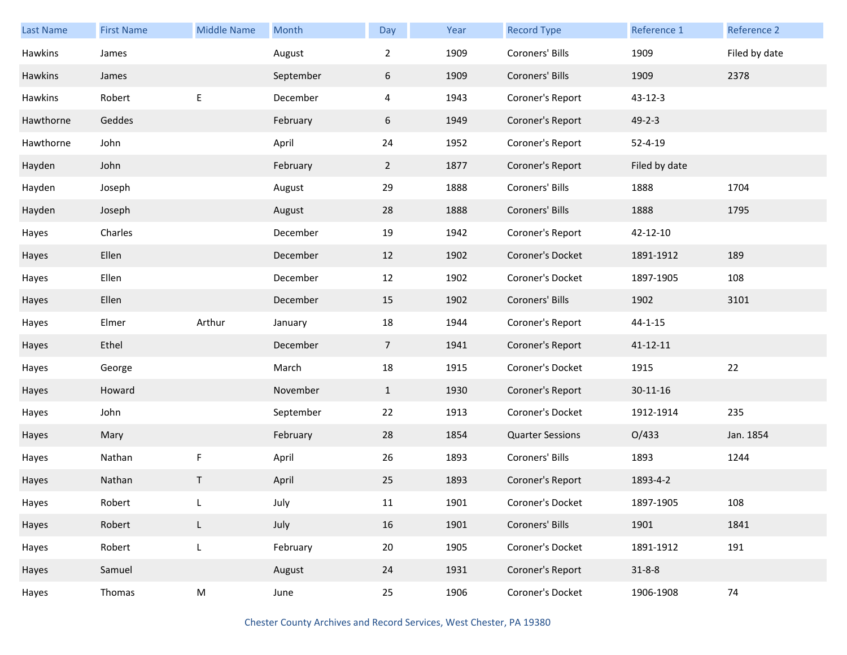| <b>Last Name</b> | <b>First Name</b> | <b>Middle Name</b> | Month     | Day            | Year | <b>Record Type</b>      | <b>Reference 1</b> | Reference 2   |
|------------------|-------------------|--------------------|-----------|----------------|------|-------------------------|--------------------|---------------|
| Hawkins          | James             |                    | August    | $\overline{2}$ | 1909 | Coroners' Bills         | 1909               | Filed by date |
| Hawkins          | James             |                    | September | 6              | 1909 | Coroners' Bills         | 1909               | 2378          |
| Hawkins          | Robert            | E                  | December  | 4              | 1943 | Coroner's Report        | $43 - 12 - 3$      |               |
| Hawthorne        | Geddes            |                    | February  | 6              | 1949 | Coroner's Report        | $49 - 2 - 3$       |               |
| Hawthorne        | John              |                    | April     | 24             | 1952 | Coroner's Report        | $52 - 4 - 19$      |               |
| Hayden           | John              |                    | February  | $2^{\circ}$    | 1877 | Coroner's Report        | Filed by date      |               |
| Hayden           | Joseph            |                    | August    | 29             | 1888 | Coroners' Bills         | 1888               | 1704          |
| Hayden           | Joseph            |                    | August    | 28             | 1888 | Coroners' Bills         | 1888               | 1795          |
| Hayes            | Charles           |                    | December  | 19             | 1942 | Coroner's Report        | 42-12-10           |               |
| Hayes            | Ellen             |                    | December  | 12             | 1902 | Coroner's Docket        | 1891-1912          | 189           |
| Hayes            | Ellen             |                    | December  | 12             | 1902 | Coroner's Docket        | 1897-1905          | 108           |
| Hayes            | Ellen             |                    | December  | 15             | 1902 | Coroners' Bills         | 1902               | 3101          |
| Hayes            | Elmer             | Arthur             | January   | 18             | 1944 | Coroner's Report        | $44 - 1 - 15$      |               |
| Hayes            | Ethel             |                    | December  | $\overline{7}$ | 1941 | Coroner's Report        | $41 - 12 - 11$     |               |
| Hayes            | George            |                    | March     | 18             | 1915 | Coroner's Docket        | 1915               | 22            |
| Hayes            | Howard            |                    | November  | $\mathbf{1}$   | 1930 | Coroner's Report        | 30-11-16           |               |
| Hayes            | John              |                    | September | 22             | 1913 | Coroner's Docket        | 1912-1914          | 235           |
| Hayes            | Mary              |                    | February  | 28             | 1854 | <b>Quarter Sessions</b> | O/433              | Jan. 1854     |
| Hayes            | Nathan            | F                  | April     | 26             | 1893 | Coroners' Bills         | 1893               | 1244          |
| Hayes            | Nathan            | Т                  | April     | 25             | 1893 | Coroner's Report        | 1893-4-2           |               |
| Hayes            | Robert            |                    | July      | 11             | 1901 | Coroner's Docket        | 1897-1905          | 108           |
| Hayes            | Robert            | L                  | July      | 16             | 1901 | Coroners' Bills         | 1901               | 1841          |
| Hayes            | Robert            | L                  | February  | 20             | 1905 | Coroner's Docket        | 1891-1912          | 191           |
| Hayes            | Samuel            |                    | August    | 24             | 1931 | Coroner's Report        | $31 - 8 - 8$       |               |
| Hayes            | Thomas            | M                  | June      | 25             | 1906 | Coroner's Docket        | 1906-1908          | 74            |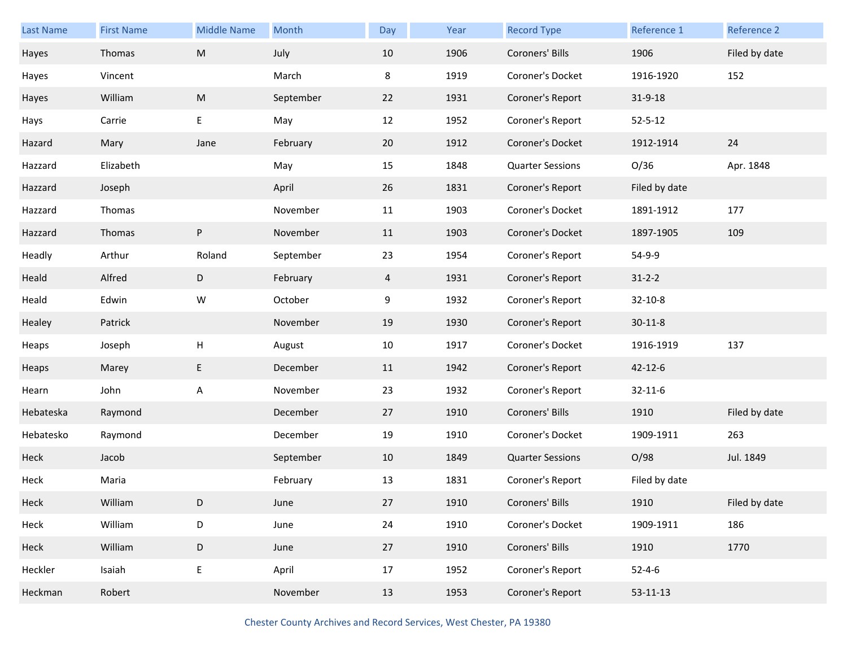| Last Name | <b>First Name</b> | <b>Middle Name</b>        | Month     | Day | Year | <b>Record Type</b>      | Reference 1    | Reference 2   |
|-----------|-------------------|---------------------------|-----------|-----|------|-------------------------|----------------|---------------|
| Hayes     | Thomas            | ${\sf M}$                 | July      | 10  | 1906 | Coroners' Bills         | 1906           | Filed by date |
| Hayes     | Vincent           |                           | March     | 8   | 1919 | Coroner's Docket        | 1916-1920      | 152           |
| Hayes     | William           | ${\sf M}$                 | September | 22  | 1931 | Coroner's Report        | $31 - 9 - 18$  |               |
| Hays      | Carrie            | E                         | May       | 12  | 1952 | Coroner's Report        | $52 - 5 - 12$  |               |
| Hazard    | Mary              | Jane                      | February  | 20  | 1912 | Coroner's Docket        | 1912-1914      | 24            |
| Hazzard   | Elizabeth         |                           | May       | 15  | 1848 | <b>Quarter Sessions</b> | O/36           | Apr. 1848     |
| Hazzard   | Joseph            |                           | April     | 26  | 1831 | Coroner's Report        | Filed by date  |               |
| Hazzard   | Thomas            |                           | November  | 11  | 1903 | Coroner's Docket        | 1891-1912      | 177           |
| Hazzard   | Thomas            | $\sf P$                   | November  | 11  | 1903 | Coroner's Docket        | 1897-1905      | 109           |
| Headly    | Arthur            | Roland                    | September | 23  | 1954 | Coroner's Report        | 54-9-9         |               |
| Heald     | Alfred            | D                         | February  | 4   | 1931 | Coroner's Report        | $31 - 2 - 2$   |               |
| Heald     | Edwin             | W                         | October   | 9   | 1932 | Coroner's Report        | 32-10-8        |               |
| Healey    | Patrick           |                           | November  | 19  | 1930 | Coroner's Report        | $30 - 11 - 8$  |               |
| Heaps     | Joseph            | $\boldsymbol{\mathsf{H}}$ | August    | 10  | 1917 | Coroner's Docket        | 1916-1919      | 137           |
| Heaps     | Marey             | E                         | December  | 11  | 1942 | Coroner's Report        | $42 - 12 - 6$  |               |
| Hearn     | John              | A                         | November  | 23  | 1932 | Coroner's Report        | $32 - 11 - 6$  |               |
| Hebateska | Raymond           |                           | December  | 27  | 1910 | Coroners' Bills         | 1910           | Filed by date |
| Hebatesko | Raymond           |                           | December  | 19  | 1910 | Coroner's Docket        | 1909-1911      | 263           |
| Heck      | Jacob             |                           | September | 10  | 1849 | <b>Quarter Sessions</b> | O/98           | Jul. 1849     |
| Heck      | Maria             |                           | February  | 13  | 1831 | Coroner's Report        | Filed by date  |               |
| Heck      | William           | D                         | June      | 27  | 1910 | Coroners' Bills         | 1910           | Filed by date |
| Heck      | William           | D                         | June      | 24  | 1910 | Coroner's Docket        | 1909-1911      | 186           |
| Heck      | William           | $\mathsf D$               | June      | 27  | 1910 | Coroners' Bills         | 1910           | 1770          |
| Heckler   | Isaiah            | $\mathsf E$               | April     | 17  | 1952 | Coroner's Report        | $52 - 4 - 6$   |               |
| Heckman   | Robert            |                           | November  | 13  | 1953 | Coroner's Report        | $53 - 11 - 13$ |               |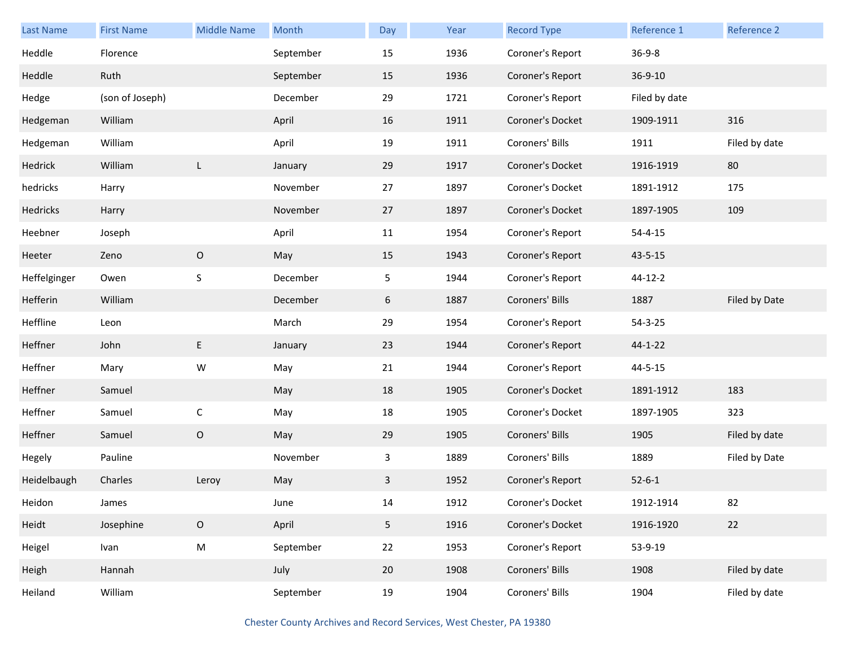| <b>Last Name</b> | <b>First Name</b> | <b>Middle Name</b> | Month     | Day            | Year | <b>Record Type</b> | Reference 1   | <b>Reference 2</b> |
|------------------|-------------------|--------------------|-----------|----------------|------|--------------------|---------------|--------------------|
| Heddle           | Florence          |                    | September | 15             | 1936 | Coroner's Report   | $36 - 9 - 8$  |                    |
| Heddle           | Ruth              |                    | September | 15             | 1936 | Coroner's Report   | 36-9-10       |                    |
| Hedge            | (son of Joseph)   |                    | December  | 29             | 1721 | Coroner's Report   | Filed by date |                    |
| Hedgeman         | William           |                    | April     | 16             | 1911 | Coroner's Docket   | 1909-1911     | 316                |
| Hedgeman         | William           |                    | April     | 19             | 1911 | Coroners' Bills    | 1911          | Filed by date      |
| Hedrick          | William           | L                  | January   | 29             | 1917 | Coroner's Docket   | 1916-1919     | 80                 |
| hedricks         | Harry             |                    | November  | 27             | 1897 | Coroner's Docket   | 1891-1912     | 175                |
| Hedricks         | Harry             |                    | November  | 27             | 1897 | Coroner's Docket   | 1897-1905     | 109                |
| Heebner          | Joseph            |                    | April     | 11             | 1954 | Coroner's Report   | $54 - 4 - 15$ |                    |
| Heeter           | Zeno              | $\mathsf O$        | May       | 15             | 1943 | Coroner's Report   | $43 - 5 - 15$ |                    |
| Heffelginger     | Owen              | $\mathsf S$        | December  | 5              | 1944 | Coroner's Report   | 44-12-2       |                    |
| Hefferin         | William           |                    | December  | 6              | 1887 | Coroners' Bills    | 1887          | Filed by Date      |
| Heffline         | Leon              |                    | March     | 29             | 1954 | Coroner's Report   | $54 - 3 - 25$ |                    |
| Heffner          | John              | E                  | January   | 23             | 1944 | Coroner's Report   | $44 - 1 - 22$ |                    |
| Heffner          | Mary              | W                  | May       | 21             | 1944 | Coroner's Report   | $44 - 5 - 15$ |                    |
| Heffner          | Samuel            |                    | May       | 18             | 1905 | Coroner's Docket   | 1891-1912     | 183                |
| Heffner          | Samuel            | $\mathsf C$        | May       | 18             | 1905 | Coroner's Docket   | 1897-1905     | 323                |
| Heffner          | Samuel            | $\mathsf O$        | May       | 29             | 1905 | Coroners' Bills    | 1905          | Filed by date      |
| Hegely           | Pauline           |                    | November  | 3              | 1889 | Coroners' Bills    | 1889          | Filed by Date      |
| Heidelbaugh      | Charles           | Leroy              | May       | 3              | 1952 | Coroner's Report   | $52 - 6 - 1$  |                    |
| Heidon           | James             |                    | June      | 14             | 1912 | Coroner's Docket   | 1912-1914     | 82                 |
| Heidt            | Josephine         | $\mathsf O$        | April     | 5 <sub>1</sub> | 1916 | Coroner's Docket   | 1916-1920     | 22                 |
| Heigel           | Ivan              | ${\sf M}$          | September | 22             | 1953 | Coroner's Report   | 53-9-19       |                    |
| Heigh            | Hannah            |                    | July      | 20             | 1908 | Coroners' Bills    | 1908          | Filed by date      |
| Heiland          | William           |                    | September | 19             | 1904 | Coroners' Bills    | 1904          | Filed by date      |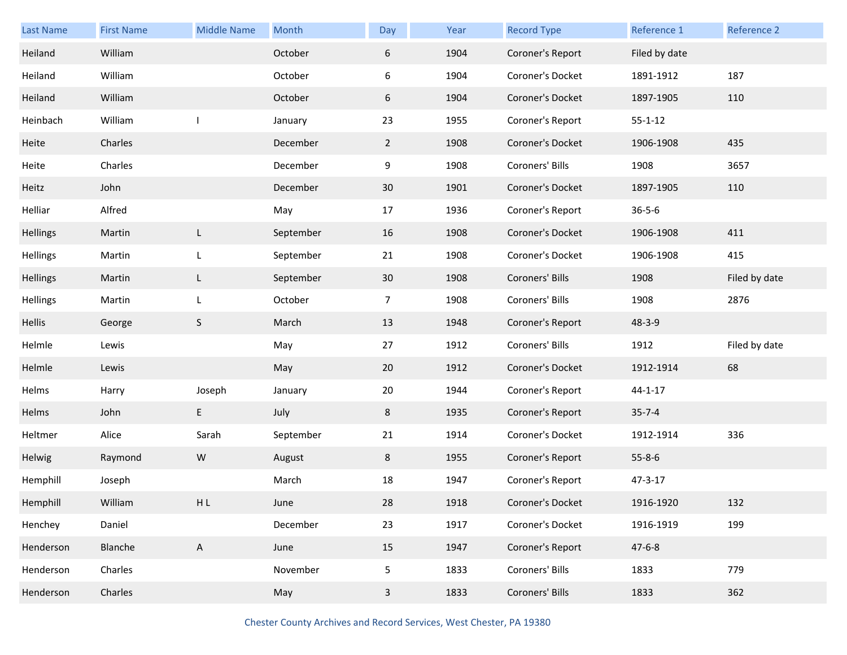| <b>Last Name</b> | <b>First Name</b> | <b>Middle Name</b> | Month     | Day          | Year | <b>Record Type</b> | Reference 1   | Reference 2   |
|------------------|-------------------|--------------------|-----------|--------------|------|--------------------|---------------|---------------|
| Heiland          | William           |                    | October   | 6            | 1904 | Coroner's Report   | Filed by date |               |
| Heiland          | William           |                    | October   | 6            | 1904 | Coroner's Docket   | 1891-1912     | 187           |
| Heiland          | William           |                    | October   | 6            | 1904 | Coroner's Docket   | 1897-1905     | 110           |
| Heinbach         | William           |                    | January   | 23           | 1955 | Coroner's Report   | $55 - 1 - 12$ |               |
| Heite            | Charles           |                    | December  | $2^{\circ}$  | 1908 | Coroner's Docket   | 1906-1908     | 435           |
| Heite            | Charles           |                    | December  | 9            | 1908 | Coroners' Bills    | 1908          | 3657          |
| Heitz            | John              |                    | December  | 30           | 1901 | Coroner's Docket   | 1897-1905     | 110           |
| Helliar          | Alfred            |                    | May       | 17           | 1936 | Coroner's Report   | $36 - 5 - 6$  |               |
| <b>Hellings</b>  | Martin            | L                  | September | 16           | 1908 | Coroner's Docket   | 1906-1908     | 411           |
| Hellings         | Martin            | L                  | September | 21           | 1908 | Coroner's Docket   | 1906-1908     | 415           |
| <b>Hellings</b>  | Martin            | L                  | September | 30           | 1908 | Coroners' Bills    | 1908          | Filed by date |
| Hellings         | Martin            | L                  | October   | 7            | 1908 | Coroners' Bills    | 1908          | 2876          |
| Hellis           | George            | $\mathsf S$        | March     | 13           | 1948 | Coroner's Report   | 48-3-9        |               |
| Helmle           | Lewis             |                    | May       | 27           | 1912 | Coroners' Bills    | 1912          | Filed by date |
| Helmle           | Lewis             |                    | May       | 20           | 1912 | Coroner's Docket   | 1912-1914     | 68            |
| Helms            | Harry             | Joseph             | January   | 20           | 1944 | Coroner's Report   | $44 - 1 - 17$ |               |
| Helms            | John              | E                  | July      | 8            | 1935 | Coroner's Report   | $35 - 7 - 4$  |               |
| Heltmer          | Alice             | Sarah              | September | 21           | 1914 | Coroner's Docket   | 1912-1914     | 336           |
| Helwig           | Raymond           | ${\sf W}$          | August    | 8            | 1955 | Coroner's Report   | $55 - 8 - 6$  |               |
| Hemphill         | Joseph            |                    | March     | 18           | 1947 | Coroner's Report   | $47 - 3 - 17$ |               |
| Hemphill         | William           | ${\sf H}$ L        | June      | 28           | 1918 | Coroner's Docket   | 1916-1920     | 132           |
| Henchey          | Daniel            |                    | December  | 23           | 1917 | Coroner's Docket   | 1916-1919     | 199           |
| Henderson        | Blanche           | $\mathsf{A}$       | June      | 15           | 1947 | Coroner's Report   | $47 - 6 - 8$  |               |
| Henderson        | Charles           |                    | November  | 5            | 1833 | Coroners' Bills    | 1833          | 779           |
| Henderson        | Charles           |                    | May       | $\mathbf{3}$ | 1833 | Coroners' Bills    | 1833          | 362           |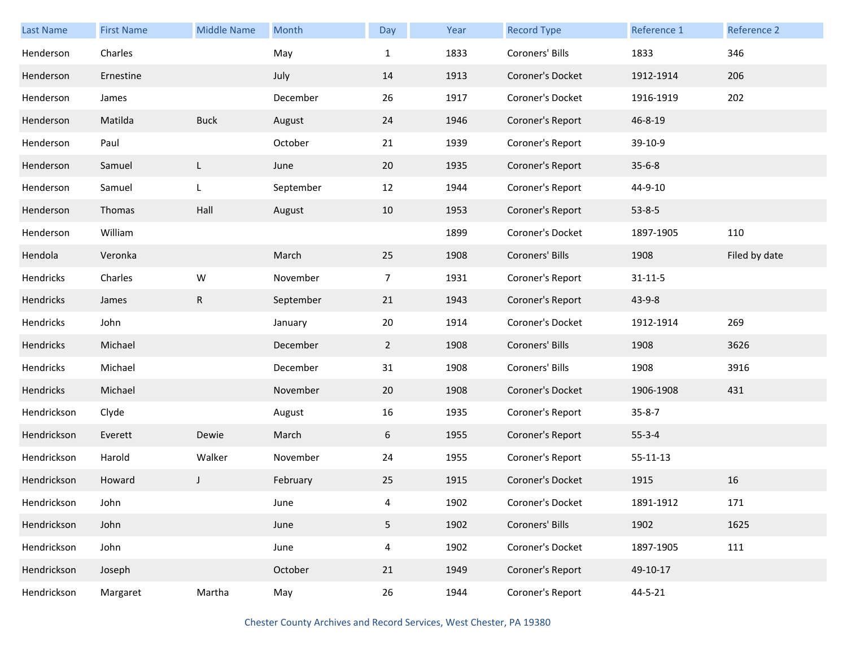| <b>Last Name</b> | <b>First Name</b> | <b>Middle Name</b> | Month     | Day            | Year | <b>Record Type</b> | Reference 1    | Reference 2   |
|------------------|-------------------|--------------------|-----------|----------------|------|--------------------|----------------|---------------|
| Henderson        | Charles           |                    | May       | $\mathbf{1}$   | 1833 | Coroners' Bills    | 1833           | 346           |
| Henderson        | Ernestine         |                    | July      | 14             | 1913 | Coroner's Docket   | 1912-1914      | 206           |
| Henderson        | James             |                    | December  | 26             | 1917 | Coroner's Docket   | 1916-1919      | 202           |
| Henderson        | Matilda           | <b>Buck</b>        | August    | 24             | 1946 | Coroner's Report   | 46-8-19        |               |
| Henderson        | Paul              |                    | October   | 21             | 1939 | Coroner's Report   | 39-10-9        |               |
| Henderson        | Samuel            | L                  | June      | 20             | 1935 | Coroner's Report   | $35 - 6 - 8$   |               |
| Henderson        | Samuel            | L                  | September | 12             | 1944 | Coroner's Report   | 44-9-10        |               |
| Henderson        | Thomas            | Hall               | August    | 10             | 1953 | Coroner's Report   | $53 - 8 - 5$   |               |
| Henderson        | William           |                    |           |                | 1899 | Coroner's Docket   | 1897-1905      | 110           |
| Hendola          | Veronka           |                    | March     | 25             | 1908 | Coroners' Bills    | 1908           | Filed by date |
| Hendricks        | Charles           | W                  | November  | $\overline{7}$ | 1931 | Coroner's Report   | $31 - 11 - 5$  |               |
| Hendricks        | James             | $\mathsf{R}$       | September | 21             | 1943 | Coroner's Report   | $43 - 9 - 8$   |               |
| Hendricks        | John              |                    | January   | 20             | 1914 | Coroner's Docket   | 1912-1914      | 269           |
| Hendricks        | Michael           |                    | December  | $2^{\circ}$    | 1908 | Coroners' Bills    | 1908           | 3626          |
| Hendricks        | Michael           |                    | December  | 31             | 1908 | Coroners' Bills    | 1908           | 3916          |
| Hendricks        | Michael           |                    | November  | 20             | 1908 | Coroner's Docket   | 1906-1908      | 431           |
| Hendrickson      | Clyde             |                    | August    | 16             | 1935 | Coroner's Report   | $35 - 8 - 7$   |               |
| Hendrickson      | Everett           | Dewie              | March     | 6              | 1955 | Coroner's Report   | $55 - 3 - 4$   |               |
| Hendrickson      | Harold            | Walker             | November  | 24             | 1955 | Coroner's Report   | $55 - 11 - 13$ |               |
| Hendrickson      | Howard            | J                  | February  | 25             | 1915 | Coroner's Docket   | 1915           | 16            |
| Hendrickson      | John              |                    | June      | 4              | 1902 | Coroner's Docket   | 1891-1912      | 171           |
| Hendrickson      | John              |                    | June      | 5 <sub>5</sub> | 1902 | Coroners' Bills    | 1902           | 1625          |
| Hendrickson      | John              |                    | June      | 4              | 1902 | Coroner's Docket   | 1897-1905      | 111           |
| Hendrickson      | Joseph            |                    | October   | 21             | 1949 | Coroner's Report   | 49-10-17       |               |
| Hendrickson      | Margaret          | Martha             | May       | 26             | 1944 | Coroner's Report   | 44-5-21        |               |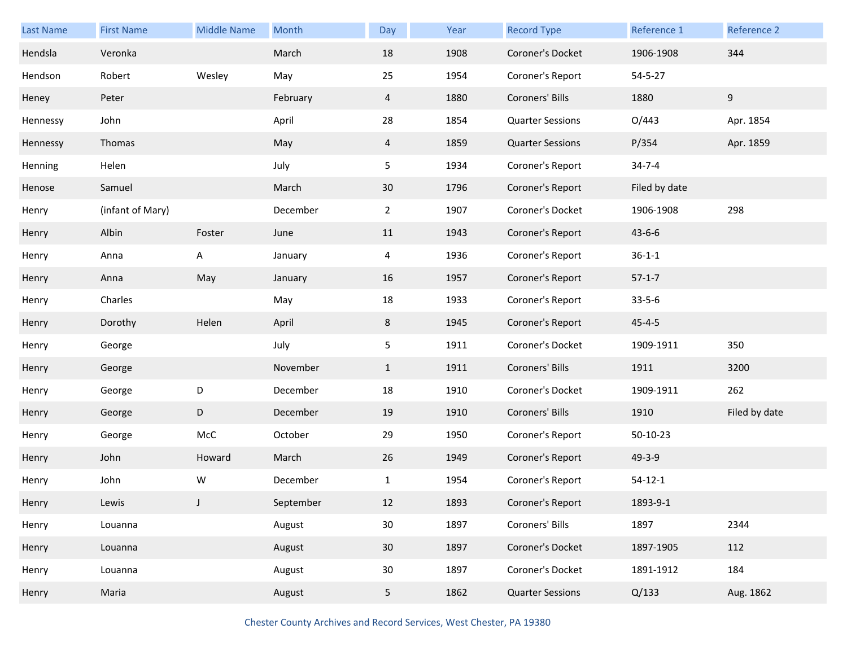| <b>Last Name</b> | <b>First Name</b> | <b>Middle Name</b> | Month     | Day            | Year | <b>Record Type</b>      | Reference 1   | Reference 2   |
|------------------|-------------------|--------------------|-----------|----------------|------|-------------------------|---------------|---------------|
| Hendsla          | Veronka           |                    | March     | 18             | 1908 | Coroner's Docket        | 1906-1908     | 344           |
| Hendson          | Robert            | Wesley             | May       | 25             | 1954 | Coroner's Report        | $54 - 5 - 27$ |               |
| Heney            | Peter             |                    | February  | $\overline{4}$ | 1880 | Coroners' Bills         | 1880          | 9             |
| Hennessy         | John              |                    | April     | 28             | 1854 | <b>Quarter Sessions</b> | O/443         | Apr. 1854     |
| Hennessy         | Thomas            |                    | May       | $\overline{4}$ | 1859 | <b>Quarter Sessions</b> | P/354         | Apr. 1859     |
| Henning          | Helen             |                    | July      | 5              | 1934 | Coroner's Report        | $34 - 7 - 4$  |               |
| Henose           | Samuel            |                    | March     | 30             | 1796 | Coroner's Report        | Filed by date |               |
| Henry            | (infant of Mary)  |                    | December  | $\mathbf{2}$   | 1907 | Coroner's Docket        | 1906-1908     | 298           |
| Henry            | Albin             | Foster             | June      | 11             | 1943 | Coroner's Report        | $43 - 6 - 6$  |               |
| Henry            | Anna              | Α                  | January   | 4              | 1936 | Coroner's Report        | $36 - 1 - 1$  |               |
| Henry            | Anna              | May                | January   | 16             | 1957 | Coroner's Report        | $57-1-7$      |               |
| Henry            | Charles           |                    | May       | 18             | 1933 | Coroner's Report        | $33 - 5 - 6$  |               |
| Henry            | Dorothy           | Helen              | April     | 8              | 1945 | Coroner's Report        | $45 - 4 - 5$  |               |
| Henry            | George            |                    | July      | 5              | 1911 | Coroner's Docket        | 1909-1911     | 350           |
| Henry            | George            |                    | November  | $\mathbf{1}$   | 1911 | Coroners' Bills         | 1911          | 3200          |
| Henry            | George            | D                  | December  | 18             | 1910 | Coroner's Docket        | 1909-1911     | 262           |
| Henry            | George            | D                  | December  | 19             | 1910 | Coroners' Bills         | 1910          | Filed by date |
| Henry            | George            | McC                | October   | 29             | 1950 | Coroner's Report        | 50-10-23      |               |
| Henry            | John              | Howard             | March     | 26             | 1949 | Coroner's Report        | 49-3-9        |               |
| Henry            | John              | W                  | December  | $\mathbf{1}$   | 1954 | Coroner's Report        | $54 - 12 - 1$ |               |
| Henry            | Lewis             | J                  | September | 12             | 1893 | Coroner's Report        | 1893-9-1      |               |
| Henry            | Louanna           |                    | August    | 30             | 1897 | Coroners' Bills         | 1897          | 2344          |
| Henry            | Louanna           |                    | August    | 30             | 1897 | Coroner's Docket        | 1897-1905     | 112           |
| Henry            | Louanna           |                    | August    | 30             | 1897 | Coroner's Docket        | 1891-1912     | 184           |
| Henry            | Maria             |                    | August    | 5 <sub>5</sub> | 1862 | <b>Quarter Sessions</b> | Q/133         | Aug. 1862     |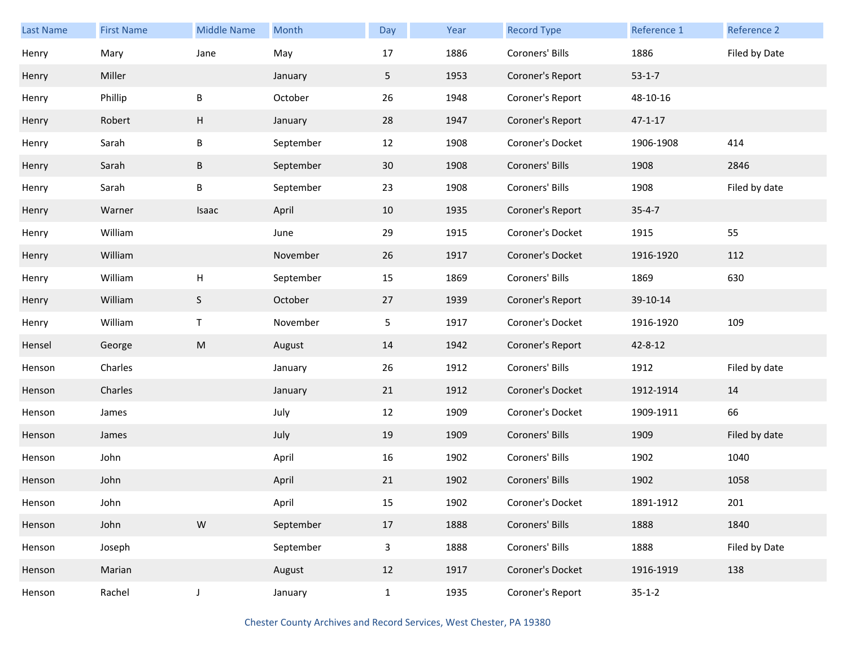| <b>Last Name</b> | <b>First Name</b> | <b>Middle Name</b>        | Month     | Day            | Year | <b>Record Type</b> | Reference 1   | Reference 2   |
|------------------|-------------------|---------------------------|-----------|----------------|------|--------------------|---------------|---------------|
| Henry            | Mary              | Jane                      | May       | 17             | 1886 | Coroners' Bills    | 1886          | Filed by Date |
| Henry            | Miller            |                           | January   | 5 <sub>1</sub> | 1953 | Coroner's Report   | $53-1-7$      |               |
| Henry            | Phillip           | B                         | October   | 26             | 1948 | Coroner's Report   | 48-10-16      |               |
| Henry            | Robert            | H                         | January   | 28             | 1947 | Coroner's Report   | $47 - 1 - 17$ |               |
| Henry            | Sarah             | $\sf B$                   | September | 12             | 1908 | Coroner's Docket   | 1906-1908     | 414           |
| Henry            | Sarah             | $\sf B$                   | September | 30             | 1908 | Coroners' Bills    | 1908          | 2846          |
| Henry            | Sarah             | B                         | September | 23             | 1908 | Coroners' Bills    | 1908          | Filed by date |
| Henry            | Warner            | Isaac                     | April     | 10             | 1935 | Coroner's Report   | $35 - 4 - 7$  |               |
| Henry            | William           |                           | June      | 29             | 1915 | Coroner's Docket   | 1915          | 55            |
| Henry            | William           |                           | November  | 26             | 1917 | Coroner's Docket   | 1916-1920     | 112           |
| Henry            | William           | $\boldsymbol{\mathsf{H}}$ | September | 15             | 1869 | Coroners' Bills    | 1869          | 630           |
| Henry            | William           | S                         | October   | 27             | 1939 | Coroner's Report   | 39-10-14      |               |
| Henry            | William           | T                         | November  | 5              | 1917 | Coroner's Docket   | 1916-1920     | 109           |
| Hensel           | George            | ${\sf M}$                 | August    | 14             | 1942 | Coroner's Report   | 42-8-12       |               |
| Henson           | Charles           |                           | January   | 26             | 1912 | Coroners' Bills    | 1912          | Filed by date |
| Henson           | Charles           |                           | January   | 21             | 1912 | Coroner's Docket   | 1912-1914     | 14            |
| Henson           | James             |                           | July      | 12             | 1909 | Coroner's Docket   | 1909-1911     | 66            |
| Henson           | James             |                           | July      | 19             | 1909 | Coroners' Bills    | 1909          | Filed by date |
| Henson           | John              |                           | April     | 16             | 1902 | Coroners' Bills    | 1902          | 1040          |
| Henson           | John              |                           | April     | 21             | 1902 | Coroners' Bills    | 1902          | 1058          |
| Henson           | John              |                           | April     | 15             | 1902 | Coroner's Docket   | 1891-1912     | 201           |
| Henson           | John              | ${\sf W}$                 | September | 17             | 1888 | Coroners' Bills    | 1888          | 1840          |
| Henson           | Joseph            |                           | September | $\mathbf{3}$   | 1888 | Coroners' Bills    | 1888          | Filed by Date |
| Henson           | Marian            |                           | August    | 12             | 1917 | Coroner's Docket   | 1916-1919     | 138           |
| Henson           | Rachel            | J                         | January   | $\mathbf{1}$   | 1935 | Coroner's Report   | $35 - 1 - 2$  |               |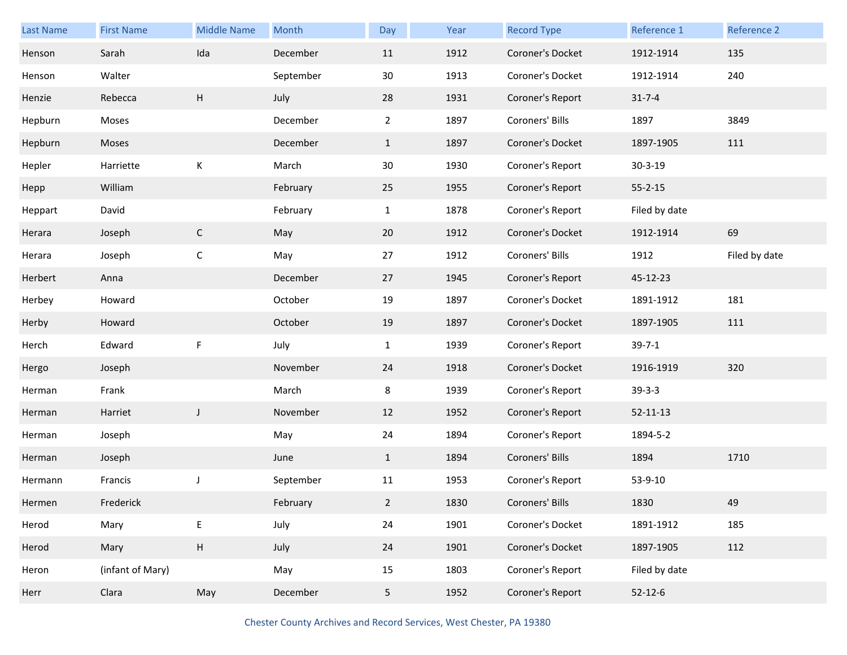| <b>Last Name</b> | <b>First Name</b> | <b>Middle Name</b> | Month     | Day            | Year | <b>Record Type</b> | Reference 1    | Reference 2   |
|------------------|-------------------|--------------------|-----------|----------------|------|--------------------|----------------|---------------|
| Henson           | Sarah             | Ida                | December  | 11             | 1912 | Coroner's Docket   | 1912-1914      | 135           |
| Henson           | Walter            |                    | September | 30             | 1913 | Coroner's Docket   | 1912-1914      | 240           |
| Henzie           | Rebecca           | H                  | July      | 28             | 1931 | Coroner's Report   | $31 - 7 - 4$   |               |
| Hepburn          | Moses             |                    | December  | $\overline{2}$ | 1897 | Coroners' Bills    | 1897           | 3849          |
| Hepburn          | Moses             |                    | December  | $\mathbf{1}$   | 1897 | Coroner's Docket   | 1897-1905      | 111           |
| Hepler           | Harriette         | К                  | March     | 30             | 1930 | Coroner's Report   | $30 - 3 - 19$  |               |
| Hepp             | William           |                    | February  | 25             | 1955 | Coroner's Report   | $55 - 2 - 15$  |               |
| Heppart          | David             |                    | February  | $\mathbf{1}$   | 1878 | Coroner's Report   | Filed by date  |               |
| Herara           | Joseph            | $\mathsf{C}$       | May       | 20             | 1912 | Coroner's Docket   | 1912-1914      | 69            |
| Herara           | Joseph            | $\mathsf C$        | May       | 27             | 1912 | Coroners' Bills    | 1912           | Filed by date |
| Herbert          | Anna              |                    | December  | 27             | 1945 | Coroner's Report   | 45-12-23       |               |
| Herbey           | Howard            |                    | October   | 19             | 1897 | Coroner's Docket   | 1891-1912      | 181           |
| Herby            | Howard            |                    | October   | 19             | 1897 | Coroner's Docket   | 1897-1905      | 111           |
| Herch            | Edward            | F                  | July      | $\mathbf{1}$   | 1939 | Coroner's Report   | $39 - 7 - 1$   |               |
| Hergo            | Joseph            |                    | November  | 24             | 1918 | Coroner's Docket   | 1916-1919      | 320           |
| Herman           | Frank             |                    | March     | 8              | 1939 | Coroner's Report   | $39 - 3 - 3$   |               |
| Herman           | Harriet           | $\mathsf{J}$       | November  | 12             | 1952 | Coroner's Report   | $52 - 11 - 13$ |               |
| Herman           | Joseph            |                    | May       | 24             | 1894 | Coroner's Report   | 1894-5-2       |               |
| Herman           | Joseph            |                    | June      | $\mathbf{1}$   | 1894 | Coroners' Bills    | 1894           | 1710          |
| Hermann          | Francis           | J                  | September | 11             | 1953 | Coroner's Report   | 53-9-10        |               |
| Hermen           | Frederick         |                    | February  | $\overline{a}$ | 1830 | Coroners' Bills    | 1830           | 49            |
| Herod            | Mary              | E                  | July      | 24             | 1901 | Coroner's Docket   | 1891-1912      | 185           |
| Herod            | Mary              | $\mathsf H$        | July      | 24             | 1901 | Coroner's Docket   | 1897-1905      | 112           |
| Heron            | (infant of Mary)  |                    | May       | 15             | 1803 | Coroner's Report   | Filed by date  |               |
| Herr             | Clara             | May                | December  | 5 <sub>5</sub> | 1952 | Coroner's Report   | $52 - 12 - 6$  |               |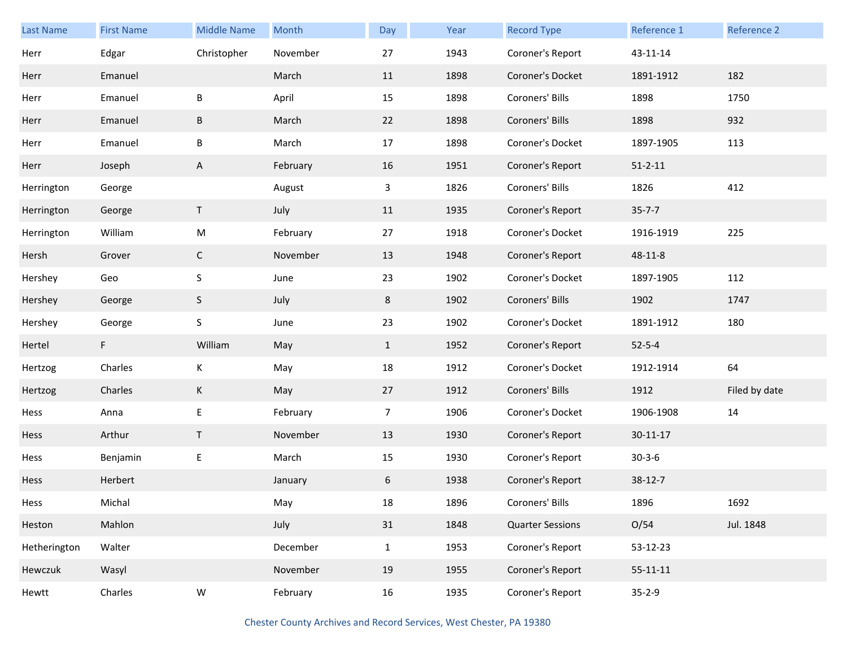| Last Name    | <b>First Name</b> | Middle Name  | Month    | Day            | Year | <b>Record Type</b>      | Reference 1    | Reference 2   |
|--------------|-------------------|--------------|----------|----------------|------|-------------------------|----------------|---------------|
| Herr         | Edgar             | Christopher  | November | 27             | 1943 | Coroner's Report        | 43-11-14       |               |
| Herr         | Emanuel           |              | March    | 11             | 1898 | Coroner's Docket        | 1891-1912      | 182           |
| Herr         | Emanuel           | В            | April    | 15             | 1898 | Coroners' Bills         | 1898           | 1750          |
| Herr         | Emanuel           | B            | March    | 22             | 1898 | Coroners' Bills         | 1898           | 932           |
| Herr         | Emanuel           | B            | March    | 17             | 1898 | Coroner's Docket        | 1897-1905      | 113           |
| Herr         | Joseph            | A            | February | 16             | 1951 | Coroner's Report        | $51 - 2 - 11$  |               |
| Herrington   | George            |              | August   | 3              | 1826 | Coroners' Bills         | 1826           | 412           |
| Herrington   | George            | T.           | July     | 11             | 1935 | Coroner's Report        | $35 - 7 - 7$   |               |
| Herrington   | William           | ${\sf M}$    | February | 27             | 1918 | Coroner's Docket        | 1916-1919      | 225           |
| Hersh        | Grover            | $\mathsf{C}$ | November | 13             | 1948 | Coroner's Report        | 48-11-8        |               |
| Hershey      | Geo               | $\sf S$      | June     | 23             | 1902 | Coroner's Docket        | 1897-1905      | 112           |
| Hershey      | George            | S            | July     | 8              | 1902 | Coroners' Bills         | 1902           | 1747          |
| Hershey      | George            | $\sf S$      | June     | 23             | 1902 | Coroner's Docket        | 1891-1912      | 180           |
| Hertel       | F.                | William      | May      | $\mathbf{1}$   | 1952 | Coroner's Report        | $52 - 5 - 4$   |               |
| Hertzog      | Charles           | Κ            | May      | 18             | 1912 | Coroner's Docket        | 1912-1914      | 64            |
| Hertzog      | Charles           | K            | May      | 27             | 1912 | Coroners' Bills         | 1912           | Filed by date |
| Hess         | Anna              | E            | February | $\overline{7}$ | 1906 | Coroner's Docket        | 1906-1908      | 14            |
| Hess         | Arthur            | $\mathsf T$  | November | 13             | 1930 | Coroner's Report        | $30 - 11 - 17$ |               |
| Hess         | Benjamin          | E            | March    | 15             | 1930 | Coroner's Report        | $30 - 3 - 6$   |               |
| Hess         | Herbert           |              | January  | 6              | 1938 | Coroner's Report        | 38-12-7        |               |
| Hess         | Michal            |              | May      | $18\,$         | 1896 | Coroners' Bills         | 1896           | 1692          |
| Heston       | Mahlon            |              | July     | 31             | 1848 | <b>Quarter Sessions</b> | O/54           | Jul. 1848     |
| Hetherington | Walter            |              | December | $\mathbf{1}$   | 1953 | Coroner's Report        | 53-12-23       |               |
| Hewczuk      | Wasyl             |              | November | 19             | 1955 | Coroner's Report        | $55 - 11 - 11$ |               |
| Hewtt        | Charles           | ${\sf W}$    | February | 16             | 1935 | Coroner's Report        | $35 - 2 - 9$   |               |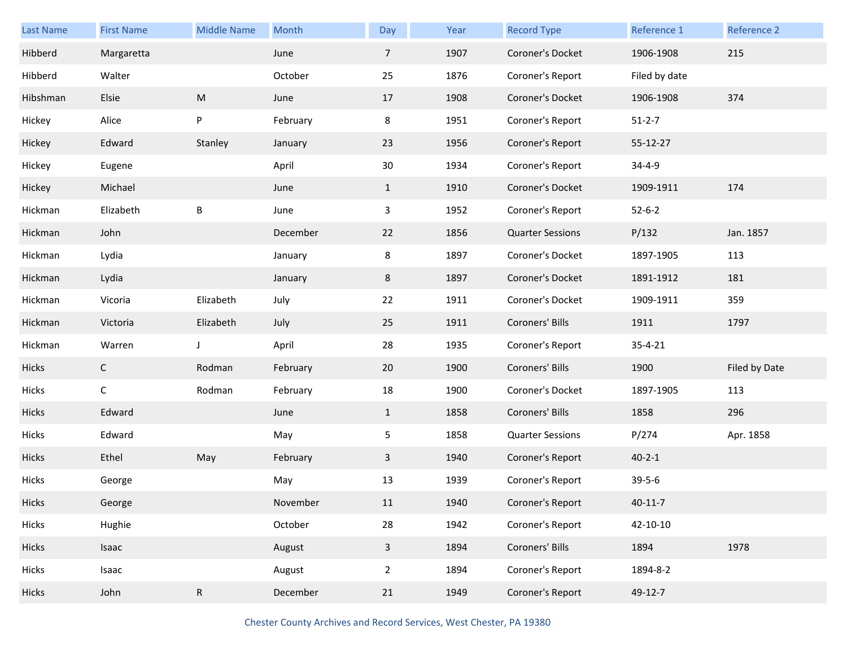| <b>Last Name</b> | <b>First Name</b> | <b>Middle Name</b> | Month    | Day            | Year | <b>Record Type</b>      | Reference 1    | Reference 2   |
|------------------|-------------------|--------------------|----------|----------------|------|-------------------------|----------------|---------------|
| Hibberd          | Margaretta        |                    | June     | $\overline{7}$ | 1907 | Coroner's Docket        | 1906-1908      | 215           |
| Hibberd          | Walter            |                    | October  | 25             | 1876 | Coroner's Report        | Filed by date  |               |
| Hibshman         | Elsie             | M                  | June     | 17             | 1908 | Coroner's Docket        | 1906-1908      | 374           |
| Hickey           | Alice             | P                  | February | 8              | 1951 | Coroner's Report        | $51 - 2 - 7$   |               |
| Hickey           | Edward            | Stanley            | January  | 23             | 1956 | Coroner's Report        | 55-12-27       |               |
| Hickey           | Eugene            |                    | April    | 30             | 1934 | Coroner's Report        | $34 - 4 - 9$   |               |
| Hickey           | Michael           |                    | June     | $\mathbf{1}$   | 1910 | Coroner's Docket        | 1909-1911      | 174           |
| Hickman          | Elizabeth         | B                  | June     | 3              | 1952 | Coroner's Report        | $52 - 6 - 2$   |               |
| Hickman          | John              |                    | December | 22             | 1856 | <b>Quarter Sessions</b> | P/132          | Jan. 1857     |
| Hickman          | Lydia             |                    | January  | 8              | 1897 | Coroner's Docket        | 1897-1905      | 113           |
| Hickman          | Lydia             |                    | January  | 8              | 1897 | Coroner's Docket        | 1891-1912      | 181           |
| Hickman          | Vicoria           | Elizabeth          | July     | 22             | 1911 | Coroner's Docket        | 1909-1911      | 359           |
| Hickman          | Victoria          | Elizabeth          | July     | 25             | 1911 | Coroners' Bills         | 1911           | 1797          |
| Hickman          | Warren            | J                  | April    | 28             | 1935 | Coroner's Report        | $35 - 4 - 21$  |               |
| Hicks            | $\mathsf{C}$      | Rodman             | February | 20             | 1900 | Coroners' Bills         | 1900           | Filed by Date |
| Hicks            | $\mathsf C$       | Rodman             | February | 18             | 1900 | Coroner's Docket        | 1897-1905      | 113           |
| <b>Hicks</b>     | Edward            |                    | June     | $\mathbf{1}$   | 1858 | Coroners' Bills         | 1858           | 296           |
| Hicks            | Edward            |                    | May      | 5              | 1858 | <b>Quarter Sessions</b> | P/274          | Apr. 1858     |
| <b>Hicks</b>     | Ethel             | May                | February | $\mathbf{3}$   | 1940 | Coroner's Report        | $40 - 2 - 1$   |               |
| Hicks            | George            |                    | May      | 13             | 1939 | Coroner's Report        | $39 - 5 - 6$   |               |
| Hicks            | George            |                    | November | 11             | 1940 | Coroner's Report        | $40 - 11 - 7$  |               |
| Hicks            | Hughie            |                    | October  | 28             | 1942 | Coroner's Report        | $42 - 10 - 10$ |               |
| Hicks            | Isaac             |                    | August   | $\mathbf{3}$   | 1894 | Coroners' Bills         | 1894           | 1978          |
| Hicks            | Isaac             |                    | August   | $\overline{2}$ | 1894 | Coroner's Report        | 1894-8-2       |               |
| Hicks            | John              | $\mathsf R$        | December | 21             | 1949 | Coroner's Report        | 49-12-7        |               |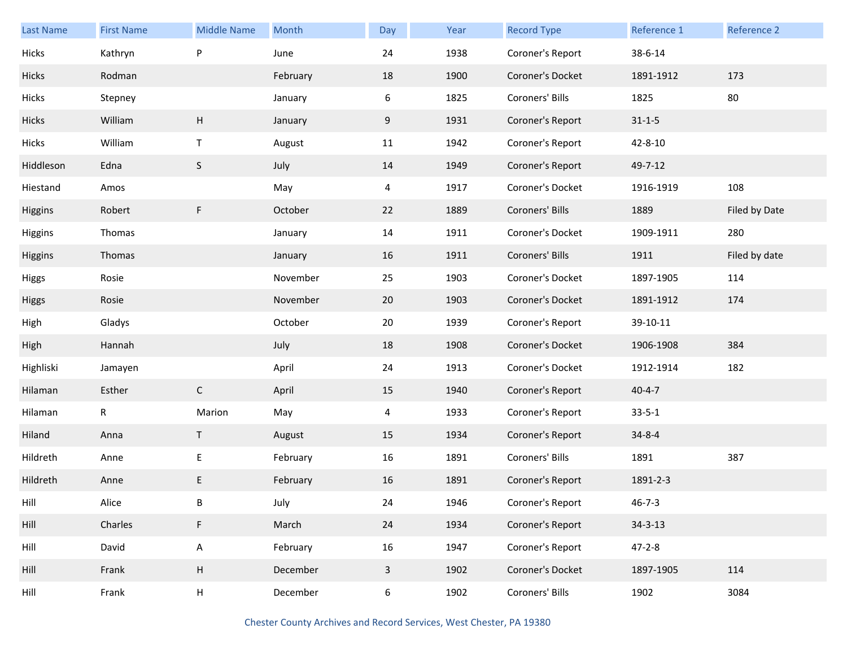| <b>Last Name</b> | <b>First Name</b> | <b>Middle Name</b> | Month    | Day          | Year | <b>Record Type</b> | Reference 1   | Reference 2   |
|------------------|-------------------|--------------------|----------|--------------|------|--------------------|---------------|---------------|
| Hicks            | Kathryn           | P                  | June     | 24           | 1938 | Coroner's Report   | 38-6-14       |               |
| <b>Hicks</b>     | Rodman            |                    | February | 18           | 1900 | Coroner's Docket   | 1891-1912     | 173           |
| Hicks            | Stepney           |                    | January  | 6            | 1825 | Coroners' Bills    | 1825          | 80            |
| Hicks            | William           | H                  | January  | 9            | 1931 | Coroner's Report   | $31 - 1 - 5$  |               |
| Hicks            | William           | $\mathsf{T}$       | August   | 11           | 1942 | Coroner's Report   | 42-8-10       |               |
| Hiddleson        | Edna              | $\mathsf S$        | July     | 14           | 1949 | Coroner's Report   | 49-7-12       |               |
| Hiestand         | Amos              |                    | May      | 4            | 1917 | Coroner's Docket   | 1916-1919     | 108           |
| Higgins          | Robert            | F                  | October  | 22           | 1889 | Coroners' Bills    | 1889          | Filed by Date |
| Higgins          | Thomas            |                    | January  | 14           | 1911 | Coroner's Docket   | 1909-1911     | 280           |
| Higgins          | Thomas            |                    | January  | 16           | 1911 | Coroners' Bills    | 1911          | Filed by date |
| <b>Higgs</b>     | Rosie             |                    | November | 25           | 1903 | Coroner's Docket   | 1897-1905     | 114           |
| Higgs            | Rosie             |                    | November | 20           | 1903 | Coroner's Docket   | 1891-1912     | 174           |
| High             | Gladys            |                    | October  | 20           | 1939 | Coroner's Report   | 39-10-11      |               |
| High             | Hannah            |                    | July     | 18           | 1908 | Coroner's Docket   | 1906-1908     | 384           |
| Highliski        | Jamayen           |                    | April    | 24           | 1913 | Coroner's Docket   | 1912-1914     | 182           |
| Hilaman          | Esther            | $\mathsf{C}$       | April    | 15           | 1940 | Coroner's Report   | $40 - 4 - 7$  |               |
| Hilaman          | $\mathsf{R}$      | Marion             | May      | 4            | 1933 | Coroner's Report   | $33 - 5 - 1$  |               |
| Hiland           | Anna              | T                  | August   | 15           | 1934 | Coroner's Report   | $34 - 8 - 4$  |               |
| Hildreth         | Anne              | E                  | February | 16           | 1891 | Coroners' Bills    | 1891          | 387           |
| Hildreth         | Anne              | E                  | February | 16           | 1891 | Coroner's Report   | 1891-2-3      |               |
| Hill             | Alice             | B                  | July     | 24           | 1946 | Coroner's Report   | $46 - 7 - 3$  |               |
| Hill             | Charles           | F                  | March    | 24           | 1934 | Coroner's Report   | $34 - 3 - 13$ |               |
| Hill             | David             | $\mathsf A$        | February | 16           | 1947 | Coroner's Report   | $47 - 2 - 8$  |               |
| Hill             | Frank             | H                  | December | $\mathbf{3}$ | 1902 | Coroner's Docket   | 1897-1905     | 114           |
| Hill             | Frank             | H                  | December | 6            | 1902 | Coroners' Bills    | 1902          | 3084          |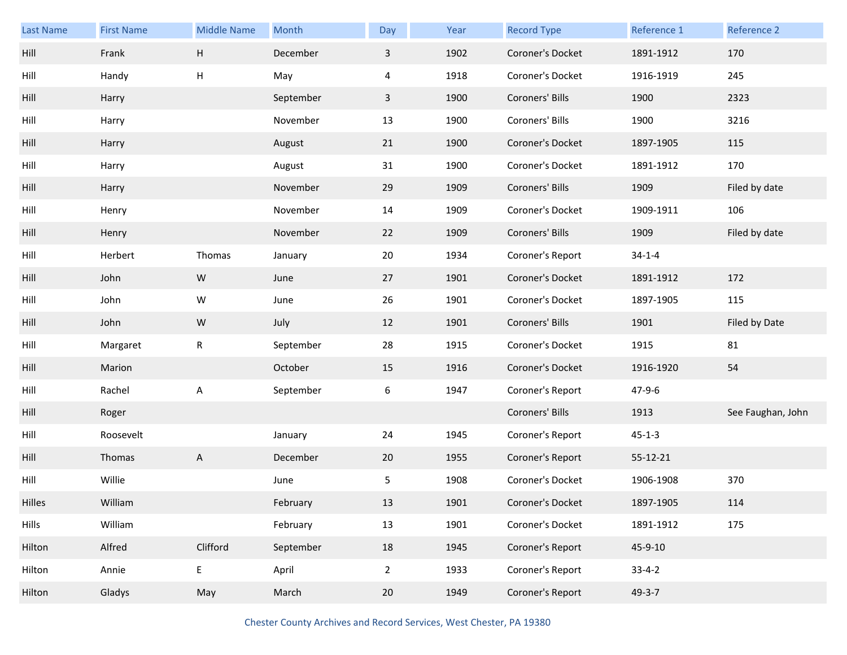| Last Name | <b>First Name</b> | <b>Middle Name</b> | Month     | Day          | Year | <b>Record Type</b> | Reference 1  | Reference 2       |
|-----------|-------------------|--------------------|-----------|--------------|------|--------------------|--------------|-------------------|
| Hill      | Frank             | H                  | December  | $\mathbf{3}$ | 1902 | Coroner's Docket   | 1891-1912    | 170               |
| Hill      | Handy             | H                  | May       | 4            | 1918 | Coroner's Docket   | 1916-1919    | 245               |
| Hill      | Harry             |                    | September | 3            | 1900 | Coroners' Bills    | 1900         | 2323              |
| Hill      | Harry             |                    | November  | 13           | 1900 | Coroners' Bills    | 1900         | 3216              |
| Hill      | Harry             |                    | August    | 21           | 1900 | Coroner's Docket   | 1897-1905    | 115               |
| Hill      | Harry             |                    | August    | 31           | 1900 | Coroner's Docket   | 1891-1912    | 170               |
| Hill      | Harry             |                    | November  | 29           | 1909 | Coroners' Bills    | 1909         | Filed by date     |
| Hill      | Henry             |                    | November  | 14           | 1909 | Coroner's Docket   | 1909-1911    | 106               |
| Hill      | Henry             |                    | November  | 22           | 1909 | Coroners' Bills    | 1909         | Filed by date     |
| Hill      | Herbert           | Thomas             | January   | 20           | 1934 | Coroner's Report   | $34 - 1 - 4$ |                   |
| Hill      | John              | W                  | June      | 27           | 1901 | Coroner's Docket   | 1891-1912    | 172               |
| Hill      | John              | W                  | June      | 26           | 1901 | Coroner's Docket   | 1897-1905    | 115               |
|           |                   |                    |           |              |      |                    |              |                   |
| Hill      | John              | ${\sf W}$          | July      | 12           | 1901 | Coroners' Bills    | 1901         | Filed by Date     |
| Hill      | Margaret          | $\mathsf R$        | September | 28           | 1915 | Coroner's Docket   | 1915         | 81                |
| Hill      | Marion            |                    | October   | 15           | 1916 | Coroner's Docket   | 1916-1920    | 54                |
| Hill      | Rachel            | Α                  | September | 6            | 1947 | Coroner's Report   | $47 - 9 - 6$ |                   |
| Hill      | Roger             |                    |           |              |      | Coroners' Bills    | 1913         | See Faughan, John |
| Hill      | Roosevelt         |                    | January   | 24           | 1945 | Coroner's Report   | $45 - 1 - 3$ |                   |
| Hill      | Thomas            | A                  | December  | 20           | 1955 | Coroner's Report   | 55-12-21     |                   |
| Hill      | Willie            |                    | June      | 5            | 1908 | Coroner's Docket   | 1906-1908    | 370               |
| Hilles    | William           |                    | February  | 13           | 1901 | Coroner's Docket   | 1897-1905    | 114               |
| Hills     | William           |                    | February  | 13           | 1901 | Coroner's Docket   | 1891-1912    | 175               |
| Hilton    | Alfred            | Clifford           | September | 18           | 1945 | Coroner's Report   | 45-9-10      |                   |
| Hilton    | Annie             | $\mathsf E$        | April     | $2^{\circ}$  | 1933 | Coroner's Report   | $33 - 4 - 2$ |                   |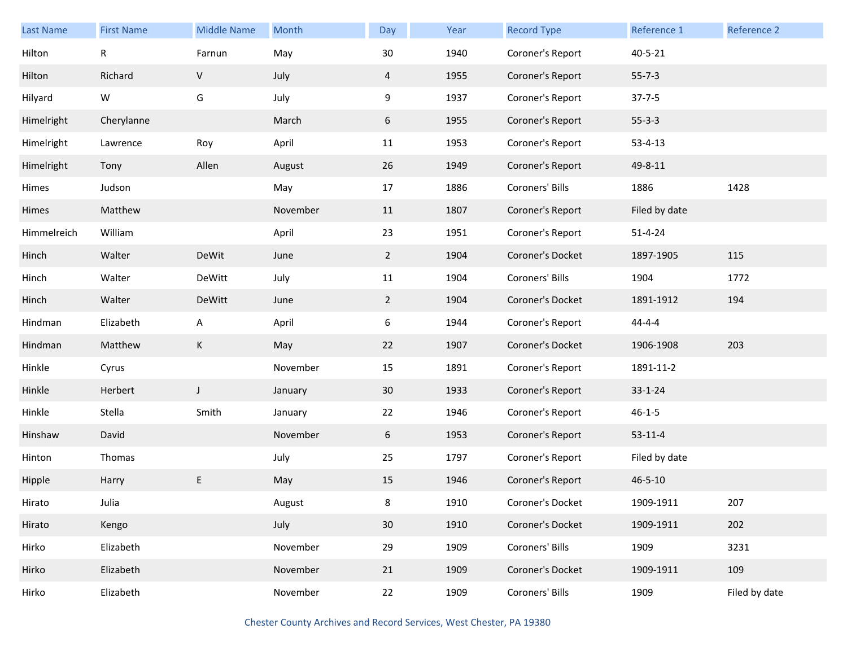| Last Name   | <b>First Name</b> | <b>Middle Name</b> | Month    | Day             | Year | <b>Record Type</b> | Reference 1   | <b>Reference 2</b> |
|-------------|-------------------|--------------------|----------|-----------------|------|--------------------|---------------|--------------------|
| Hilton      | $\mathsf R$       | Farnun             | May      | 30              | 1940 | Coroner's Report   | $40 - 5 - 21$ |                    |
| Hilton      | Richard           | $\sf V$            | July     | 4               | 1955 | Coroner's Report   | $55 - 7 - 3$  |                    |
| Hilyard     | W                 | G                  | July     | 9               | 1937 | Coroner's Report   | $37 - 7 - 5$  |                    |
| Himelright  | Cherylanne        |                    | March    | 6               | 1955 | Coroner's Report   | $55 - 3 - 3$  |                    |
| Himelright  | Lawrence          | Roy                | April    | 11              | 1953 | Coroner's Report   | $53 - 4 - 13$ |                    |
| Himelright  | Tony              | Allen              | August   | 26              | 1949 | Coroner's Report   | 49-8-11       |                    |
| Himes       | Judson            |                    | May      | 17              | 1886 | Coroners' Bills    | 1886          | 1428               |
| Himes       | Matthew           |                    | November | 11              | 1807 | Coroner's Report   | Filed by date |                    |
| Himmelreich | William           |                    | April    | 23              | 1951 | Coroner's Report   | $51 - 4 - 24$ |                    |
| Hinch       | Walter            | DeWit              | June     | $\overline{2}$  | 1904 | Coroner's Docket   | 1897-1905     | 115                |
| Hinch       | Walter            | DeWitt             | July     | 11              | 1904 | Coroners' Bills    | 1904          | 1772               |
| Hinch       | Walter            | DeWitt             | June     | $2^{\circ}$     | 1904 | Coroner's Docket   | 1891-1912     | 194                |
| Hindman     | Elizabeth         | A                  | April    | 6               | 1944 | Coroner's Report   | $44 - 4 - 4$  |                    |
| Hindman     | Matthew           | K                  | May      | 22              | 1907 | Coroner's Docket   | 1906-1908     | 203                |
| Hinkle      | Cyrus             |                    | November | 15              | 1891 | Coroner's Report   | 1891-11-2     |                    |
| Hinkle      | Herbert           | J                  | January  | 30 <sup>°</sup> | 1933 | Coroner's Report   | $33 - 1 - 24$ |                    |
| Hinkle      | Stella            | Smith              | January  | 22              | 1946 | Coroner's Report   | $46 - 1 - 5$  |                    |
| Hinshaw     | David             |                    | November | 6               | 1953 | Coroner's Report   | $53 - 11 - 4$ |                    |
| Hinton      | Thomas            |                    | July     | 25              | 1797 | Coroner's Report   | Filed by date |                    |
| Hipple      | Harry             | E                  | May      | 15              | 1946 | Coroner's Report   | $46 - 5 - 10$ |                    |
| Hirato      | Julia             |                    | August   | 8               | 1910 | Coroner's Docket   | 1909-1911     | 207                |
| Hirato      | Kengo             |                    | July     | 30              | 1910 | Coroner's Docket   | 1909-1911     | 202                |
| Hirko       | Elizabeth         |                    | November | 29              | 1909 | Coroners' Bills    | 1909          | 3231               |
| Hirko       | Elizabeth         |                    | November | 21              | 1909 | Coroner's Docket   | 1909-1911     | 109                |
| Hirko       | Elizabeth         |                    | November | 22              | 1909 | Coroners' Bills    | 1909          | Filed by date      |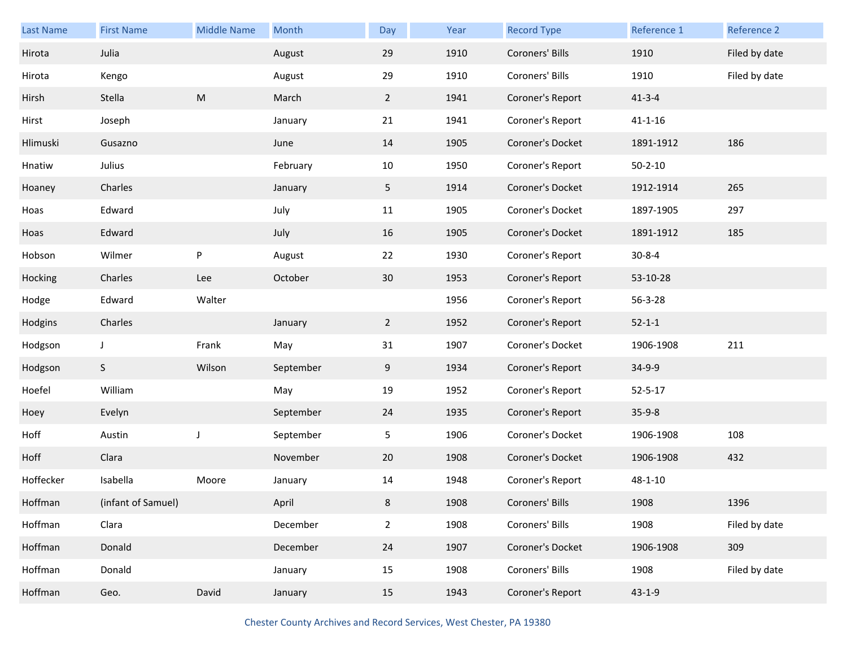| <b>Last Name</b> | <b>First Name</b>  | <b>Middle Name</b> | Month     | Day            | Year | <b>Record Type</b> | Reference 1   | Reference 2   |
|------------------|--------------------|--------------------|-----------|----------------|------|--------------------|---------------|---------------|
| Hirota           | Julia              |                    | August    | 29             | 1910 | Coroners' Bills    | 1910          | Filed by date |
| Hirota           | Kengo              |                    | August    | 29             | 1910 | Coroners' Bills    | 1910          | Filed by date |
| Hirsh            | Stella             | ${\sf M}$          | March     | $\overline{2}$ | 1941 | Coroner's Report   | $41 - 3 - 4$  |               |
| Hirst            | Joseph             |                    | January   | 21             | 1941 | Coroner's Report   | $41 - 1 - 16$ |               |
| Hlimuski         | Gusazno            |                    | June      | 14             | 1905 | Coroner's Docket   | 1891-1912     | 186           |
| Hnatiw           | Julius             |                    | February  | 10             | 1950 | Coroner's Report   | $50 - 2 - 10$ |               |
| Hoaney           | Charles            |                    | January   | 5              | 1914 | Coroner's Docket   | 1912-1914     | 265           |
| Hoas             | Edward             |                    | July      | 11             | 1905 | Coroner's Docket   | 1897-1905     | 297           |
| Hoas             | Edward             |                    | July      | 16             | 1905 | Coroner's Docket   | 1891-1912     | 185           |
| Hobson           | Wilmer             | P                  | August    | 22             | 1930 | Coroner's Report   | $30 - 8 - 4$  |               |
| Hocking          | Charles            | Lee                | October   | 30             | 1953 | Coroner's Report   | 53-10-28      |               |
| Hodge            | Edward             | Walter             |           |                | 1956 | Coroner's Report   | 56-3-28       |               |
| Hodgins          | Charles            |                    | January   | $\overline{2}$ | 1952 | Coroner's Report   | $52 - 1 - 1$  |               |
| Hodgson          | J                  | Frank              | May       | 31             | 1907 | Coroner's Docket   | 1906-1908     | 211           |
| Hodgson          | S                  | Wilson             | September | 9              | 1934 | Coroner's Report   | 34-9-9        |               |
| Hoefel           | William            |                    | May       | 19             | 1952 | Coroner's Report   | $52 - 5 - 17$ |               |
| Hoey             | Evelyn             |                    | September | 24             | 1935 | Coroner's Report   | $35 - 9 - 8$  |               |
| Hoff             | Austin             | J                  | September | 5              | 1906 | Coroner's Docket   | 1906-1908     | 108           |
| Hoff             | Clara              |                    | November  | 20             | 1908 | Coroner's Docket   | 1906-1908     | 432           |
| Hoffecker        | Isabella           | Moore              | January   | 14             | 1948 | Coroner's Report   | $48 - 1 - 10$ |               |
| Hoffman          | (infant of Samuel) |                    | April     | 8              | 1908 | Coroners' Bills    | 1908          | 1396          |
| Hoffman          | Clara              |                    | December  | $\overline{2}$ | 1908 | Coroners' Bills    | 1908          | Filed by date |
| Hoffman          | Donald             |                    | December  | 24             | 1907 | Coroner's Docket   | 1906-1908     | 309           |
| Hoffman          | Donald             |                    | January   | 15             | 1908 | Coroners' Bills    | 1908          | Filed by date |
| Hoffman          | Geo.               | David              | January   | 15             | 1943 | Coroner's Report   | $43 - 1 - 9$  |               |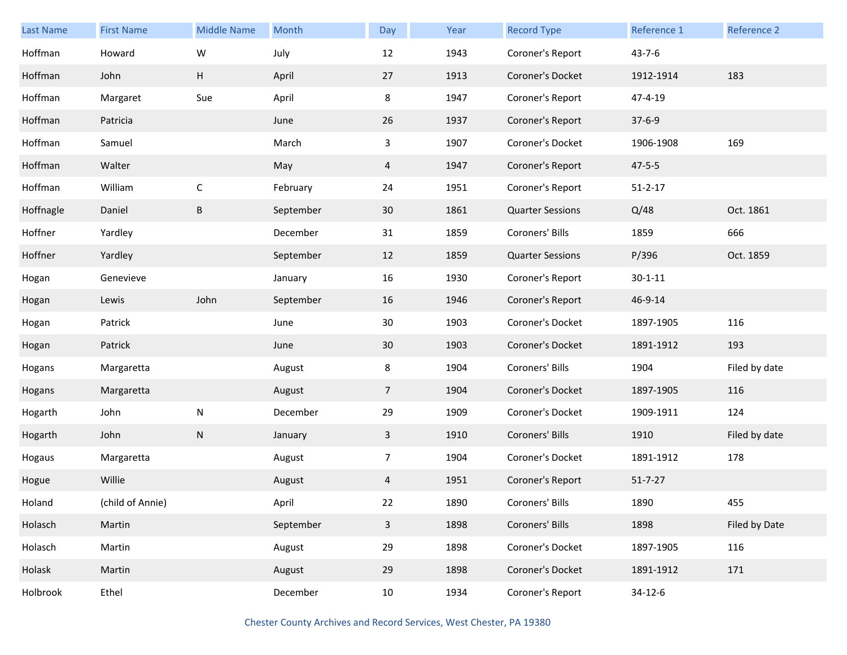| <b>Last Name</b> | <b>First Name</b> | <b>Middle Name</b> | Month     | Day            | Year | <b>Record Type</b>      | Reference 1   | Reference 2   |
|------------------|-------------------|--------------------|-----------|----------------|------|-------------------------|---------------|---------------|
| Hoffman          | Howard            | W                  | July      | 12             | 1943 | Coroner's Report        | $43 - 7 - 6$  |               |
| Hoffman          | John              | H                  | April     | 27             | 1913 | Coroner's Docket        | 1912-1914     | 183           |
| Hoffman          | Margaret          | Sue                | April     | 8              | 1947 | Coroner's Report        | 47-4-19       |               |
| Hoffman          | Patricia          |                    | June      | 26             | 1937 | Coroner's Report        | $37 - 6 - 9$  |               |
| Hoffman          | Samuel            |                    | March     | $\mathbf{3}$   | 1907 | Coroner's Docket        | 1906-1908     | 169           |
| Hoffman          | Walter            |                    | May       | 4              | 1947 | Coroner's Report        | $47 - 5 - 5$  |               |
| Hoffman          | William           | $\mathsf C$        | February  | 24             | 1951 | Coroner's Report        | $51 - 2 - 17$ |               |
| Hoffnagle        | Daniel            | B                  | September | 30             | 1861 | <b>Quarter Sessions</b> | Q/48          | Oct. 1861     |
| Hoffner          | Yardley           |                    | December  | 31             | 1859 | Coroners' Bills         | 1859          | 666           |
| Hoffner          | Yardley           |                    | September | 12             | 1859 | <b>Quarter Sessions</b> | P/396         | Oct. 1859     |
| Hogan            | Genevieve         |                    | January   | 16             | 1930 | Coroner's Report        | $30 - 1 - 11$ |               |
| Hogan            | Lewis             | John               | September | 16             | 1946 | Coroner's Report        | 46-9-14       |               |
| Hogan            | Patrick           |                    | June      | 30             | 1903 | Coroner's Docket        | 1897-1905     | 116           |
| Hogan            | Patrick           |                    | June      | 30             | 1903 | Coroner's Docket        | 1891-1912     | 193           |
| Hogans           | Margaretta        |                    | August    | 8              | 1904 | Coroners' Bills         | 1904          | Filed by date |
| Hogans           | Margaretta        |                    | August    | $\overline{7}$ | 1904 | Coroner's Docket        | 1897-1905     | 116           |
| Hogarth          | John              | N                  | December  | 29             | 1909 | Coroner's Docket        | 1909-1911     | 124           |
| Hogarth          | John              | ${\sf N}$          | January   | $\mathbf{3}$   | 1910 | Coroners' Bills         | 1910          | Filed by date |
| Hogaus           | Margaretta        |                    | August    | 7 <sup>7</sup> | 1904 | Coroner's Docket        | 1891-1912     | 178           |
| Hogue            | Willie            |                    | August    | 4              | 1951 | Coroner's Report        | $51 - 7 - 27$ |               |
| Holand           | (child of Annie)  |                    | April     | 22             | 1890 | Coroners' Bills         | 1890          | 455           |
| Holasch          | Martin            |                    | September | $\mathbf{3}$   | 1898 | Coroners' Bills         | 1898          | Filed by Date |
| Holasch          | Martin            |                    | August    | 29             | 1898 | Coroner's Docket        | 1897-1905     | 116           |
| Holask           | Martin            |                    | August    | 29             | 1898 | Coroner's Docket        | 1891-1912     | 171           |
| Holbrook         | Ethel             |                    | December  | 10             | 1934 | Coroner's Report        | $34-12-6$     |               |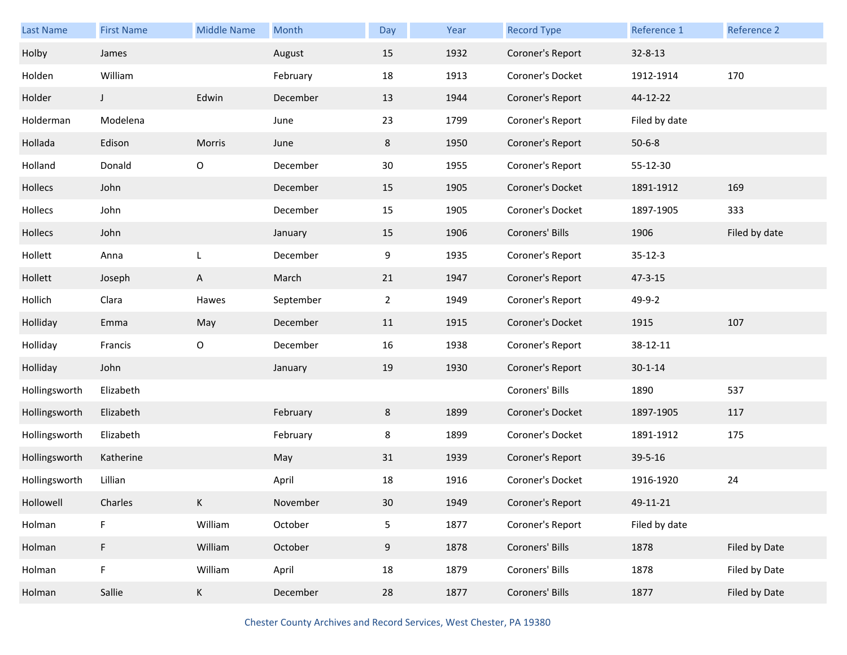| <b>Last Name</b> | <b>First Name</b> | <b>Middle Name</b> | Month     | Day          | Year | <b>Record Type</b> | Reference 1   | Reference 2   |
|------------------|-------------------|--------------------|-----------|--------------|------|--------------------|---------------|---------------|
| Holby            | James             |                    | August    | 15           | 1932 | Coroner's Report   | $32 - 8 - 13$ |               |
| Holden           | William           |                    | February  | 18           | 1913 | Coroner's Docket   | 1912-1914     | 170           |
| Holder           | J                 | Edwin              | December  | 13           | 1944 | Coroner's Report   | 44-12-22      |               |
| Holderman        | Modelena          |                    | June      | 23           | 1799 | Coroner's Report   | Filed by date |               |
| Hollada          | Edison            | Morris             | June      | 8            | 1950 | Coroner's Report   | $50 - 6 - 8$  |               |
| Holland          | Donald            | O                  | December  | 30           | 1955 | Coroner's Report   | 55-12-30      |               |
| Hollecs          | John              |                    | December  | 15           | 1905 | Coroner's Docket   | 1891-1912     | 169           |
| Hollecs          | John              |                    | December  | 15           | 1905 | Coroner's Docket   | 1897-1905     | 333           |
| Hollecs          | John              |                    | January   | 15           | 1906 | Coroners' Bills    | 1906          | Filed by date |
| Hollett          | Anna              | L                  | December  | 9            | 1935 | Coroner's Report   | $35 - 12 - 3$ |               |
| Hollett          | Joseph            | A                  | March     | 21           | 1947 | Coroner's Report   | $47 - 3 - 15$ |               |
| Hollich          | Clara             | Hawes              | September | $\mathbf{2}$ | 1949 | Coroner's Report   | 49-9-2        |               |
| Holliday         | Emma              | May                | December  | 11           | 1915 | Coroner's Docket   | 1915          | 107           |
| Holliday         | Francis           | $\mathsf O$        | December  | 16           | 1938 | Coroner's Report   | 38-12-11      |               |
| Holliday         | John              |                    | January   | 19           | 1930 | Coroner's Report   | $30 - 1 - 14$ |               |
| Hollingsworth    | Elizabeth         |                    |           |              |      | Coroners' Bills    | 1890          | 537           |
| Hollingsworth    | Elizabeth         |                    | February  | 8            | 1899 | Coroner's Docket   | 1897-1905     | 117           |
| Hollingsworth    | Elizabeth         |                    | February  | 8            | 1899 | Coroner's Docket   | 1891-1912     | 175           |
| Hollingsworth    | Katherine         |                    | May       | 31           | 1939 | Coroner's Report   | 39-5-16       |               |
| Hollingsworth    | Lillian           |                    | April     | 18           | 1916 | Coroner's Docket   | 1916-1920     | 24            |
| Hollowell        | Charles           | Κ                  | November  | $30\,$       | 1949 | Coroner's Report   | 49-11-21      |               |
| Holman           | F                 | William            | October   | 5            | 1877 | Coroner's Report   | Filed by date |               |
| Holman           | F                 | William            | October   | 9            | 1878 | Coroners' Bills    | 1878          | Filed by Date |
| Holman           | F                 | William            | April     | 18           | 1879 | Coroners' Bills    | 1878          | Filed by Date |
| Holman           | Sallie            | K                  | December  | 28           | 1877 | Coroners' Bills    | 1877          | Filed by Date |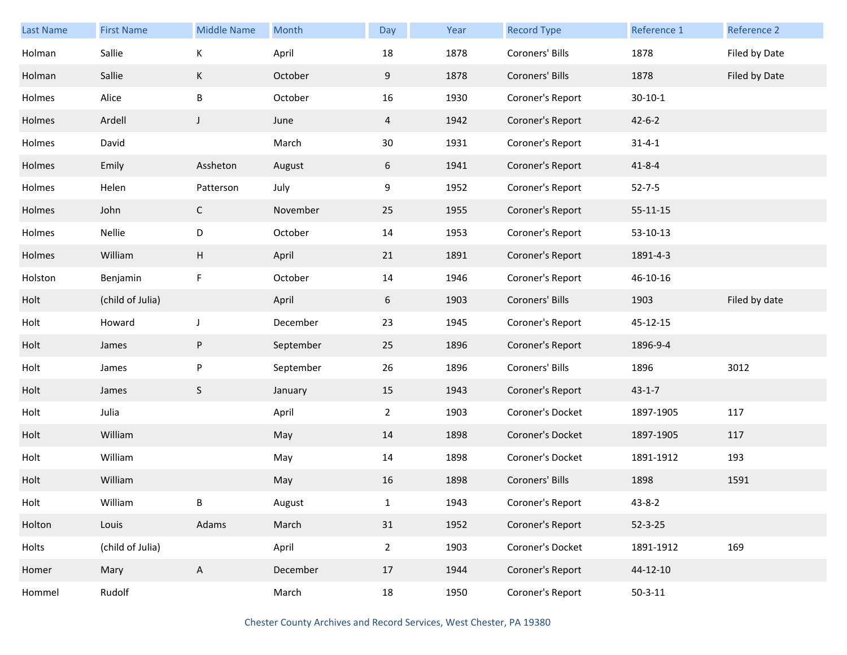| Last Name | <b>First Name</b> | <b>Middle Name</b> | Month     | Day             | Year | <b>Record Type</b> | <b>Reference 1</b> | Reference 2   |
|-----------|-------------------|--------------------|-----------|-----------------|------|--------------------|--------------------|---------------|
| Holman    | Sallie            | К                  | April     | 18              | 1878 | Coroners' Bills    | 1878               | Filed by Date |
| Holman    | Sallie            | К                  | October   | 9               | 1878 | Coroners' Bills    | 1878               | Filed by Date |
| Holmes    | Alice             | B                  | October   | 16              | 1930 | Coroner's Report   | $30 - 10 - 1$      |               |
| Holmes    | Ardell            | J                  | June      | 4               | 1942 | Coroner's Report   | $42 - 6 - 2$       |               |
| Holmes    | David             |                    | March     | 30 <sub>o</sub> | 1931 | Coroner's Report   | $31 - 4 - 1$       |               |
| Holmes    | Emily             | Assheton           | August    | 6               | 1941 | Coroner's Report   | $41 - 8 - 4$       |               |
| Holmes    | Helen             | Patterson          | July      | 9               | 1952 | Coroner's Report   | $52 - 7 - 5$       |               |
| Holmes    | John              | $\mathsf{C}$       | November  | 25              | 1955 | Coroner's Report   | $55 - 11 - 15$     |               |
| Holmes    | Nellie            | D                  | October   | 14              | 1953 | Coroner's Report   | 53-10-13           |               |
| Holmes    | William           | H                  | April     | 21              | 1891 | Coroner's Report   | 1891-4-3           |               |
| Holston   | Benjamin          | F                  | October   | 14              | 1946 | Coroner's Report   | 46-10-16           |               |
| Holt      | (child of Julia)  |                    | April     | 6               | 1903 | Coroners' Bills    | 1903               | Filed by date |
| Holt      | Howard            | J                  | December  | 23              | 1945 | Coroner's Report   | 45-12-15           |               |
| Holt      | James             | P                  | September | 25              | 1896 | Coroner's Report   | 1896-9-4           |               |
| Holt      | James             | P                  | September | 26              | 1896 | Coroners' Bills    | 1896               | 3012          |
| Holt      | James             | S                  | January   | 15              | 1943 | Coroner's Report   | $43 - 1 - 7$       |               |
| Holt      | Julia             |                    | April     | $\overline{2}$  | 1903 | Coroner's Docket   | 1897-1905          | 117           |
| Holt      | William           |                    | May       | 14              | 1898 | Coroner's Docket   | 1897-1905          | 117           |
| Holt      | William           |                    | May       | 14              | 1898 | Coroner's Docket   | 1891-1912          | 193           |
| Holt      | William           |                    | May       | 16              | 1898 | Coroners' Bills    | 1898               | 1591          |
| Holt      | William           | B                  | August    | $\mathbf{1}$    | 1943 | Coroner's Report   | $43 - 8 - 2$       |               |
| Holton    | Louis             | Adams              | March     | 31              | 1952 | Coroner's Report   | $52 - 3 - 25$      |               |
| Holts     | (child of Julia)  |                    | April     | $\overline{2}$  | 1903 | Coroner's Docket   | 1891-1912          | 169           |
| Homer     | Mary              | A                  | December  | 17              | 1944 | Coroner's Report   | 44-12-10           |               |
| Hommel    | Rudolf            |                    | March     | 18              | 1950 | Coroner's Report   | $50 - 3 - 11$      |               |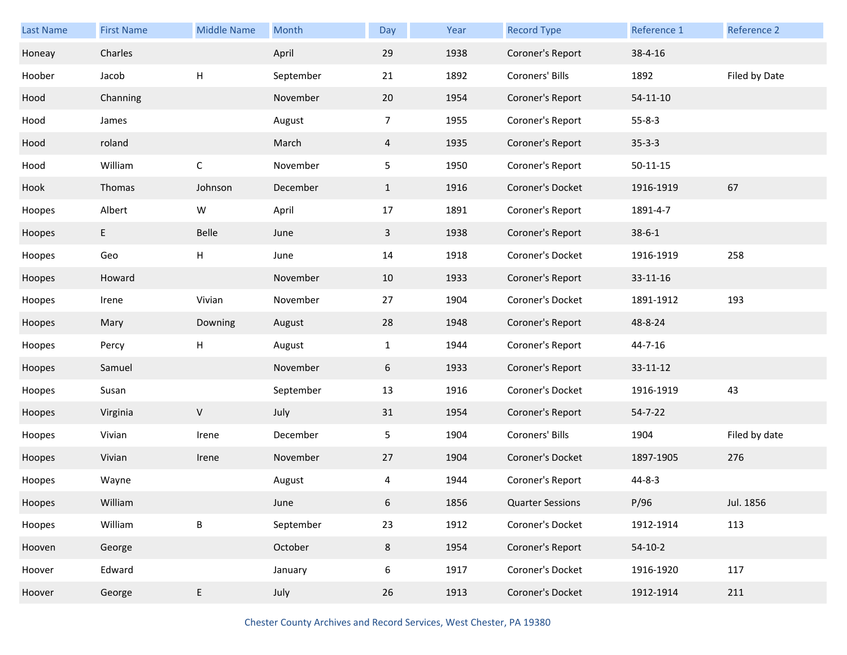| Last Name | <b>First Name</b> | <b>Middle Name</b> | Month     | Day            | Year | <b>Record Type</b>      | Reference 1    | Reference 2   |
|-----------|-------------------|--------------------|-----------|----------------|------|-------------------------|----------------|---------------|
| Honeay    | Charles           |                    | April     | 29             | 1938 | Coroner's Report        | 38-4-16        |               |
| Hoober    | Jacob             | Н                  | September | 21             | 1892 | Coroners' Bills         | 1892           | Filed by Date |
| Hood      | Channing          |                    | November  | 20             | 1954 | Coroner's Report        | $54 - 11 - 10$ |               |
| Hood      | James             |                    | August    | 7 <sup>7</sup> | 1955 | Coroner's Report        | $55 - 8 - 3$   |               |
| Hood      | roland            |                    | March     | $\overline{4}$ | 1935 | Coroner's Report        | $35 - 3 - 3$   |               |
| Hood      | William           | $\mathsf{C}$       | November  | 5              | 1950 | Coroner's Report        | $50 - 11 - 15$ |               |
| Hook      | Thomas            | Johnson            | December  | $\mathbf{1}$   | 1916 | Coroner's Docket        | 1916-1919      | 67            |
| Hoopes    | Albert            | W                  | April     | 17             | 1891 | Coroner's Report        | 1891-4-7       |               |
| Hoopes    | E                 | Belle              | June      | $\mathbf{3}$   | 1938 | Coroner's Report        | $38 - 6 - 1$   |               |
| Hoopes    | Geo               | $\sf H$            | June      | 14             | 1918 | Coroner's Docket        | 1916-1919      | 258           |
| Hoopes    | Howard            |                    | November  | 10             | 1933 | Coroner's Report        | 33-11-16       |               |
| Hoopes    | Irene             | Vivian             | November  | 27             | 1904 | Coroner's Docket        | 1891-1912      | 193           |
| Hoopes    | Mary              | Downing            | August    | 28             | 1948 | Coroner's Report        | 48-8-24        |               |
|           |                   |                    |           |                |      |                         |                |               |
| Hoopes    | Percy             | Н                  | August    | $\mathbf{1}$   | 1944 | Coroner's Report        | 44-7-16        |               |
| Hoopes    | Samuel            |                    | November  | 6              | 1933 | Coroner's Report        | $33 - 11 - 12$ |               |
| Hoopes    | Susan             |                    | September | 13             | 1916 | Coroner's Docket        | 1916-1919      | 43            |
| Hoopes    | Virginia          | $\mathsf V$        | July      | 31             | 1954 | Coroner's Report        | $54 - 7 - 22$  |               |
| Hoopes    | Vivian            | Irene              | December  | 5              | 1904 | Coroners' Bills         | 1904           | Filed by date |
| Hoopes    | Vivian            | Irene              | November  | 27             | 1904 | Coroner's Docket        | 1897-1905      | 276           |
| Hoopes    | Wayne             |                    | August    | 4              | 1944 | Coroner's Report        | $44 - 8 - 3$   |               |
| Hoopes    | William           |                    | June      | 6              | 1856 | <b>Quarter Sessions</b> | P/96           | Jul. 1856     |
| Hoopes    | William           | B                  | September | 23             | 1912 | Coroner's Docket        | 1912-1914      | 113           |
| Hooven    | George            |                    | October   | $8\phantom{.}$ | 1954 | Coroner's Report        | $54-10-2$      |               |
| Hoover    | Edward            |                    | January   | 6              | 1917 | Coroner's Docket        | 1916-1920      | 117           |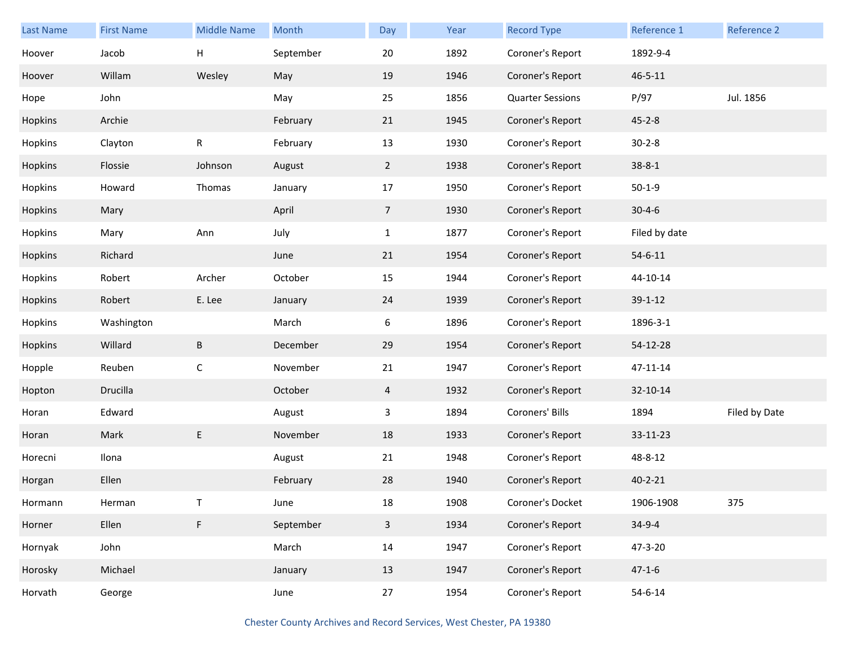| <b>Last Name</b> | <b>First Name</b> | <b>Middle Name</b> | Month     | Day            | Year | <b>Record Type</b>      | Reference 1   | Reference 2   |
|------------------|-------------------|--------------------|-----------|----------------|------|-------------------------|---------------|---------------|
| Hoover           | Jacob             | н                  | September | 20             | 1892 | Coroner's Report        | 1892-9-4      |               |
| Hoover           | Willam            | Wesley             | May       | 19             | 1946 | Coroner's Report        | $46 - 5 - 11$ |               |
| Hope             | John              |                    | May       | 25             | 1856 | <b>Quarter Sessions</b> | P/97          | Jul. 1856     |
| Hopkins          | Archie            |                    | February  | 21             | 1945 | Coroner's Report        | $45 - 2 - 8$  |               |
| Hopkins          | Clayton           | ${\sf R}$          | February  | 13             | 1930 | Coroner's Report        | $30 - 2 - 8$  |               |
| Hopkins          | Flossie           | Johnson            | August    | $\overline{2}$ | 1938 | Coroner's Report        | $38 - 8 - 1$  |               |
| Hopkins          | Howard            | Thomas             | January   | 17             | 1950 | Coroner's Report        | $50-1-9$      |               |
| Hopkins          | Mary              |                    | April     | $\overline{7}$ | 1930 | Coroner's Report        | $30 - 4 - 6$  |               |
| Hopkins          | Mary              | Ann                | July      | $\mathbf{1}$   | 1877 | Coroner's Report        | Filed by date |               |
| Hopkins          | Richard           |                    | June      | 21             | 1954 | Coroner's Report        | $54 - 6 - 11$ |               |
| Hopkins          | Robert            | Archer             | October   | 15             | 1944 | Coroner's Report        | 44-10-14      |               |
| Hopkins          | Robert            | E. Lee             | January   | 24             | 1939 | Coroner's Report        | $39 - 1 - 12$ |               |
| Hopkins          | Washington        |                    | March     | 6              | 1896 | Coroner's Report        | 1896-3-1      |               |
| Hopkins          | Willard           | B                  | December  | 29             | 1954 | Coroner's Report        | 54-12-28      |               |
| Hopple           | Reuben            | $\mathsf C$        | November  | 21             | 1947 | Coroner's Report        | 47-11-14      |               |
| Hopton           | Drucilla          |                    | October   | 4              | 1932 | Coroner's Report        | 32-10-14      |               |
| Horan            | Edward            |                    | August    | 3              | 1894 | Coroners' Bills         | 1894          | Filed by Date |
| Horan            | Mark              | E                  | November  | 18             | 1933 | Coroner's Report        | 33-11-23      |               |
| Horecni          | Ilona             |                    | August    | 21             | 1948 | Coroner's Report        | 48-8-12       |               |
| Horgan           | Ellen             |                    | February  | 28             | 1940 | Coroner's Report        | $40 - 2 - 21$ |               |
| Hormann          | Herman            |                    | June      | $18\,$         | 1908 | Coroner's Docket        | 1906-1908     | 375           |
| Horner           | Ellen             | F                  | September | $\overline{3}$ | 1934 | Coroner's Report        | $34-9-4$      |               |
| Hornyak          | John              |                    | March     | 14             | 1947 | Coroner's Report        | 47-3-20       |               |
| Horosky          | Michael           |                    | January   | 13             | 1947 | Coroner's Report        | $47 - 1 - 6$  |               |
| Horvath          | George            |                    | June      | 27             | 1954 | Coroner's Report        | $54 - 6 - 14$ |               |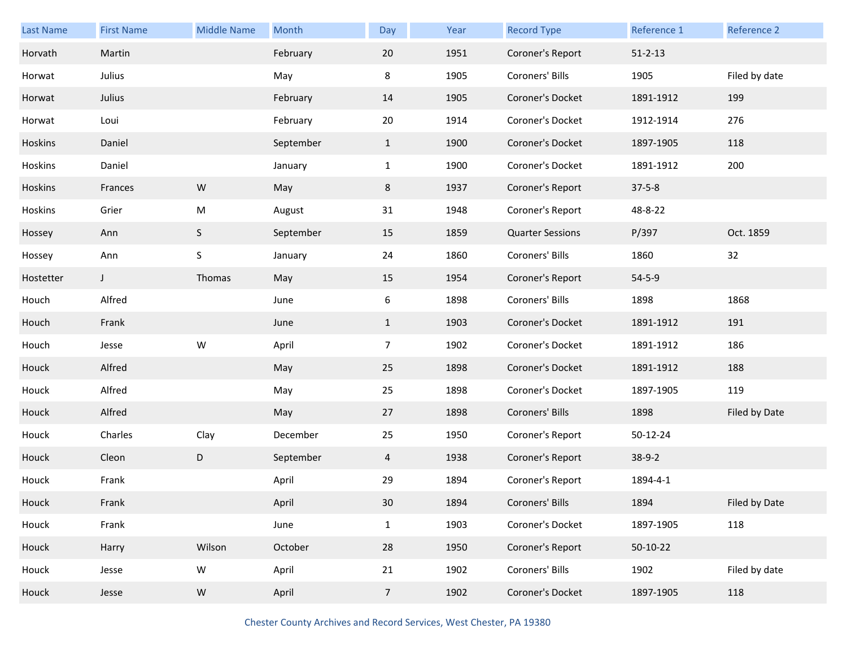| Last Name | <b>First Name</b> | <b>Middle Name</b> | Month     | Day            | Year | <b>Record Type</b>      | Reference 1   | Reference 2   |
|-----------|-------------------|--------------------|-----------|----------------|------|-------------------------|---------------|---------------|
| Horvath   | Martin            |                    | February  | 20             | 1951 | Coroner's Report        | $51 - 2 - 13$ |               |
| Horwat    | Julius            |                    | May       | 8              | 1905 | Coroners' Bills         | 1905          | Filed by date |
| Horwat    | Julius            |                    | February  | 14             | 1905 | Coroner's Docket        | 1891-1912     | 199           |
| Horwat    | Loui              |                    | February  | 20             | 1914 | Coroner's Docket        | 1912-1914     | 276           |
| Hoskins   | Daniel            |                    | September | $\mathbf{1}$   | 1900 | Coroner's Docket        | 1897-1905     | 118           |
| Hoskins   | Daniel            |                    | January   | $\mathbf{1}$   | 1900 | Coroner's Docket        | 1891-1912     | 200           |
| Hoskins   | Frances           | ${\sf W}$          | May       | 8              | 1937 | Coroner's Report        | $37 - 5 - 8$  |               |
| Hoskins   | Grier             | M                  | August    | 31             | 1948 | Coroner's Report        | 48-8-22       |               |
| Hossey    | Ann               | S                  | September | 15             | 1859 | <b>Quarter Sessions</b> | P/397         | Oct. 1859     |
| Hossey    | Ann               | S                  | January   | 24             | 1860 | Coroners' Bills         | 1860          | 32            |
| Hostetter | J                 | Thomas             | May       | 15             | 1954 | Coroner's Report        | $54 - 5 - 9$  |               |
| Houch     | Alfred            |                    | June      | 6              | 1898 | Coroners' Bills         | 1898          | 1868          |
| Houch     | Frank             |                    | June      | $\mathbf{1}$   | 1903 | Coroner's Docket        | 1891-1912     | 191           |
| Houch     | Jesse             | W                  | April     | $\overline{7}$ | 1902 | Coroner's Docket        | 1891-1912     | 186           |
| Houck     | Alfred            |                    | May       | 25             | 1898 | Coroner's Docket        | 1891-1912     | 188           |
| Houck     | Alfred            |                    | May       | 25             | 1898 | Coroner's Docket        | 1897-1905     | 119           |
| Houck     | Alfred            |                    | May       | 27             | 1898 | Coroners' Bills         | 1898          | Filed by Date |
| Houck     | Charles           | Clay               | December  | 25             | 1950 | Coroner's Report        | 50-12-24      |               |
| Houck     | Cleon             | D                  | September | 4              | 1938 | Coroner's Report        | $38-9-2$      |               |
| Houck     | Frank             |                    | April     | 29             | 1894 | Coroner's Report        | 1894-4-1      |               |
| Houck     | Frank             |                    | April     | 30             | 1894 | Coroners' Bills         | 1894          | Filed by Date |
| Houck     | Frank             |                    | June      | $\mathbf{1}$   | 1903 | Coroner's Docket        | 1897-1905     | 118           |
| Houck     | Harry             | Wilson             | October   | 28             | 1950 | Coroner's Report        | 50-10-22      |               |
| Houck     | Jesse             | W                  | April     | 21             | 1902 | Coroners' Bills         | 1902          | Filed by date |
| Houck     | Jesse             | ${\sf W}$          | April     | $\overline{7}$ | 1902 | Coroner's Docket        | 1897-1905     | 118           |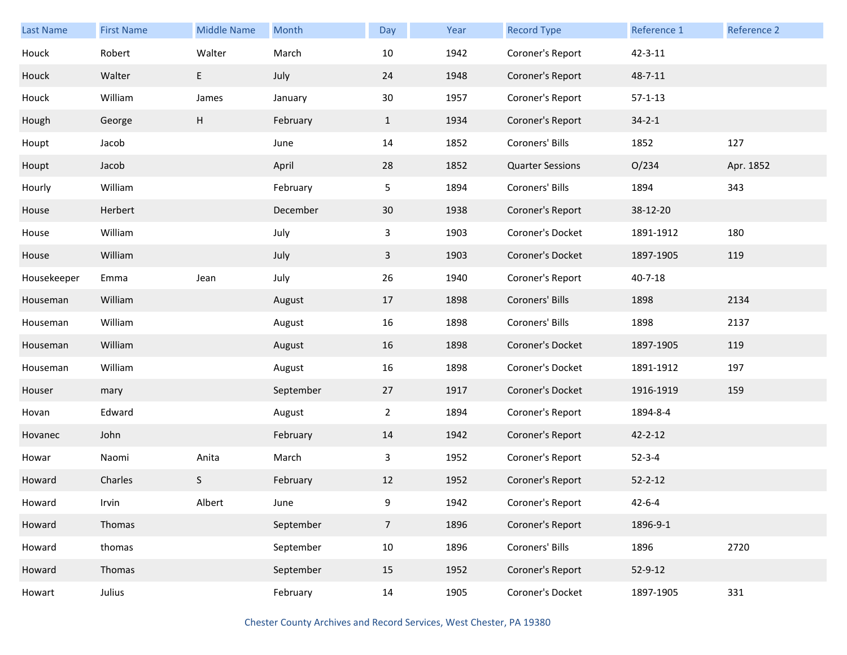| <b>Last Name</b> | <b>First Name</b> | <b>Middle Name</b> | Month     | Day            | Year | <b>Record Type</b>      | Reference 1   | <b>Reference 2</b> |
|------------------|-------------------|--------------------|-----------|----------------|------|-------------------------|---------------|--------------------|
| Houck            | Robert            | Walter             | March     | 10             | 1942 | Coroner's Report        | $42 - 3 - 11$ |                    |
| Houck            | Walter            | E                  | July      | 24             | 1948 | Coroner's Report        | 48-7-11       |                    |
| Houck            | William           | James              | January   | 30             | 1957 | Coroner's Report        | $57 - 1 - 13$ |                    |
| Hough            | George            | н                  | February  | $\mathbf{1}$   | 1934 | Coroner's Report        | $34 - 2 - 1$  |                    |
| Houpt            | Jacob             |                    | June      | 14             | 1852 | Coroners' Bills         | 1852          | 127                |
| Houpt            | Jacob             |                    | April     | 28             | 1852 | <b>Quarter Sessions</b> | O/234         | Apr. 1852          |
| Hourly           | William           |                    | February  | 5              | 1894 | Coroners' Bills         | 1894          | 343                |
| House            | Herbert           |                    | December  | 30             | 1938 | Coroner's Report        | 38-12-20      |                    |
| House            | William           |                    | July      | 3              | 1903 | Coroner's Docket        | 1891-1912     | 180                |
| House            | William           |                    | July      | 3              | 1903 | Coroner's Docket        | 1897-1905     | 119                |
| Housekeeper      | Emma              | Jean               | July      | 26             | 1940 | Coroner's Report        | $40 - 7 - 18$ |                    |
| Houseman         | William           |                    | August    | 17             | 1898 | Coroners' Bills         | 1898          | 2134               |
| Houseman         | William           |                    | August    | 16             | 1898 | Coroners' Bills         | 1898          | 2137               |
| Houseman         | William           |                    | August    | 16             | 1898 | Coroner's Docket        | 1897-1905     | 119                |
| Houseman         | William           |                    | August    | 16             | 1898 | Coroner's Docket        | 1891-1912     | 197                |
| Houser           | mary              |                    | September | 27             | 1917 | Coroner's Docket        | 1916-1919     | 159                |
| Hovan            | Edward            |                    | August    | $\overline{2}$ | 1894 | Coroner's Report        | 1894-8-4      |                    |
| Hovanec          | John              |                    | February  | 14             | 1942 | Coroner's Report        | $42 - 2 - 12$ |                    |
| Howar            | Naomi             | Anita              | March     | 3              | 1952 | Coroner's Report        | $52 - 3 - 4$  |                    |
| Howard           | Charles           | S.                 | February  | 12             | 1952 | Coroner's Report        | $52 - 2 - 12$ |                    |
| Howard           | Irvin             | Albert             | June      | 9              | 1942 | Coroner's Report        | $42 - 6 - 4$  |                    |
| Howard           | Thomas            |                    | September | 7 <sup>7</sup> | 1896 | Coroner's Report        | 1896-9-1      |                    |
| Howard           | thomas            |                    | September | $10\,$         | 1896 | Coroners' Bills         | 1896          | 2720               |
| Howard           | Thomas            |                    | September | 15             | 1952 | Coroner's Report        | 52-9-12       |                    |
| Howart           | Julius            |                    | February  | 14             | 1905 | Coroner's Docket        | 1897-1905     | 331                |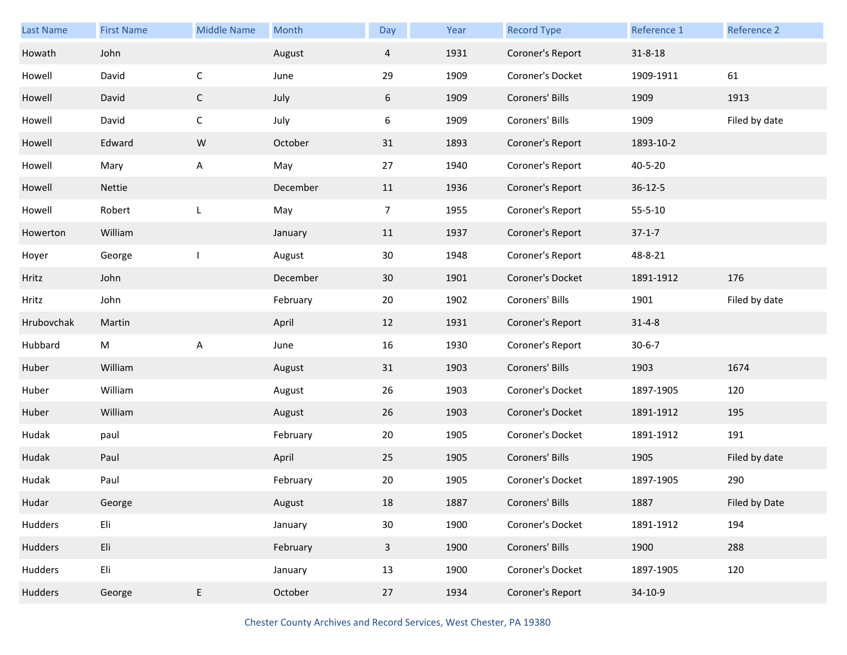| Last Name  | <b>First Name</b> | <b>Middle Name</b> | Month    | Day            | Year | <b>Record Type</b> | Reference 1   | Reference 2   |
|------------|-------------------|--------------------|----------|----------------|------|--------------------|---------------|---------------|
| Howath     | John              |                    | August   | $\overline{4}$ | 1931 | Coroner's Report   | $31 - 8 - 18$ |               |
| Howell     | David             | $\mathsf{C}$       | June     | 29             | 1909 | Coroner's Docket   | 1909-1911     | 61            |
| Howell     | David             | $\mathsf{C}$       | July     | 6              | 1909 | Coroners' Bills    | 1909          | 1913          |
| Howell     | David             | $\mathsf{C}$       | July     | 6              | 1909 | Coroners' Bills    | 1909          | Filed by date |
| Howell     | Edward            | ${\sf W}$          | October  | 31             | 1893 | Coroner's Report   | 1893-10-2     |               |
| Howell     | Mary              | A                  | May      | 27             | 1940 | Coroner's Report   | 40-5-20       |               |
| Howell     | Nettie            |                    | December | 11             | 1936 | Coroner's Report   | $36 - 12 - 5$ |               |
| Howell     | Robert            | L                  | May      | $\overline{7}$ | 1955 | Coroner's Report   | $55 - 5 - 10$ |               |
| Howerton   | William           |                    | January  | 11             | 1937 | Coroner's Report   | $37 - 1 - 7$  |               |
| Hoyer      | George            |                    | August   | 30             | 1948 | Coroner's Report   | 48-8-21       |               |
| Hritz      | John              |                    | December | 30             | 1901 | Coroner's Docket   | 1891-1912     | 176           |
| Hritz      | John              |                    | February | 20             | 1902 | Coroners' Bills    | 1901          | Filed by date |
| Hrubovchak | Martin            |                    | April    | 12             | 1931 | Coroner's Report   | $31 - 4 - 8$  |               |
| Hubbard    | M                 | A                  | June     | 16             | 1930 | Coroner's Report   | $30 - 6 - 7$  |               |
| Huber      | William           |                    | August   | 31             | 1903 | Coroners' Bills    | 1903          | 1674          |
| Huber      | William           |                    | August   | 26             | 1903 | Coroner's Docket   | 1897-1905     | 120           |
| Huber      | William           |                    | August   | 26             | 1903 | Coroner's Docket   | 1891-1912     | 195           |
| Hudak      | paul              |                    | February | 20             | 1905 | Coroner's Docket   | 1891-1912     | 191           |
| Hudak      | Paul              |                    | April    | 25             | 1905 | Coroners' Bills    | 1905          | Filed by date |
| Hudak      | Paul              |                    | February | 20             | 1905 | Coroner's Docket   | 1897-1905     | 290           |
| Hudar      | George            |                    | August   | 18             | 1887 | Coroners' Bills    | 1887          | Filed by Date |
| Hudders    | Eli               |                    | January  | $30\,$         | 1900 | Coroner's Docket   | 1891-1912     | 194           |
| Hudders    | Eli               |                    | February | $\mathbf{3}$   | 1900 | Coroners' Bills    | 1900          | 288           |
| Hudders    | Eli               |                    | January  | 13             | 1900 | Coroner's Docket   | 1897-1905     | 120           |
| Hudders    | George            | E                  | October  | 27             | 1934 | Coroner's Report   | 34-10-9       |               |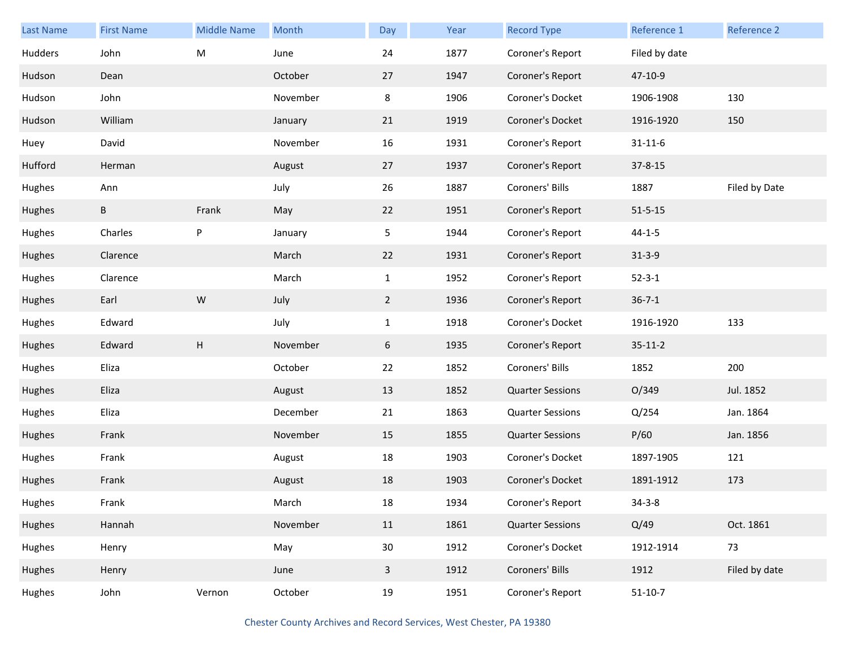| <b>Last Name</b> | <b>First Name</b> | <b>Middle Name</b> | Month    | Day             | Year | <b>Record Type</b>      | Reference 1   | Reference 2   |
|------------------|-------------------|--------------------|----------|-----------------|------|-------------------------|---------------|---------------|
| Hudders          | John              | ${\sf M}$          | June     | 24              | 1877 | Coroner's Report        | Filed by date |               |
| Hudson           | Dean              |                    | October  | 27              | 1947 | Coroner's Report        | 47-10-9       |               |
| Hudson           | John              |                    | November | 8               | 1906 | Coroner's Docket        | 1906-1908     | 130           |
| Hudson           | William           |                    | January  | 21              | 1919 | Coroner's Docket        | 1916-1920     | 150           |
| Huey             | David             |                    | November | 16              | 1931 | Coroner's Report        | $31 - 11 - 6$ |               |
| Hufford          | Herman            |                    | August   | 27              | 1937 | Coroner's Report        | $37 - 8 - 15$ |               |
| Hughes           | Ann               |                    | July     | 26              | 1887 | Coroners' Bills         | 1887          | Filed by Date |
| Hughes           | B                 | Frank              | May      | 22              | 1951 | Coroner's Report        | $51 - 5 - 15$ |               |
| Hughes           | Charles           | ${\sf P}$          | January  | 5 <sub>1</sub>  | 1944 | Coroner's Report        | $44 - 1 - 5$  |               |
| Hughes           | Clarence          |                    | March    | 22              | 1931 | Coroner's Report        | $31 - 3 - 9$  |               |
| Hughes           | Clarence          |                    | March    | $\mathbf{1}$    | 1952 | Coroner's Report        | $52 - 3 - 1$  |               |
| Hughes           | Earl              | ${\sf W}$          | July     | $\overline{2}$  | 1936 | Coroner's Report        | $36 - 7 - 1$  |               |
| Hughes           | Edward            |                    | July     | $\mathbf{1}$    | 1918 | Coroner's Docket        | 1916-1920     | 133           |
| Hughes           | Edward            | H                  | November | 6               | 1935 | Coroner's Report        | $35 - 11 - 2$ |               |
| Hughes           | Eliza             |                    | October  | 22              | 1852 | Coroners' Bills         | 1852          | 200           |
| Hughes           | Eliza             |                    | August   | 13              | 1852 | <b>Quarter Sessions</b> | O/349         | Jul. 1852     |
| Hughes           | Eliza             |                    | December | 21              | 1863 | <b>Quarter Sessions</b> | Q/254         | Jan. 1864     |
| Hughes           | Frank             |                    | November | 15              | 1855 | <b>Quarter Sessions</b> | P/60          | Jan. 1856     |
| Hughes           | Frank             |                    | August   | 18              | 1903 | Coroner's Docket        | 1897-1905     | 121           |
| Hughes           | Frank             |                    | August   | 18              | 1903 | Coroner's Docket        | 1891-1912     | 173           |
| Hughes           | Frank             |                    | March    | $18\,$          | 1934 | Coroner's Report        | $34 - 3 - 8$  |               |
| Hughes           | Hannah            |                    | November | 11              | 1861 | <b>Quarter Sessions</b> | Q/49          | Oct. 1861     |
| Hughes           | Henry             |                    | May      | 30 <sub>o</sub> | 1912 | Coroner's Docket        | 1912-1914     | 73            |
| Hughes           | Henry             |                    | June     | $\mathbf{3}$    | 1912 | Coroners' Bills         | 1912          | Filed by date |
| Hughes           | John              | Vernon             | October  | 19              | 1951 | Coroner's Report        | $51 - 10 - 7$ |               |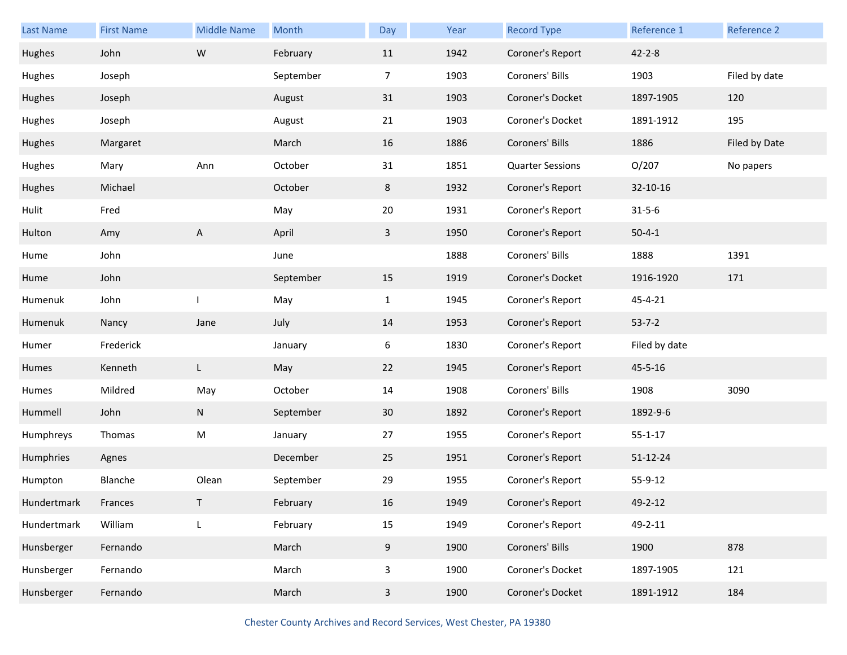| Last Name   | <b>First Name</b> | <b>Middle Name</b> | Month     | Day            | Year | <b>Record Type</b>      | Reference 1    | Reference 2   |
|-------------|-------------------|--------------------|-----------|----------------|------|-------------------------|----------------|---------------|
| Hughes      | John              | ${\sf W}$          | February  | 11             | 1942 | Coroner's Report        | $42 - 2 - 8$   |               |
| Hughes      | Joseph            |                    | September | $\overline{7}$ | 1903 | Coroners' Bills         | 1903           | Filed by date |
| Hughes      | Joseph            |                    | August    | 31             | 1903 | Coroner's Docket        | 1897-1905      | 120           |
| Hughes      | Joseph            |                    | August    | 21             | 1903 | Coroner's Docket        | 1891-1912      | 195           |
| Hughes      | Margaret          |                    | March     | 16             | 1886 | Coroners' Bills         | 1886           | Filed by Date |
| Hughes      | Mary              | Ann                | October   | 31             | 1851 | <b>Quarter Sessions</b> | O/207          | No papers     |
| Hughes      | Michael           |                    | October   | 8              | 1932 | Coroner's Report        | 32-10-16       |               |
| Hulit       | Fred              |                    | May       | 20             | 1931 | Coroner's Report        | $31 - 5 - 6$   |               |
| Hulton      | Amy               | A                  | April     | $\overline{3}$ | 1950 | Coroner's Report        | $50 - 4 - 1$   |               |
| Hume        | John              |                    | June      |                | 1888 | Coroners' Bills         | 1888           | 1391          |
| Hume        | John              |                    | September | 15             | 1919 | Coroner's Docket        | 1916-1920      | 171           |
| Humenuk     | John              |                    | May       | $\mathbf{1}$   | 1945 | Coroner's Report        | 45-4-21        |               |
| Humenuk     | Nancy             | Jane               | July      | 14             | 1953 | Coroner's Report        | $53 - 7 - 2$   |               |
| Humer       | Frederick         |                    | January   | 6              | 1830 | Coroner's Report        | Filed by date  |               |
| Humes       | Kenneth           | L                  | May       | 22             | 1945 | Coroner's Report        | 45-5-16        |               |
| Humes       | Mildred           | May                | October   | 14             | 1908 | Coroners' Bills         | 1908           | 3090          |
| Hummell     | John              | N                  | September | 30             | 1892 | Coroner's Report        | 1892-9-6       |               |
| Humphreys   | Thomas            | M                  | January   | 27             | 1955 | Coroner's Report        | $55 - 1 - 17$  |               |
| Humphries   | Agnes             |                    | December  | 25             | 1951 | Coroner's Report        | $51 - 12 - 24$ |               |
| Humpton     | Blanche           | Olean              | September | 29             | 1955 | Coroner's Report        | 55-9-12        |               |
| Hundertmark | Frances           |                    | February  | 16             | 1949 | Coroner's Report        | 49-2-12        |               |
| Hundertmark | William           | L                  | February  | 15             | 1949 | Coroner's Report        | 49-2-11        |               |
| Hunsberger  | Fernando          |                    | March     | 9              | 1900 | Coroners' Bills         | 1900           | 878           |
| Hunsberger  | Fernando          |                    | March     | 3              | 1900 | Coroner's Docket        | 1897-1905      | 121           |
| Hunsberger  | Fernando          |                    | March     | $\mathbf{3}$   | 1900 | Coroner's Docket        | 1891-1912      | 184           |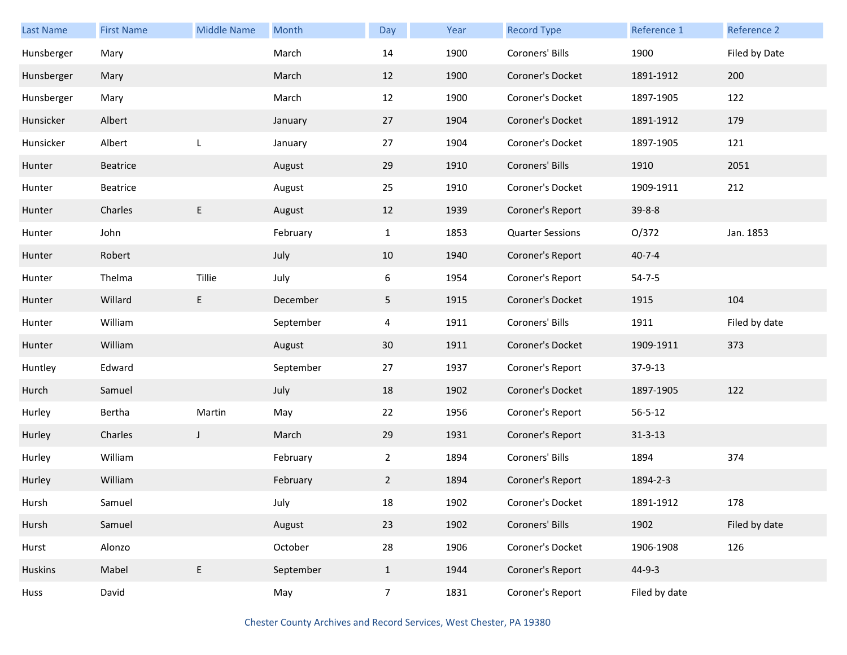| Last Name  | <b>First Name</b> | <b>Middle Name</b> | Month     | Day            | Year | <b>Record Type</b>      | Reference 1   | Reference 2   |
|------------|-------------------|--------------------|-----------|----------------|------|-------------------------|---------------|---------------|
| Hunsberger | Mary              |                    | March     | 14             | 1900 | Coroners' Bills         | 1900          | Filed by Date |
| Hunsberger | Mary              |                    | March     | 12             | 1900 | Coroner's Docket        | 1891-1912     | 200           |
| Hunsberger | Mary              |                    | March     | 12             | 1900 | Coroner's Docket        | 1897-1905     | 122           |
| Hunsicker  | Albert            |                    | January   | 27             | 1904 | Coroner's Docket        | 1891-1912     | 179           |
| Hunsicker  | Albert            | L                  | January   | 27             | 1904 | Coroner's Docket        | 1897-1905     | 121           |
| Hunter     | Beatrice          |                    | August    | 29             | 1910 | Coroners' Bills         | 1910          | 2051          |
| Hunter     | Beatrice          |                    | August    | 25             | 1910 | Coroner's Docket        | 1909-1911     | 212           |
| Hunter     | Charles           | E                  | August    | 12             | 1939 | Coroner's Report        | $39 - 8 - 8$  |               |
| Hunter     | John              |                    | February  | $\mathbf{1}$   | 1853 | <b>Quarter Sessions</b> | O/372         | Jan. 1853     |
| Hunter     | Robert            |                    | July      | 10             | 1940 | Coroner's Report        | $40 - 7 - 4$  |               |
| Hunter     | Thelma            | Tillie             | July      | 6              | 1954 | Coroner's Report        | $54 - 7 - 5$  |               |
| Hunter     | Willard           | E.                 | December  | 5              | 1915 | Coroner's Docket        | 1915          | 104           |
| Hunter     | William           |                    | September | 4              | 1911 | Coroners' Bills         | 1911          | Filed by date |
| Hunter     | William           |                    | August    | 30             | 1911 | Coroner's Docket        | 1909-1911     | 373           |
| Huntley    | Edward            |                    | September | 27             | 1937 | Coroner's Report        | 37-9-13       |               |
| Hurch      | Samuel            |                    | July      | 18             | 1902 | Coroner's Docket        | 1897-1905     | 122           |
| Hurley     | Bertha            | Martin             | May       | 22             | 1956 | Coroner's Report        | $56 - 5 - 12$ |               |
| Hurley     | Charles           | J                  | March     | 29             | 1931 | Coroner's Report        | $31 - 3 - 13$ |               |
| Hurley     | William           |                    | February  | $\overline{2}$ | 1894 | Coroners' Bills         | 1894          | 374           |
| Hurley     | William           |                    | February  | $\mathbf{2}$   | 1894 | Coroner's Report        | 1894-2-3      |               |
| Hursh      | Samuel            |                    | July      | 18             | 1902 | Coroner's Docket        | 1891-1912     | 178           |
| Hursh      | Samuel            |                    | August    | 23             | 1902 | Coroners' Bills         | 1902          | Filed by date |
| Hurst      | Alonzo            |                    | October   | 28             | 1906 | Coroner's Docket        | 1906-1908     | 126           |
| Huskins    | Mabel             | E                  | September | $\mathbf{1}$   | 1944 | Coroner's Report        | 44-9-3        |               |
| Huss       | David             |                    | May       | 7 <sup>7</sup> | 1831 | Coroner's Report        | Filed by date |               |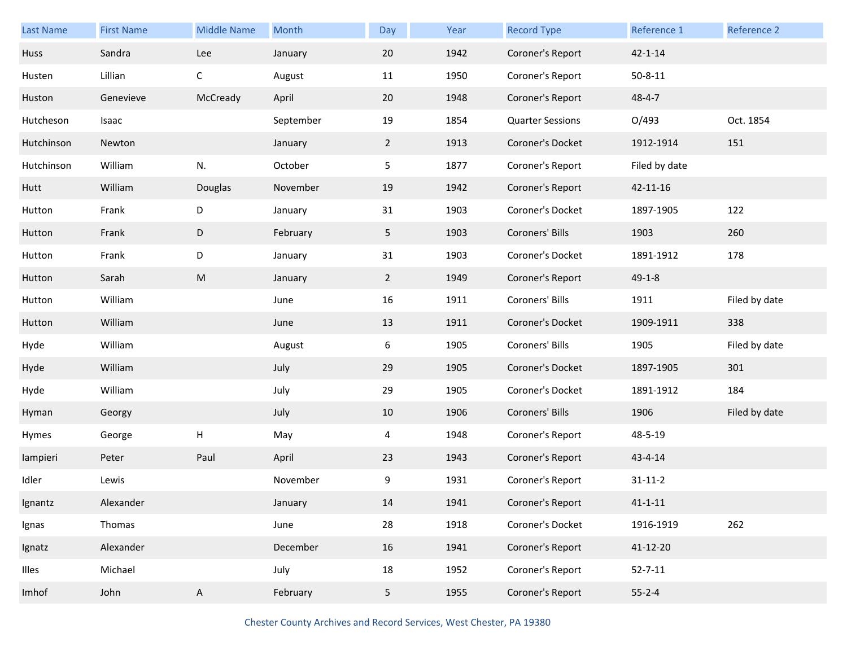| <b>Last Name</b> | <b>First Name</b> | <b>Middle Name</b> | Month     | Day            | Year | <b>Record Type</b>      | Reference 1   | Reference 2   |
|------------------|-------------------|--------------------|-----------|----------------|------|-------------------------|---------------|---------------|
| Huss             | Sandra            | Lee                | January   | 20             | 1942 | Coroner's Report        | $42 - 1 - 14$ |               |
| Husten           | Lillian           | $\mathsf C$        | August    | 11             | 1950 | Coroner's Report        | $50 - 8 - 11$ |               |
| Huston           | Genevieve         | McCready           | April     | 20             | 1948 | Coroner's Report        | $48 - 4 - 7$  |               |
| Hutcheson        | Isaac             |                    | September | 19             | 1854 | <b>Quarter Sessions</b> | O/493         | Oct. 1854     |
| Hutchinson       | Newton            |                    | January   | $\overline{2}$ | 1913 | Coroner's Docket        | 1912-1914     | 151           |
| Hutchinson       | William           | N.                 | October   | 5              | 1877 | Coroner's Report        | Filed by date |               |
| Hutt             | William           | Douglas            | November  | 19             | 1942 | Coroner's Report        | 42-11-16      |               |
| Hutton           | Frank             | D                  | January   | 31             | 1903 | Coroner's Docket        | 1897-1905     | 122           |
| Hutton           | Frank             | D                  | February  | 5 <sub>1</sub> | 1903 | Coroners' Bills         | 1903          | 260           |
| Hutton           | Frank             | D                  | January   | 31             | 1903 | Coroner's Docket        | 1891-1912     | 178           |
| Hutton           | Sarah             | ${\sf M}$          | January   | $\overline{2}$ | 1949 | Coroner's Report        | $49 - 1 - 8$  |               |
| Hutton           | William           |                    | June      | 16             | 1911 | Coroners' Bills         | 1911          | Filed by date |
| Hutton           | William           |                    | June      | 13             | 1911 | Coroner's Docket        | 1909-1911     | 338           |
| Hyde             | William           |                    | August    | 6              | 1905 | Coroners' Bills         | 1905          | Filed by date |
| Hyde             | William           |                    | July      | 29             | 1905 | Coroner's Docket        | 1897-1905     | 301           |
| Hyde             | William           |                    | July      | 29             | 1905 | Coroner's Docket        | 1891-1912     | 184           |
| Hyman            | Georgy            |                    | July      | 10             | 1906 | Coroners' Bills         | 1906          | Filed by date |
| Hymes            | George            | Н                  | May       | 4              | 1948 | Coroner's Report        | 48-5-19       |               |
| lampieri         | Peter             | Paul               | April     | 23             | 1943 | Coroner's Report        | $43 - 4 - 14$ |               |
| Idler            | Lewis             |                    | November  | 9              | 1931 | Coroner's Report        | $31 - 11 - 2$ |               |
| Ignantz          | Alexander         |                    | January   | 14             | 1941 | Coroner's Report        | $41 - 1 - 11$ |               |
| Ignas            | Thomas            |                    | June      | 28             | 1918 | Coroner's Docket        | 1916-1919     | 262           |
| Ignatz           | Alexander         |                    | December  | 16             | 1941 | Coroner's Report        | 41-12-20      |               |
| Illes            | Michael           |                    | July      | 18             | 1952 | Coroner's Report        | $52 - 7 - 11$ |               |
| Imhof            | John              | A                  | February  | 5 <sub>1</sub> | 1955 | Coroner's Report        | $55 - 2 - 4$  |               |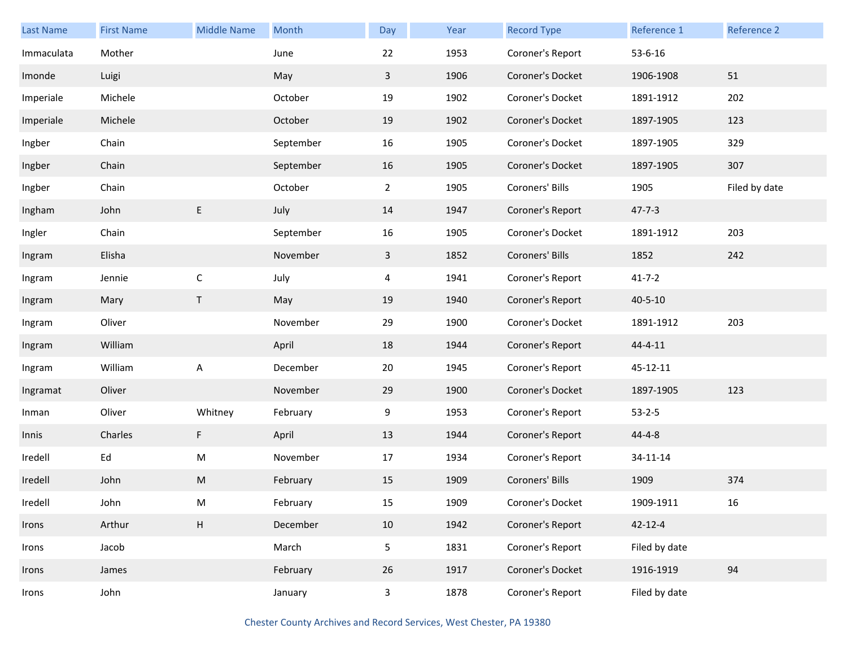| <b>Last Name</b> | <b>First Name</b> | <b>Middle Name</b> | Month     | Day            | Year | <b>Record Type</b> | Reference 1   | Reference 2   |
|------------------|-------------------|--------------------|-----------|----------------|------|--------------------|---------------|---------------|
| Immaculata       | Mother            |                    | June      | 22             | 1953 | Coroner's Report   | $53 - 6 - 16$ |               |
| Imonde           | Luigi             |                    | May       | 3              | 1906 | Coroner's Docket   | 1906-1908     | 51            |
| Imperiale        | Michele           |                    | October   | 19             | 1902 | Coroner's Docket   | 1891-1912     | 202           |
| Imperiale        | Michele           |                    | October   | 19             | 1902 | Coroner's Docket   | 1897-1905     | 123           |
| Ingber           | Chain             |                    | September | 16             | 1905 | Coroner's Docket   | 1897-1905     | 329           |
| Ingber           | Chain             |                    | September | 16             | 1905 | Coroner's Docket   | 1897-1905     | 307           |
| Ingber           | Chain             |                    | October   | $\overline{2}$ | 1905 | Coroners' Bills    | 1905          | Filed by date |
| Ingham           | John              | E                  | July      | 14             | 1947 | Coroner's Report   | $47 - 7 - 3$  |               |
| Ingler           | Chain             |                    | September | 16             | 1905 | Coroner's Docket   | 1891-1912     | 203           |
| Ingram           | Elisha            |                    | November  | 3              | 1852 | Coroners' Bills    | 1852          | 242           |
| Ingram           | Jennie            | $\mathsf C$        | July      | 4              | 1941 | Coroner's Report   | $41 - 7 - 2$  |               |
| Ingram           | Mary              | T.                 | May       | 19             | 1940 | Coroner's Report   | $40 - 5 - 10$ |               |
| Ingram           | Oliver            |                    | November  | 29             | 1900 | Coroner's Docket   | 1891-1912     | 203           |
| Ingram           | William           |                    | April     | 18             | 1944 | Coroner's Report   | $44 - 4 - 11$ |               |
| Ingram           | William           | A                  | December  | 20             | 1945 | Coroner's Report   | 45-12-11      |               |
| Ingramat         | Oliver            |                    | November  | 29             | 1900 | Coroner's Docket   | 1897-1905     | 123           |
| Inman            | Oliver            | Whitney            | February  | 9              | 1953 | Coroner's Report   | $53 - 2 - 5$  |               |
| Innis            | Charles           | F                  | April     | 13             | 1944 | Coroner's Report   | $44 - 4 - 8$  |               |
| Iredell          | Ed                | M                  | November  | 17             | 1934 | Coroner's Report   | 34-11-14      |               |
| Iredell          | John              | M                  | February  | 15             | 1909 | Coroners' Bills    | 1909          | 374           |
| Iredell          | John              | M                  | February  | $15\,$         | 1909 | Coroner's Docket   | 1909-1911     | 16            |
| Irons            | Arthur            | $\mathsf H$        | December  | 10             | 1942 | Coroner's Report   | $42 - 12 - 4$ |               |
| Irons            | Jacob             |                    | March     | 5              | 1831 | Coroner's Report   | Filed by date |               |
| Irons            | James             |                    | February  | 26             | 1917 | Coroner's Docket   | 1916-1919     | 94            |
| Irons            | John              |                    | January   | $\mathsf{3}$   | 1878 | Coroner's Report   | Filed by date |               |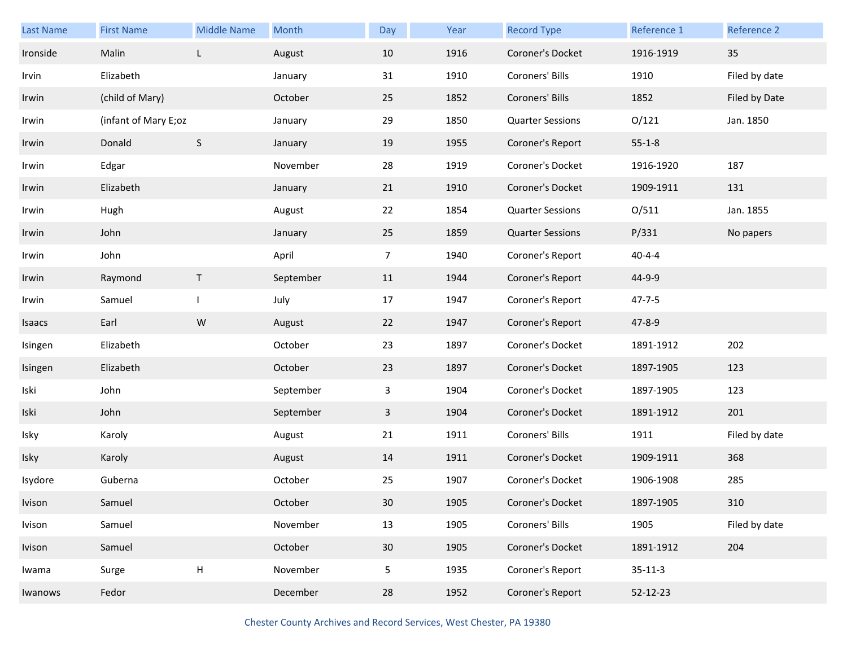| Last Name | <b>First Name</b>    | <b>Middle Name</b>        | Month     | Day             | Year | <b>Record Type</b>      | Reference 1   | Reference 2   |
|-----------|----------------------|---------------------------|-----------|-----------------|------|-------------------------|---------------|---------------|
| Ironside  | Malin                | L                         | August    | 10              | 1916 | Coroner's Docket        | 1916-1919     | 35            |
| Irvin     | Elizabeth            |                           | January   | 31              | 1910 | Coroners' Bills         | 1910          | Filed by date |
| Irwin     | (child of Mary)      |                           | October   | 25              | 1852 | Coroners' Bills         | 1852          | Filed by Date |
| Irwin     | (infant of Mary E;oz |                           | January   | 29              | 1850 | <b>Quarter Sessions</b> | O/121         | Jan. 1850     |
| Irwin     | Donald               | $\mathsf S$               | January   | 19              | 1955 | Coroner's Report        | $55 - 1 - 8$  |               |
| Irwin     | Edgar                |                           | November  | 28              | 1919 | Coroner's Docket        | 1916-1920     | 187           |
| Irwin     | Elizabeth            |                           | January   | 21              | 1910 | Coroner's Docket        | 1909-1911     | 131           |
| Irwin     | Hugh                 |                           | August    | 22              | 1854 | <b>Quarter Sessions</b> | O/511         | Jan. 1855     |
| Irwin     | John                 |                           | January   | 25              | 1859 | <b>Quarter Sessions</b> | P/331         | No papers     |
| Irwin     | John                 |                           | April     | $\overline{7}$  | 1940 | Coroner's Report        | $40 - 4 - 4$  |               |
| Irwin     | Raymond              | T                         | September | 11              | 1944 | Coroner's Report        | 44-9-9        |               |
| Irwin     | Samuel               |                           | July      | 17              | 1947 | Coroner's Report        | $47 - 7 - 5$  |               |
| Isaacs    | Earl                 | ${\sf W}$                 | August    | 22              | 1947 | Coroner's Report        | $47 - 8 - 9$  |               |
| Isingen   | Elizabeth            |                           | October   | 23              | 1897 | Coroner's Docket        | 1891-1912     | 202           |
| Isingen   | Elizabeth            |                           | October   | 23              | 1897 | Coroner's Docket        | 1897-1905     | 123           |
| Iski      | John                 |                           | September | 3               | 1904 | Coroner's Docket        | 1897-1905     | 123           |
| Iski      | John                 |                           | September | $\mathbf{3}$    | 1904 | Coroner's Docket        | 1891-1912     | 201           |
| Isky      | Karoly               |                           | August    | 21              | 1911 | Coroners' Bills         | 1911          | Filed by date |
| Isky      | Karoly               |                           | August    | 14              | 1911 | Coroner's Docket        | 1909-1911     | 368           |
| Isydore   | Guberna              |                           | October   | 25              | 1907 | Coroner's Docket        | 1906-1908     | 285           |
| Ivison    | Samuel               |                           | October   | 30              | 1905 | Coroner's Docket        | 1897-1905     | 310           |
| Ivison    | Samuel               |                           | November  | 13              | 1905 | Coroners' Bills         | 1905          | Filed by date |
| Ivison    | Samuel               |                           | October   | 30              | 1905 | Coroner's Docket        | 1891-1912     | 204           |
| Iwama     | Surge                | $\boldsymbol{\mathsf{H}}$ | November  | $5\phantom{.0}$ | 1935 | Coroner's Report        | $35 - 11 - 3$ |               |
| Iwanows   | Fedor                |                           | December  | 28              | 1952 | Coroner's Report        | 52-12-23      |               |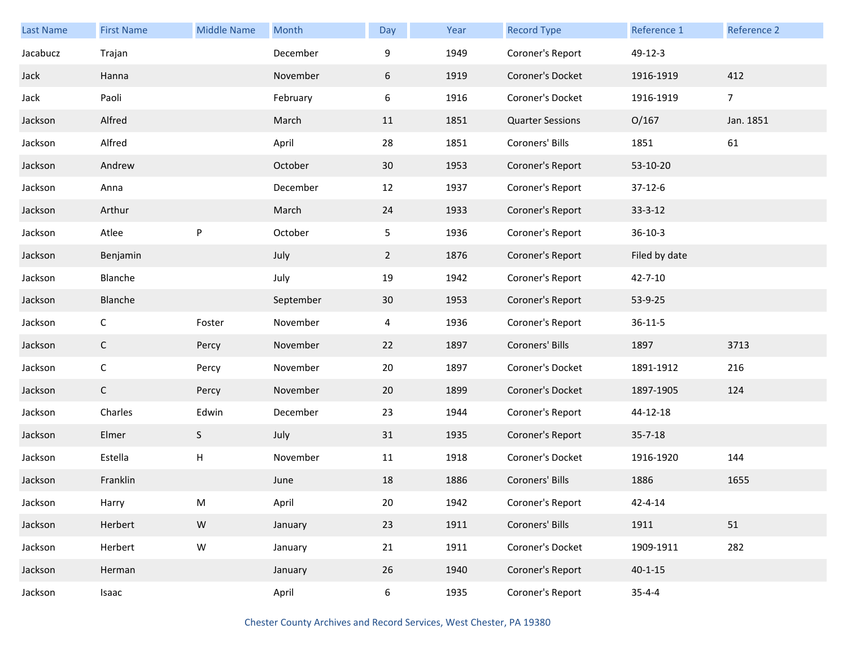| <b>Last Name</b> | <b>First Name</b> | <b>Middle Name</b>        | Month     | Day            | Year | <b>Record Type</b>      | Reference 1   | Reference 2    |
|------------------|-------------------|---------------------------|-----------|----------------|------|-------------------------|---------------|----------------|
| Jacabucz         | Trajan            |                           | December  | 9              | 1949 | Coroner's Report        | 49-12-3       |                |
| Jack             | Hanna             |                           | November  | 6              | 1919 | Coroner's Docket        | 1916-1919     | 412            |
| Jack             | Paoli             |                           | February  | 6              | 1916 | Coroner's Docket        | 1916-1919     | $\overline{7}$ |
| Jackson          | Alfred            |                           | March     | 11             | 1851 | <b>Quarter Sessions</b> | O/167         | Jan. 1851      |
| Jackson          | Alfred            |                           | April     | 28             | 1851 | Coroners' Bills         | 1851          | 61             |
| Jackson          | Andrew            |                           | October   | 30             | 1953 | Coroner's Report        | 53-10-20      |                |
| Jackson          | Anna              |                           | December  | 12             | 1937 | Coroner's Report        | $37-12-6$     |                |
| Jackson          | Arthur            |                           | March     | 24             | 1933 | Coroner's Report        | $33 - 3 - 12$ |                |
| Jackson          | Atlee             | $\sf P$                   | October   | 5 <sub>1</sub> | 1936 | Coroner's Report        | $36 - 10 - 3$ |                |
| Jackson          | Benjamin          |                           | July      | $\overline{2}$ | 1876 | Coroner's Report        | Filed by date |                |
| Jackson          | Blanche           |                           | July      | 19             | 1942 | Coroner's Report        | 42-7-10       |                |
| Jackson          | Blanche           |                           | September | 30             | 1953 | Coroner's Report        | 53-9-25       |                |
| Jackson          | C                 | Foster                    | November  | $\overline{4}$ | 1936 | Coroner's Report        | $36 - 11 - 5$ |                |
| Jackson          | $\mathsf{C}$      | Percy                     | November  | 22             | 1897 | Coroners' Bills         | 1897          | 3713           |
| Jackson          | $\mathsf C$       | Percy                     | November  | 20             | 1897 | Coroner's Docket        | 1891-1912     | 216            |
| Jackson          | $\mathsf{C}$      | Percy                     | November  | 20             | 1899 | Coroner's Docket        | 1897-1905     | 124            |
| Jackson          | Charles           | Edwin                     | December  | 23             | 1944 | Coroner's Report        | 44-12-18      |                |
| Jackson          | Elmer             | S                         | July      | 31             | 1935 | Coroner's Report        | $35 - 7 - 18$ |                |
| Jackson          | Estella           | $\boldsymbol{\mathsf{H}}$ | November  | 11             | 1918 | Coroner's Docket        | 1916-1920     | 144            |
| Jackson          | Franklin          |                           | June      | 18             | 1886 | Coroners' Bills         | 1886          | 1655           |
| Jackson          | Harry             | M                         | April     | 20             | 1942 | Coroner's Report        | 42-4-14       |                |
| Jackson          | Herbert           | ${\sf W}$                 | January   | 23             | 1911 | Coroners' Bills         | 1911          | 51             |
| Jackson          | Herbert           | ${\sf W}$                 | January   | 21             | 1911 | Coroner's Docket        | 1909-1911     | 282            |
| Jackson          | Herman            |                           | January   | 26             | 1940 | Coroner's Report        | $40 - 1 - 15$ |                |
| Jackson          | Isaac             |                           | April     | 6              | 1935 | Coroner's Report        | $35 - 4 - 4$  |                |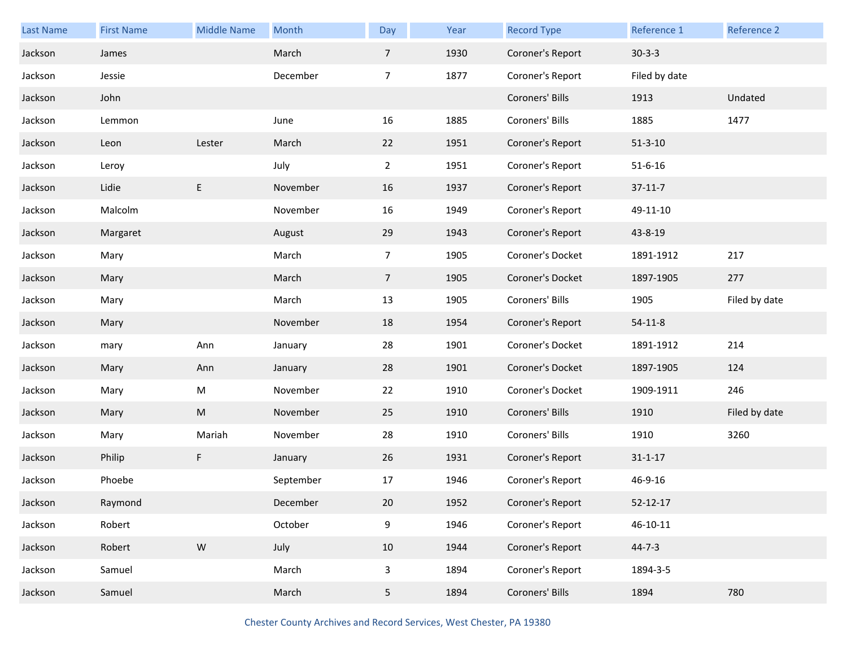| Last Name | <b>First Name</b> | <b>Middle Name</b>                                                                                         | Month     | Day             | Year | <b>Record Type</b> | Reference 1    | Reference 2   |
|-----------|-------------------|------------------------------------------------------------------------------------------------------------|-----------|-----------------|------|--------------------|----------------|---------------|
| Jackson   | James             |                                                                                                            | March     | $\overline{7}$  | 1930 | Coroner's Report   | $30-3-3$       |               |
| Jackson   | Jessie            |                                                                                                            | December  | $\overline{7}$  | 1877 | Coroner's Report   | Filed by date  |               |
| Jackson   | John              |                                                                                                            |           |                 |      | Coroners' Bills    | 1913           | Undated       |
| Jackson   | Lemmon            |                                                                                                            | June      | 16              | 1885 | Coroners' Bills    | 1885           | 1477          |
| Jackson   | Leon              | Lester                                                                                                     | March     | 22              | 1951 | Coroner's Report   | $51 - 3 - 10$  |               |
| Jackson   | Leroy             |                                                                                                            | July      | $\overline{2}$  | 1951 | Coroner's Report   | $51 - 6 - 16$  |               |
| Jackson   | Lidie             | E                                                                                                          | November  | 16              | 1937 | Coroner's Report   | $37-11-7$      |               |
| Jackson   | Malcolm           |                                                                                                            | November  | 16              | 1949 | Coroner's Report   | 49-11-10       |               |
| Jackson   | Margaret          |                                                                                                            | August    | 29              | 1943 | Coroner's Report   | 43-8-19        |               |
| Jackson   | Mary              |                                                                                                            | March     | $\overline{7}$  | 1905 | Coroner's Docket   | 1891-1912      | 217           |
| Jackson   | Mary              |                                                                                                            | March     | $7\overline{ }$ | 1905 | Coroner's Docket   | 1897-1905      | 277           |
| Jackson   | Mary              |                                                                                                            | March     | 13              | 1905 | Coroners' Bills    | 1905           | Filed by date |
| Jackson   | Mary              |                                                                                                            | November  | 18              | 1954 | Coroner's Report   | $54-11-8$      |               |
| Jackson   | mary              | Ann                                                                                                        | January   | 28              | 1901 | Coroner's Docket   | 1891-1912      | 214           |
| Jackson   | Mary              | Ann                                                                                                        | January   | 28              | 1901 | Coroner's Docket   | 1897-1905      | 124           |
| Jackson   | Mary              | M                                                                                                          | November  | 22              | 1910 | Coroner's Docket   | 1909-1911      | 246           |
| Jackson   | Mary              | $\mathsf{M}% _{T}=\mathsf{M}_{T}\!\left( a,b\right) ,\ \mathsf{M}_{T}=\mathsf{M}_{T}\!\left( a,b\right) ,$ | November  | 25              | 1910 | Coroners' Bills    | 1910           | Filed by date |
| Jackson   | Mary              | Mariah                                                                                                     | November  | 28              | 1910 | Coroners' Bills    | 1910           | 3260          |
| Jackson   | Philip            | F                                                                                                          | January   | 26              | 1931 | Coroner's Report   | $31 - 1 - 17$  |               |
| Jackson   | Phoebe            |                                                                                                            | September | 17              | 1946 | Coroner's Report   | 46-9-16        |               |
| Jackson   | Raymond           |                                                                                                            | December  | 20              | 1952 | Coroner's Report   | $52 - 12 - 17$ |               |
| Jackson   | Robert            |                                                                                                            | October   | 9               | 1946 | Coroner's Report   | $46 - 10 - 11$ |               |
| Jackson   | Robert            | ${\sf W}$                                                                                                  | July      | 10              | 1944 | Coroner's Report   | $44 - 7 - 3$   |               |
| Jackson   | Samuel            |                                                                                                            | March     | 3               | 1894 | Coroner's Report   | 1894-3-5       |               |
| Jackson   | Samuel            |                                                                                                            | March     | 5 <sub>1</sub>  | 1894 | Coroners' Bills    | 1894           | 780           |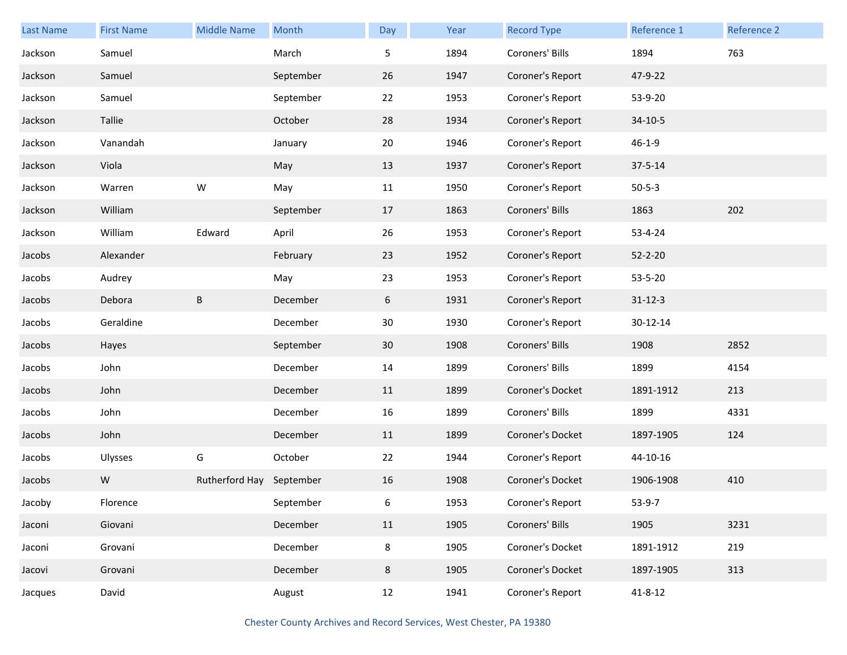| <b>Last Name</b> | <b>First Name</b> | <b>Middle Name</b>       | Month     | Day     | Year | <b>Record Type</b> | Reference 1   | Reference 2 |
|------------------|-------------------|--------------------------|-----------|---------|------|--------------------|---------------|-------------|
| Jackson          | Samuel            |                          | March     | 5       | 1894 | Coroners' Bills    | 1894          | 763         |
| Jackson          | Samuel            |                          | September | 26      | 1947 | Coroner's Report   | 47-9-22       |             |
| Jackson          | Samuel            |                          | September | 22      | 1953 | Coroner's Report   | 53-9-20       |             |
| Jackson          | Tallie            |                          | October   | 28      | 1934 | Coroner's Report   | $34-10-5$     |             |
| Jackson          | Vanandah          |                          | January   | 20      | 1946 | Coroner's Report   | $46 - 1 - 9$  |             |
| Jackson          | Viola             |                          | May       | 13      | 1937 | Coroner's Report   | $37 - 5 - 14$ |             |
| Jackson          | Warren            | W                        | May       | 11      | 1950 | Coroner's Report   | $50 - 5 - 3$  |             |
| Jackson          | William           |                          | September | 17      | 1863 | Coroners' Bills    | 1863          | 202         |
| Jackson          | William           | Edward                   | April     | 26      | 1953 | Coroner's Report   | 53-4-24       |             |
| Jacobs           | Alexander         |                          | February  | 23      | 1952 | Coroner's Report   | $52 - 2 - 20$ |             |
| Jacobs           | Audrey            |                          | May       | 23      | 1953 | Coroner's Report   | 53-5-20       |             |
| Jacobs           | Debora            | B                        | December  | 6       | 1931 | Coroner's Report   | $31 - 12 - 3$ |             |
| Jacobs           | Geraldine         |                          | December  | 30      | 1930 | Coroner's Report   | 30-12-14      |             |
| Jacobs           | Hayes             |                          | September | 30      | 1908 | Coroners' Bills    | 1908          | 2852        |
| Jacobs           | John              |                          | December  | 14      | 1899 | Coroners' Bills    | 1899          | 4154        |
| Jacobs           | John              |                          | December  | 11      | 1899 | Coroner's Docket   | 1891-1912     | 213         |
| Jacobs           | John              |                          | December  | 16      | 1899 | Coroners' Bills    | 1899          | 4331        |
| Jacobs           | John              |                          | December  | 11      | 1899 | Coroner's Docket   | 1897-1905     | 124         |
| Jacobs           | Ulysses           | G                        | October   | 22      | 1944 | Coroner's Report   | 44-10-16      |             |
| Jacobs           | W                 | Rutherford Hay September |           | 16      | 1908 | Coroner's Docket   | 1906-1908     | 410         |
| Jacoby           | Florence          |                          | September | 6       | 1953 | Coroner's Report   | $53-9-7$      |             |
| Jaconi           | Giovani           |                          | December  | 11      | 1905 | Coroners' Bills    | 1905          | 3231        |
| Jaconi           | Grovani           |                          | December  | $\bf 8$ | 1905 | Coroner's Docket   | 1891-1912     | 219         |
| Jacovi           | Grovani           |                          | December  | 8       | 1905 | Coroner's Docket   | 1897-1905     | 313         |
| Jacques          | David             |                          | August    | 12      | 1941 | Coroner's Report   | $41 - 8 - 12$ |             |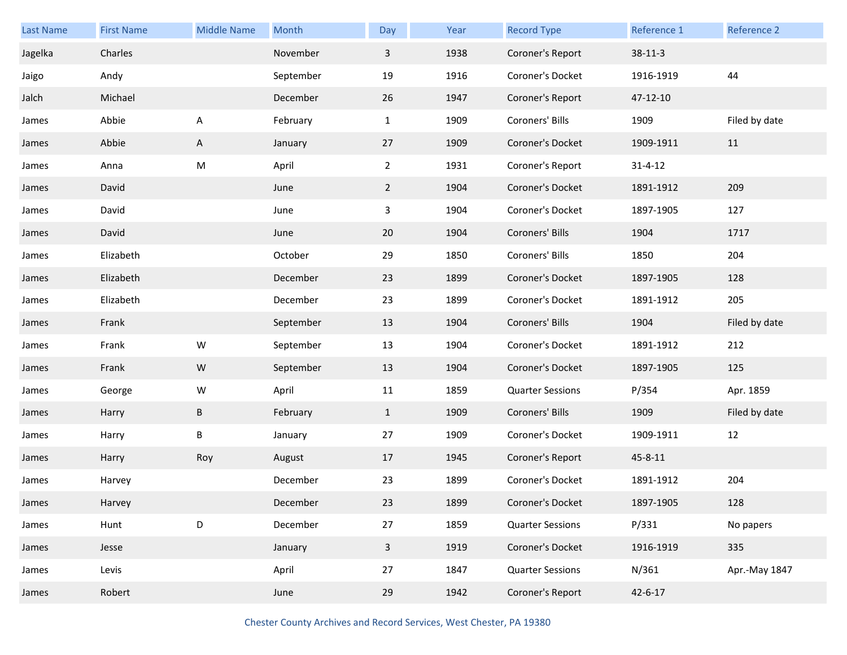| <b>Last Name</b> | <b>First Name</b> | <b>Middle Name</b> | Month     | Day            | Year | <b>Record Type</b>      | Reference 1   | Reference 2   |
|------------------|-------------------|--------------------|-----------|----------------|------|-------------------------|---------------|---------------|
| Jagelka          | Charles           |                    | November  | 3              | 1938 | Coroner's Report        | $38-11-3$     |               |
| Jaigo            | Andy              |                    | September | 19             | 1916 | Coroner's Docket        | 1916-1919     | 44            |
| Jalch            | Michael           |                    | December  | 26             | 1947 | Coroner's Report        | 47-12-10      |               |
| James            | Abbie             | A                  | February  | $\mathbf{1}$   | 1909 | Coroners' Bills         | 1909          | Filed by date |
| James            | Abbie             | A                  | January   | 27             | 1909 | Coroner's Docket        | 1909-1911     | 11            |
| James            | Anna              | M                  | April     | $\overline{2}$ | 1931 | Coroner's Report        | $31 - 4 - 12$ |               |
| James            | David             |                    | June      | $\overline{2}$ | 1904 | Coroner's Docket        | 1891-1912     | 209           |
| James            | David             |                    | June      | 3              | 1904 | Coroner's Docket        | 1897-1905     | 127           |
| James            | David             |                    | June      | 20             | 1904 | Coroners' Bills         | 1904          | 1717          |
| James            | Elizabeth         |                    | October   | 29             | 1850 | Coroners' Bills         | 1850          | 204           |
| James            | Elizabeth         |                    | December  | 23             | 1899 | Coroner's Docket        | 1897-1905     | 128           |
| James            | Elizabeth         |                    | December  | 23             | 1899 | Coroner's Docket        | 1891-1912     | 205           |
| James            | Frank             |                    | September | 13             | 1904 | Coroners' Bills         | 1904          | Filed by date |
|                  |                   |                    |           |                |      |                         |               |               |
| James            | Frank             | W                  | September | 13             | 1904 | Coroner's Docket        | 1891-1912     | 212           |
| James            | Frank             | ${\sf W}$          | September | 13             | 1904 | Coroner's Docket        | 1897-1905     | 125           |
| James            | George            | W                  | April     | 11             | 1859 | <b>Quarter Sessions</b> | P/354         | Apr. 1859     |
| James            | Harry             | $\sf B$            | February  | $\mathbf{1}$   | 1909 | Coroners' Bills         | 1909          | Filed by date |
| James            | Harry             | Β                  | January   | 27             | 1909 | Coroner's Docket        | 1909-1911     | 12            |
| James            | Harry             | Roy                | August    | 17             | 1945 | Coroner's Report        | 45-8-11       |               |
| James            | Harvey            |                    | December  | 23             | 1899 | Coroner's Docket        | 1891-1912     | 204           |
| James            | Harvey            |                    | December  | 23             | 1899 | Coroner's Docket        | 1897-1905     | 128           |
| James            | Hunt              | D                  | December  | 27             | 1859 | <b>Quarter Sessions</b> | P/331         | No papers     |
| James            | Jesse             |                    | January   | $\mathbf{3}$   | 1919 | Coroner's Docket        | 1916-1919     | 335           |
| James            | Levis             |                    | April     | 27             | 1847 | <b>Quarter Sessions</b> | N/361         | Apr.-May 1847 |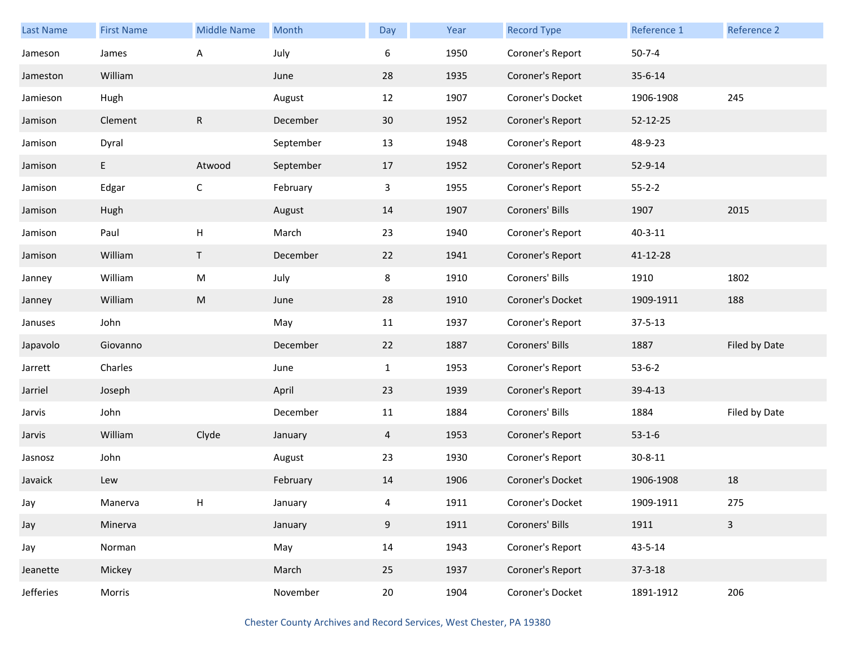| Last Name | <b>First Name</b> | <b>Middle Name</b> | Month     | Day          | Year | <b>Record Type</b> | Reference 1   | Reference 2   |
|-----------|-------------------|--------------------|-----------|--------------|------|--------------------|---------------|---------------|
| Jameson   | James             | A                  | July      | 6            | 1950 | Coroner's Report   | $50 - 7 - 4$  |               |
| Jameston  | William           |                    | June      | 28           | 1935 | Coroner's Report   | 35-6-14       |               |
| Jamieson  | Hugh              |                    | August    | 12           | 1907 | Coroner's Docket   | 1906-1908     | 245           |
| Jamison   | Clement           | R                  | December  | 30           | 1952 | Coroner's Report   | 52-12-25      |               |
| Jamison   | Dyral             |                    | September | 13           | 1948 | Coroner's Report   | 48-9-23       |               |
| Jamison   | E                 | Atwood             | September | 17           | 1952 | Coroner's Report   | 52-9-14       |               |
| Jamison   | Edgar             | С                  | February  | 3            | 1955 | Coroner's Report   | $55 - 2 - 2$  |               |
| Jamison   | Hugh              |                    | August    | 14           | 1907 | Coroners' Bills    | 1907          | 2015          |
| Jamison   | Paul              | Н                  | March     | 23           | 1940 | Coroner's Report   | $40 - 3 - 11$ |               |
| Jamison   | William           | Τ                  | December  | 22           | 1941 | Coroner's Report   | 41-12-28      |               |
| Janney    | William           | ${\sf M}$          | July      | 8            | 1910 | Coroners' Bills    | 1910          | 1802          |
| Janney    | William           | M                  | June      | 28           | 1910 | Coroner's Docket   | 1909-1911     | 188           |
| Januses   | John              |                    | May       | 11           | 1937 | Coroner's Report   | $37 - 5 - 13$ |               |
| Japavolo  | Giovanno          |                    | December  | 22           | 1887 | Coroners' Bills    | 1887          | Filed by Date |
| Jarrett   | Charles           |                    | June      | $\mathbf{1}$ | 1953 | Coroner's Report   | $53-6-2$      |               |
| Jarriel   | Joseph            |                    | April     | 23           | 1939 | Coroner's Report   | $39 - 4 - 13$ |               |
| Jarvis    | John              |                    | December  | 11           | 1884 | Coroners' Bills    | 1884          | Filed by Date |
| Jarvis    | William           | Clyde              | January   | 4            | 1953 | Coroner's Report   | $53-1-6$      |               |
| Jasnosz   | John              |                    | August    | 23           | 1930 | Coroner's Report   | $30 - 8 - 11$ |               |
| Javaick   | Lew               |                    | February  | 14           | 1906 | Coroner's Docket   | 1906-1908     | 18            |
| Jay       | Manerva           | н                  | January   | 4            | 1911 | Coroner's Docket   | 1909-1911     | 275           |
| Jay       | Minerva           |                    | January   | 9            | 1911 | Coroners' Bills    | 1911          | $\mathbf{3}$  |
| Jay       | Norman            |                    | May       | 14           | 1943 | Coroner's Report   | 43-5-14       |               |
| Jeanette  | Mickey            |                    | March     | 25           | 1937 | Coroner's Report   | $37 - 3 - 18$ |               |
| Jefferies | Morris            |                    | November  | 20           | 1904 | Coroner's Docket   | 1891-1912     | 206           |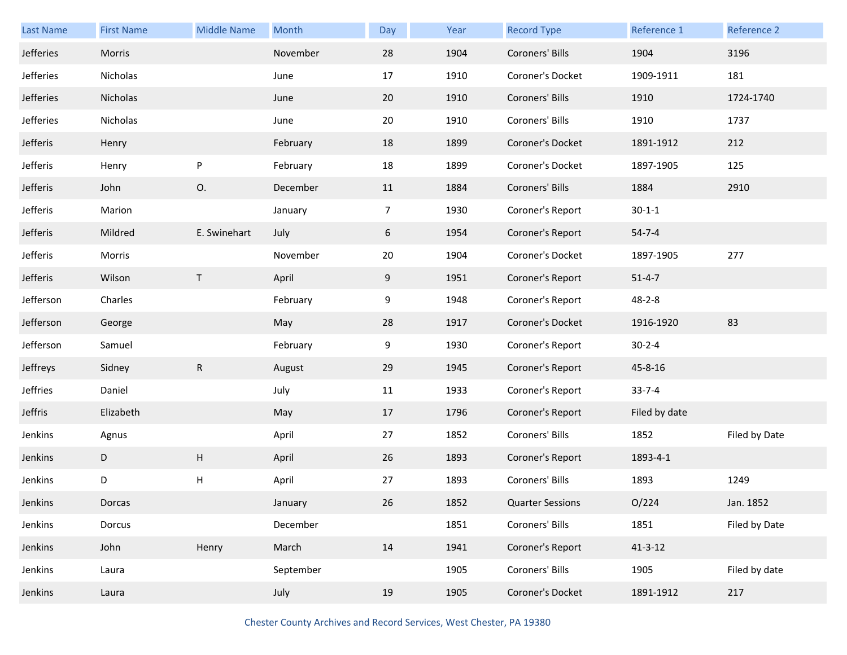| Last Name | <b>First Name</b> | <b>Middle Name</b> | Month     | <b>Day</b> | Year | <b>Record Type</b>      | Reference 1   | Reference 2   |
|-----------|-------------------|--------------------|-----------|------------|------|-------------------------|---------------|---------------|
| Jefferies | Morris            |                    | November  | 28         | 1904 | Coroners' Bills         | 1904          | 3196          |
| Jefferies | Nicholas          |                    | June      | 17         | 1910 | Coroner's Docket        | 1909-1911     | 181           |
| Jefferies | Nicholas          |                    | June      | 20         | 1910 | Coroners' Bills         | 1910          | 1724-1740     |
| Jefferies | Nicholas          |                    | June      | 20         | 1910 | Coroners' Bills         | 1910          | 1737          |
| Jefferis  | Henry             |                    | February  | 18         | 1899 | Coroner's Docket        | 1891-1912     | 212           |
| Jefferis  | Henry             | P                  | February  | 18         | 1899 | Coroner's Docket        | 1897-1905     | 125           |
| Jefferis  | John              | О.                 | December  | 11         | 1884 | Coroners' Bills         | 1884          | 2910          |
| Jefferis  | Marion            |                    | January   | 7          | 1930 | Coroner's Report        | $30 - 1 - 1$  |               |
| Jefferis  | Mildred           | E. Swinehart       | July      | 6          | 1954 | Coroner's Report        | $54 - 7 - 4$  |               |
| Jefferis  | Morris            |                    | November  | 20         | 1904 | Coroner's Docket        | 1897-1905     | 277           |
| Jefferis  | Wilson            | $\mathsf{T}$       | April     | 9          | 1951 | Coroner's Report        | $51 - 4 - 7$  |               |
| Jefferson | Charles           |                    | February  | 9          | 1948 | Coroner's Report        | $48 - 2 - 8$  |               |
| Jefferson | George            |                    | May       | 28         | 1917 | Coroner's Docket        | 1916-1920     | 83            |
| Jefferson | Samuel            |                    | February  | 9          | 1930 | Coroner's Report        | $30 - 2 - 4$  |               |
| Jeffreys  | Sidney            | ${\sf R}$          | August    | 29         | 1945 | Coroner's Report        | 45-8-16       |               |
| Jeffries  | Daniel            |                    | July      | 11         | 1933 | Coroner's Report        | $33 - 7 - 4$  |               |
| Jeffris   | Elizabeth         |                    | May       | 17         | 1796 | Coroner's Report        | Filed by date |               |
| Jenkins   | Agnus             |                    | April     | 27         | 1852 | Coroners' Bills         | 1852          | Filed by Date |
| Jenkins   | D                 | H                  | April     | 26         | 1893 | Coroner's Report        | 1893-4-1      |               |
| Jenkins   | D                 | Н                  | April     | 27         | 1893 | Coroners' Bills         | 1893          | 1249          |
| Jenkins   | Dorcas            |                    | January   | 26         | 1852 | <b>Quarter Sessions</b> | O/224         | Jan. 1852     |
| Jenkins   | Dorcus            |                    | December  |            | 1851 | Coroners' Bills         | 1851          | Filed by Date |
| Jenkins   | John              | Henry              | March     | 14         | 1941 | Coroner's Report        | $41 - 3 - 12$ |               |
| Jenkins   | Laura             |                    | September |            | 1905 | Coroners' Bills         | 1905          | Filed by date |
| Jenkins   | Laura             |                    | July      | 19         | 1905 | Coroner's Docket        | 1891-1912     | 217           |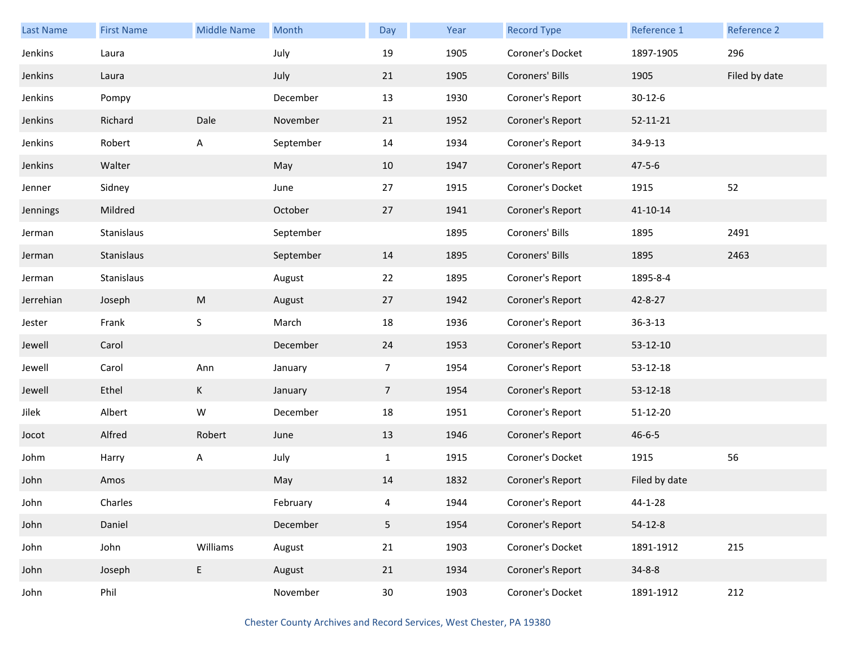| <b>Last Name</b> | <b>First Name</b> | <b>Middle Name</b> | Month     | Day             | Year | <b>Record Type</b> | Reference 1    | Reference 2   |
|------------------|-------------------|--------------------|-----------|-----------------|------|--------------------|----------------|---------------|
| Jenkins          | Laura             |                    | July      | 19              | 1905 | Coroner's Docket   | 1897-1905      | 296           |
| Jenkins          | Laura             |                    | July      | 21              | 1905 | Coroners' Bills    | 1905           | Filed by date |
| Jenkins          | Pompy             |                    | December  | 13              | 1930 | Coroner's Report   | $30 - 12 - 6$  |               |
| Jenkins          | Richard           | Dale               | November  | 21              | 1952 | Coroner's Report   | $52 - 11 - 21$ |               |
| Jenkins          | Robert            | A                  | September | 14              | 1934 | Coroner's Report   | 34-9-13        |               |
| Jenkins          | Walter            |                    | May       | 10              | 1947 | Coroner's Report   | $47 - 5 - 6$   |               |
| Jenner           | Sidney            |                    | June      | 27              | 1915 | Coroner's Docket   | 1915           | 52            |
| Jennings         | Mildred           |                    | October   | 27              | 1941 | Coroner's Report   | 41-10-14       |               |
| Jerman           | Stanislaus        |                    | September |                 | 1895 | Coroners' Bills    | 1895           | 2491          |
| Jerman           | Stanislaus        |                    | September | 14              | 1895 | Coroners' Bills    | 1895           | 2463          |
| Jerman           | Stanislaus        |                    | August    | 22              | 1895 | Coroner's Report   | 1895-8-4       |               |
| Jerrehian        | Joseph            | M                  | August    | 27              | 1942 | Coroner's Report   | 42-8-27        |               |
| Jester           | Frank             | S                  | March     | 18              | 1936 | Coroner's Report   | $36 - 3 - 13$  |               |
| Jewell           | Carol             |                    | December  | 24              | 1953 | Coroner's Report   | 53-12-10       |               |
| Jewell           | Carol             | Ann                | January   | $\overline{7}$  | 1954 | Coroner's Report   | 53-12-18       |               |
| Jewell           | Ethel             | K                  | January   | 7 <sup>1</sup>  | 1954 | Coroner's Report   | 53-12-18       |               |
| Jilek            | Albert            | ${\sf W}$          | December  | 18              | 1951 | Coroner's Report   | 51-12-20       |               |
| Jocot            | Alfred            | Robert             | June      | 13              | 1946 | Coroner's Report   | $46 - 6 - 5$   |               |
| Johm             | Harry             | A                  | July      | $\mathbf{1}$    | 1915 | Coroner's Docket   | 1915           | 56            |
| John             | Amos              |                    | May       | 14              | 1832 | Coroner's Report   | Filed by date  |               |
| John             | Charles           |                    | February  | 4               | 1944 | Coroner's Report   | 44-1-28        |               |
| John             | Daniel            |                    | December  | 5 <sub>5</sub>  | 1954 | Coroner's Report   | $54-12-8$      |               |
| John             | John              | Williams           | August    | 21              | 1903 | Coroner's Docket   | 1891-1912      | 215           |
| John             | Joseph            | E                  | August    | 21              | 1934 | Coroner's Report   | $34 - 8 - 8$   |               |
| John             | Phil              |                    | November  | 30 <sub>o</sub> | 1903 | Coroner's Docket   | 1891-1912      | 212           |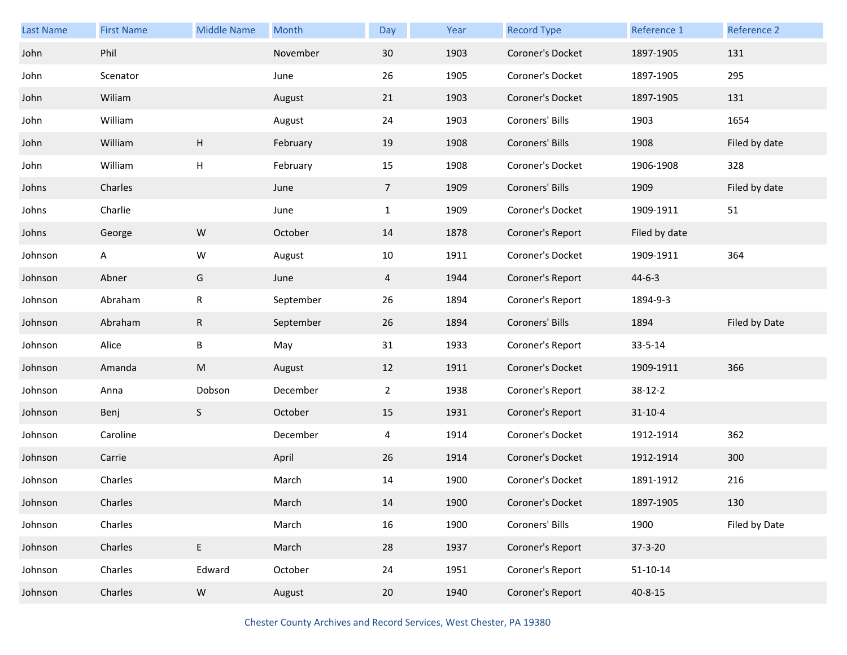| Last Name | <b>First Name</b> | <b>Middle Name</b>        | Month     | Day            | Year | <b>Record Type</b> | Reference 1   | Reference 2   |
|-----------|-------------------|---------------------------|-----------|----------------|------|--------------------|---------------|---------------|
| John      | Phil              |                           | November  | 30             | 1903 | Coroner's Docket   | 1897-1905     | 131           |
| John      | Scenator          |                           | June      | 26             | 1905 | Coroner's Docket   | 1897-1905     | 295           |
| John      | Wiliam            |                           | August    | 21             | 1903 | Coroner's Docket   | 1897-1905     | 131           |
| John      | William           |                           | August    | 24             | 1903 | Coroners' Bills    | 1903          | 1654          |
| John      | William           | $\boldsymbol{\mathsf{H}}$ | February  | 19             | 1908 | Coroners' Bills    | 1908          | Filed by date |
| John      | William           | $\mathsf{H}$              | February  | 15             | 1908 | Coroner's Docket   | 1906-1908     | 328           |
| Johns     | Charles           |                           | June      | 7 <sup>7</sup> | 1909 | Coroners' Bills    | 1909          | Filed by date |
| Johns     | Charlie           |                           | June      | $\mathbf{1}$   | 1909 | Coroner's Docket   | 1909-1911     | 51            |
| Johns     | George            | ${\sf W}$                 | October   | 14             | 1878 | Coroner's Report   | Filed by date |               |
| Johnson   | Α                 | W                         | August    | 10             | 1911 | Coroner's Docket   | 1909-1911     | 364           |
| Johnson   | Abner             | G                         | June      | $\overline{4}$ | 1944 | Coroner's Report   | $44 - 6 - 3$  |               |
| Johnson   | Abraham           | ${\sf R}$                 | September | 26             | 1894 | Coroner's Report   | 1894-9-3      |               |
|           |                   |                           |           |                |      |                    |               |               |
| Johnson   | Abraham           | ${\sf R}$                 | September | 26             | 1894 | Coroners' Bills    | 1894          | Filed by Date |
| Johnson   | Alice             | B                         | May       | 31             | 1933 | Coroner's Report   | 33-5-14       |               |
| Johnson   | Amanda            | ${\sf M}$                 | August    | 12             | 1911 | Coroner's Docket   | 1909-1911     | 366           |
| Johnson   | Anna              | Dobson                    | December  | $\overline{2}$ | 1938 | Coroner's Report   | $38-12-2$     |               |
| Johnson   | Benj              | S                         | October   | 15             | 1931 | Coroner's Report   | $31 - 10 - 4$ |               |
| Johnson   | Caroline          |                           | December  | 4              | 1914 | Coroner's Docket   | 1912-1914     | 362           |
| Johnson   | Carrie            |                           | April     | 26             | 1914 | Coroner's Docket   | 1912-1914     | 300           |
| Johnson   | Charles           |                           | March     | 14             | 1900 | Coroner's Docket   | 1891-1912     | 216           |
| Johnson   | Charles           |                           | March     | 14             | 1900 | Coroner's Docket   | 1897-1905     | 130           |
| Johnson   | Charles           |                           | March     | 16             | 1900 | Coroners' Bills    | 1900          | Filed by Date |
| Johnson   | Charles           | $\mathsf E$               | March     | 28             | 1937 | Coroner's Report   | $37 - 3 - 20$ |               |
| Johnson   | Charles           | Edward                    | October   | 24             | 1951 | Coroner's Report   | $51-10-14$    |               |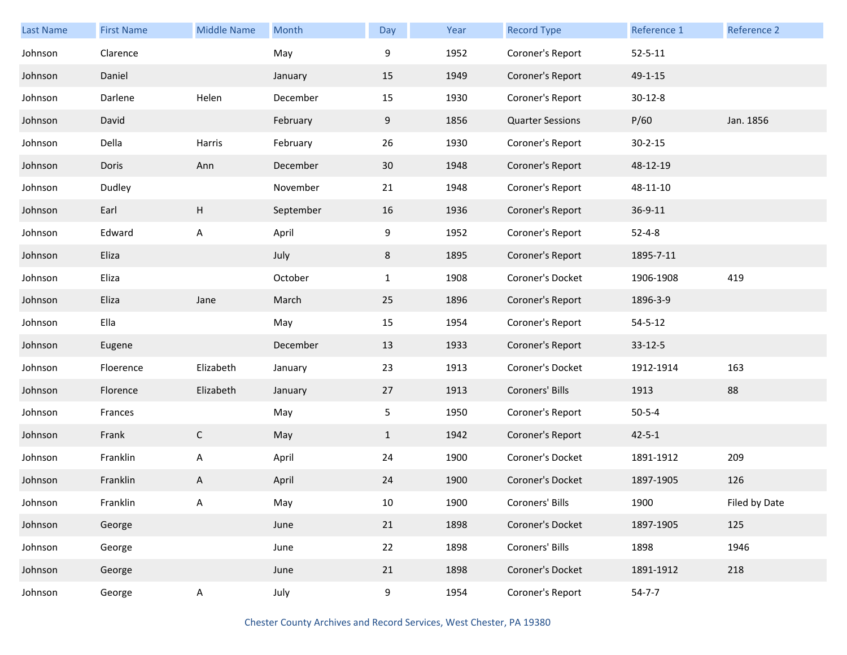| Last Name | <b>First Name</b> | <b>Middle Name</b> | Month     | Day             | Year | <b>Record Type</b>      | Reference 1   | Reference 2   |
|-----------|-------------------|--------------------|-----------|-----------------|------|-------------------------|---------------|---------------|
| Johnson   | Clarence          |                    | May       | 9               | 1952 | Coroner's Report        | $52 - 5 - 11$ |               |
| Johnson   | Daniel            |                    | January   | 15              | 1949 | Coroner's Report        | 49-1-15       |               |
| Johnson   | Darlene           | Helen              | December  | 15              | 1930 | Coroner's Report        | $30 - 12 - 8$ |               |
| Johnson   | David             |                    | February  | 9               | 1856 | <b>Quarter Sessions</b> | P/60          | Jan. 1856     |
| Johnson   | Della             | Harris             | February  | 26              | 1930 | Coroner's Report        | $30 - 2 - 15$ |               |
| Johnson   | Doris             | Ann                | December  | 30 <sup>°</sup> | 1948 | Coroner's Report        | 48-12-19      |               |
| Johnson   | Dudley            |                    | November  | 21              | 1948 | Coroner's Report        | 48-11-10      |               |
| Johnson   | Earl              | H                  | September | 16              | 1936 | Coroner's Report        | 36-9-11       |               |
| Johnson   | Edward            | A                  | April     | 9               | 1952 | Coroner's Report        | $52 - 4 - 8$  |               |
| Johnson   | Eliza             |                    | July      | 8               | 1895 | Coroner's Report        | 1895-7-11     |               |
| Johnson   | Eliza             |                    | October   | $\mathbf{1}$    | 1908 | Coroner's Docket        | 1906-1908     | 419           |
| Johnson   | Eliza             | Jane               | March     | 25              | 1896 | Coroner's Report        | 1896-3-9      |               |
| Johnson   | Ella              |                    | May       | 15              | 1954 | Coroner's Report        | $54 - 5 - 12$ |               |
| Johnson   | Eugene            |                    | December  | 13              | 1933 | Coroner's Report        | $33 - 12 - 5$ |               |
| Johnson   | Floerence         | Elizabeth          | January   | 23              | 1913 | Coroner's Docket        | 1912-1914     | 163           |
| Johnson   | Florence          | Elizabeth          | January   | 27              | 1913 | Coroners' Bills         | 1913          | 88            |
| Johnson   | Frances           |                    | May       | 5               | 1950 | Coroner's Report        | $50 - 5 - 4$  |               |
| Johnson   | Frank             | $\mathsf{C}$       | May       | $\mathbf{1}$    | 1942 | Coroner's Report        | $42 - 5 - 1$  |               |
| Johnson   | Franklin          | A                  | April     | 24              | 1900 | Coroner's Docket        | 1891-1912     | 209           |
| Johnson   | Franklin          | Α                  | April     | 24              | 1900 | Coroner's Docket        | 1897-1905     | 126           |
| Johnson   | Franklin          | Α                  | May       | 10              | 1900 | Coroners' Bills         | 1900          | Filed by Date |
| Johnson   | George            |                    | June      | 21              | 1898 | Coroner's Docket        | 1897-1905     | 125           |
| Johnson   | George            |                    | June      | 22              | 1898 | Coroners' Bills         | 1898          | 1946          |
| Johnson   | George            |                    | June      | 21              | 1898 | Coroner's Docket        | 1891-1912     | 218           |
| Johnson   | George            | A                  | July      | 9               | 1954 | Coroner's Report        | $54 - 7 - 7$  |               |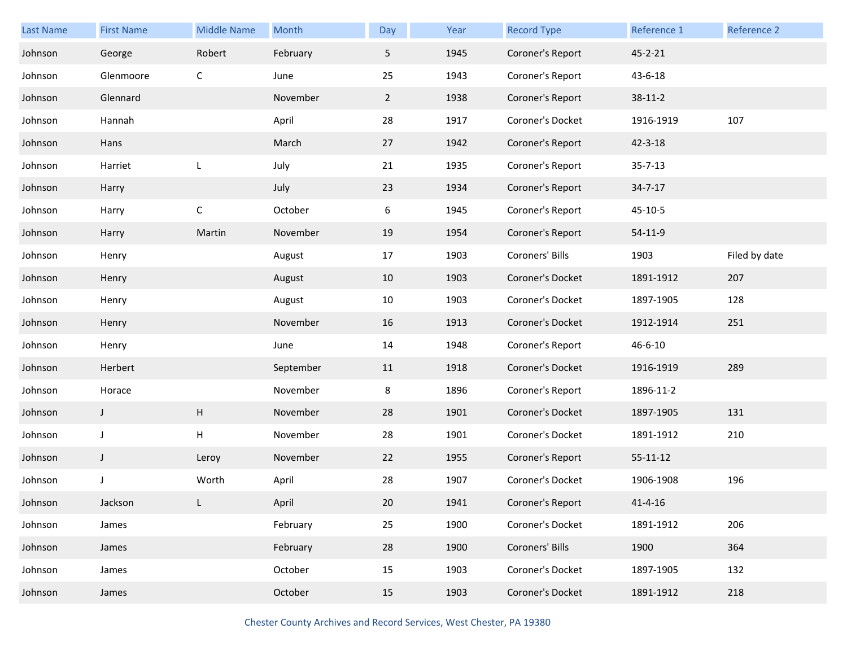| <b>Last Name</b> | <b>First Name</b> | <b>Middle Name</b> | Month     | Day         | Year | <b>Record Type</b> | Reference 1    | Reference 2   |
|------------------|-------------------|--------------------|-----------|-------------|------|--------------------|----------------|---------------|
| Johnson          | George            | Robert             | February  | 5           | 1945 | Coroner's Report   | 45-2-21        |               |
| Johnson          | Glenmoore         | C                  | June      | 25          | 1943 | Coroner's Report   | 43-6-18        |               |
| Johnson          | Glennard          |                    | November  | $2^{\circ}$ | 1938 | Coroner's Report   | $38 - 11 - 2$  |               |
| Johnson          | Hannah            |                    | April     | 28          | 1917 | Coroner's Docket   | 1916-1919      | 107           |
| Johnson          | Hans              |                    | March     | 27          | 1942 | Coroner's Report   | $42 - 3 - 18$  |               |
| Johnson          | Harriet           | L                  | July      | 21          | 1935 | Coroner's Report   | $35 - 7 - 13$  |               |
| Johnson          | Harry             |                    | July      | 23          | 1934 | Coroner's Report   | $34 - 7 - 17$  |               |
| Johnson          | Harry             | $\mathsf C$        | October   | 6           | 1945 | Coroner's Report   | $45 - 10 - 5$  |               |
| Johnson          | Harry             | Martin             | November  | 19          | 1954 | Coroner's Report   | 54-11-9        |               |
| Johnson          | Henry             |                    | August    | 17          | 1903 | Coroners' Bills    | 1903           | Filed by date |
| Johnson          | Henry             |                    | August    | 10          | 1903 | Coroner's Docket   | 1891-1912      | 207           |
| Johnson          | Henry             |                    | August    | 10          | 1903 | Coroner's Docket   | 1897-1905      | 128           |
| Johnson          | Henry             |                    | November  | 16          | 1913 | Coroner's Docket   | 1912-1914      | 251           |
| Johnson          | Henry             |                    | June      | 14          | 1948 | Coroner's Report   | 46-6-10        |               |
| Johnson          | Herbert           |                    | September | 11          | 1918 | Coroner's Docket   | 1916-1919      | 289           |
| Johnson          | Horace            |                    | November  | 8           | 1896 | Coroner's Report   | 1896-11-2      |               |
| Johnson          | J                 | Н                  | November  | 28          | 1901 | Coroner's Docket   | 1897-1905      | 131           |
| Johnson          | J                 | H                  | November  | 28          | 1901 | Coroner's Docket   | 1891-1912      | 210           |
| Johnson          | $\mathsf J$       | Leroy              | November  | 22          | 1955 | Coroner's Report   | $55 - 11 - 12$ |               |
| Johnson          | J                 | Worth              | April     | 28          | 1907 | Coroner's Docket   | 1906-1908      | 196           |
| Johnson          | Jackson           |                    | April     | 20          | 1941 | Coroner's Report   | $41 - 4 - 16$  |               |
| Johnson          | James             |                    | February  | 25          | 1900 | Coroner's Docket   | 1891-1912      | 206           |
| Johnson          | James             |                    | February  | 28          | 1900 | Coroners' Bills    | 1900           | 364           |
| Johnson          | James             |                    | October   | 15          | 1903 | Coroner's Docket   | 1897-1905      | 132           |
| Johnson          | James             |                    | October   | 15          | 1903 | Coroner's Docket   | 1891-1912      | 218           |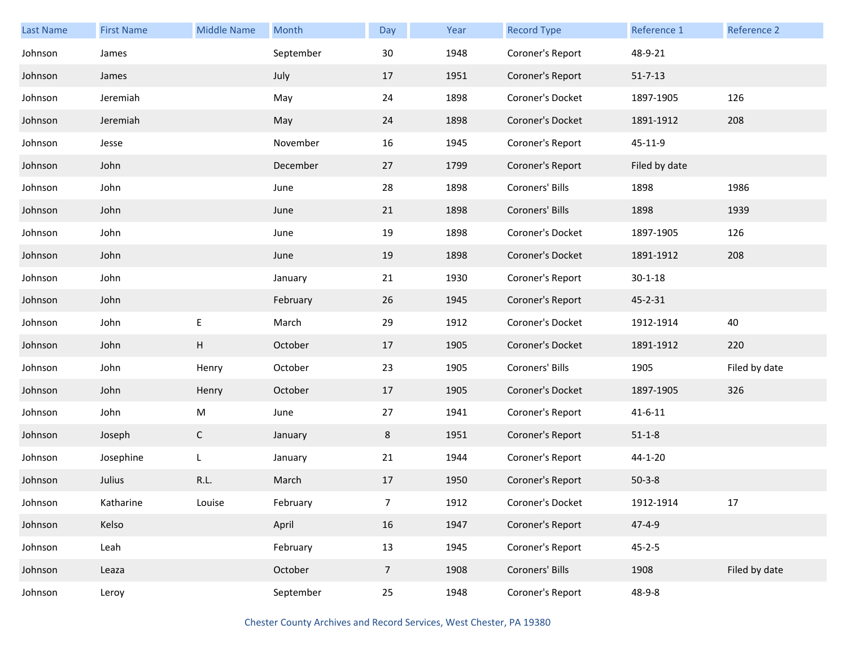| <b>Last Name</b> | <b>First Name</b> | <b>Middle Name</b> | Month     | Day            | Year | <b>Record Type</b> | Reference 1   | Reference 2   |
|------------------|-------------------|--------------------|-----------|----------------|------|--------------------|---------------|---------------|
| Johnson          | James             |                    | September | 30             | 1948 | Coroner's Report   | 48-9-21       |               |
| Johnson          | James             |                    | July      | 17             | 1951 | Coroner's Report   | $51 - 7 - 13$ |               |
| Johnson          | Jeremiah          |                    | May       | 24             | 1898 | Coroner's Docket   | 1897-1905     | 126           |
| Johnson          | Jeremiah          |                    | May       | 24             | 1898 | Coroner's Docket   | 1891-1912     | 208           |
| Johnson          | Jesse             |                    | November  | 16             | 1945 | Coroner's Report   | 45-11-9       |               |
| Johnson          | John              |                    | December  | 27             | 1799 | Coroner's Report   | Filed by date |               |
| Johnson          | John              |                    | June      | 28             | 1898 | Coroners' Bills    | 1898          | 1986          |
| Johnson          | John              |                    | June      | 21             | 1898 | Coroners' Bills    | 1898          | 1939          |
| Johnson          | John              |                    | June      | 19             | 1898 | Coroner's Docket   | 1897-1905     | 126           |
| Johnson          | John              |                    | June      | 19             | 1898 | Coroner's Docket   | 1891-1912     | 208           |
| Johnson          | John              |                    | January   | 21             | 1930 | Coroner's Report   | $30 - 1 - 18$ |               |
| Johnson          | John              |                    | February  | 26             | 1945 | Coroner's Report   | 45-2-31       |               |
| Johnson          | John              | $\mathsf E$        | March     | 29             | 1912 | Coroner's Docket   | 1912-1914     | 40            |
| Johnson          | John              | H                  | October   | 17             | 1905 | Coroner's Docket   | 1891-1912     | 220           |
| Johnson          | John              | Henry              | October   | 23             | 1905 | Coroners' Bills    | 1905          | Filed by date |
| Johnson          | John              | Henry              | October   | 17             | 1905 | Coroner's Docket   | 1897-1905     | 326           |
| Johnson          | John              | M                  | June      | 27             | 1941 | Coroner's Report   | $41 - 6 - 11$ |               |
| Johnson          | Joseph            | $\mathsf{C}$       | January   | 8              | 1951 | Coroner's Report   | $51 - 1 - 8$  |               |
| Johnson          | Josephine         | L                  | January   | 21             | 1944 | Coroner's Report   | 44-1-20       |               |
| Johnson          | Julius            | R.L.               | March     | 17             | 1950 | Coroner's Report   | $50-3-8$      |               |
| Johnson          | Katharine         | Louise             | February  | $\overline{7}$ | 1912 | Coroner's Docket   | 1912-1914     | 17            |
| Johnson          | Kelso             |                    | April     | 16             | 1947 | Coroner's Report   | $47 - 4 - 9$  |               |
| Johnson          | Leah              |                    | February  | 13             | 1945 | Coroner's Report   | $45 - 2 - 5$  |               |
| Johnson          | Leaza             |                    | October   | 7 <sup>7</sup> | 1908 | Coroners' Bills    | 1908          | Filed by date |
| Johnson          | Leroy             |                    | September | 25             | 1948 | Coroner's Report   | 48-9-8        |               |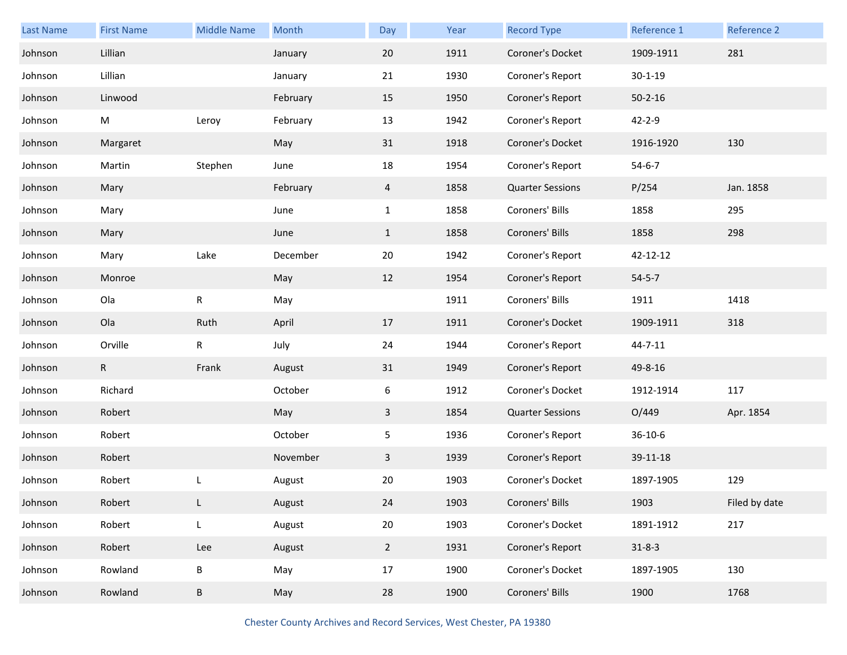| Last Name | <b>First Name</b> | <b>Middle Name</b> | Month    | Day            | Year | <b>Record Type</b>      | Reference 1   | Reference 2   |
|-----------|-------------------|--------------------|----------|----------------|------|-------------------------|---------------|---------------|
| Johnson   | Lillian           |                    | January  | 20             | 1911 | Coroner's Docket        | 1909-1911     | 281           |
| Johnson   | Lillian           |                    | January  | 21             | 1930 | Coroner's Report        | $30 - 1 - 19$ |               |
| Johnson   | Linwood           |                    | February | 15             | 1950 | Coroner's Report        | $50 - 2 - 16$ |               |
| Johnson   | M                 | Leroy              | February | 13             | 1942 | Coroner's Report        | $42 - 2 - 9$  |               |
| Johnson   | Margaret          |                    | May      | 31             | 1918 | Coroner's Docket        | 1916-1920     | 130           |
| Johnson   | Martin            | Stephen            | June     | 18             | 1954 | Coroner's Report        | $54 - 6 - 7$  |               |
| Johnson   | Mary              |                    | February | $\overline{4}$ | 1858 | <b>Quarter Sessions</b> | P/254         | Jan. 1858     |
| Johnson   | Mary              |                    | June     | $\mathbf{1}$   | 1858 | Coroners' Bills         | 1858          | 295           |
| Johnson   | Mary              |                    | June     | $\mathbf{1}$   | 1858 | Coroners' Bills         | 1858          | 298           |
| Johnson   | Mary              | Lake               | December | 20             | 1942 | Coroner's Report        | 42-12-12      |               |
| Johnson   | Monroe            |                    | May      | 12             | 1954 | Coroner's Report        | $54 - 5 - 7$  |               |
| Johnson   | Ola               | R                  | May      |                | 1911 | Coroners' Bills         | 1911          | 1418          |
| Johnson   | Ola               | Ruth               | April    | 17             | 1911 | Coroner's Docket        | 1909-1911     | 318           |
| Johnson   | Orville           | $\mathsf R$        | July     | 24             | 1944 | Coroner's Report        | 44-7-11       |               |
| Johnson   | $\mathsf R$       | Frank              | August   | 31             | 1949 | Coroner's Report        | 49-8-16       |               |
| Johnson   | Richard           |                    | October  | 6              | 1912 | Coroner's Docket        | 1912-1914     | 117           |
| Johnson   | Robert            |                    | May      | $\mathbf{3}$   | 1854 | <b>Quarter Sessions</b> | O/449         | Apr. 1854     |
| Johnson   | Robert            |                    | October  | 5              | 1936 | Coroner's Report        | $36 - 10 - 6$ |               |
| Johnson   | Robert            |                    | November | $\mathbf{3}$   | 1939 | Coroner's Report        | 39-11-18      |               |
| Johnson   | Robert            |                    | August   | 20             | 1903 | Coroner's Docket        | 1897-1905     | 129           |
| Johnson   | Robert            | L                  | August   | 24             | 1903 | Coroners' Bills         | 1903          | Filed by date |
| Johnson   | Robert            | L                  | August   | 20             | 1903 | Coroner's Docket        | 1891-1912     | 217           |
| Johnson   | Robert            | Lee                | August   | $\overline{2}$ | 1931 | Coroner's Report        | $31 - 8 - 3$  |               |
| Johnson   | Rowland           | $\sf B$            | May      | 17             | 1900 | Coroner's Docket        | 1897-1905     | 130           |
| Johnson   | Rowland           | B                  | May      | 28             | 1900 | Coroners' Bills         | 1900          | 1768          |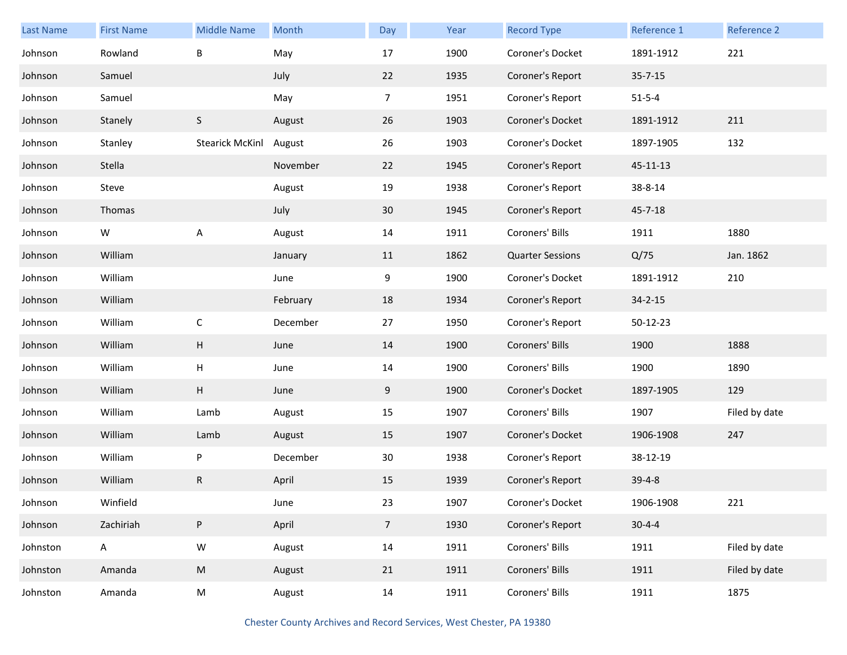| Last Name | <b>First Name</b> | <b>Middle Name</b>     | Month    | Day            | Year | <b>Record Type</b>      | Reference 1   | Reference 2   |
|-----------|-------------------|------------------------|----------|----------------|------|-------------------------|---------------|---------------|
| Johnson   | Rowland           | B                      | May      | 17             | 1900 | Coroner's Docket        | 1891-1912     | 221           |
| Johnson   | Samuel            |                        | July     | 22             | 1935 | Coroner's Report        | $35 - 7 - 15$ |               |
| Johnson   | Samuel            |                        | May      | $\overline{7}$ | 1951 | Coroner's Report        | $51 - 5 - 4$  |               |
| Johnson   | Stanely           | S                      | August   | 26             | 1903 | Coroner's Docket        | 1891-1912     | 211           |
| Johnson   | Stanley           | <b>Stearick McKinl</b> | August   | 26             | 1903 | Coroner's Docket        | 1897-1905     | 132           |
| Johnson   | Stella            |                        | November | 22             | 1945 | Coroner's Report        | 45-11-13      |               |
| Johnson   | Steve             |                        | August   | 19             | 1938 | Coroner's Report        | 38-8-14       |               |
| Johnson   | Thomas            |                        | July     | 30             | 1945 | Coroner's Report        | $45 - 7 - 18$ |               |
| Johnson   | W                 | A                      | August   | 14             | 1911 | Coroners' Bills         | 1911          | 1880          |
| Johnson   | William           |                        | January  | 11             | 1862 | <b>Quarter Sessions</b> | Q/75          | Jan. 1862     |
| Johnson   | William           |                        | June     | 9              | 1900 | Coroner's Docket        | 1891-1912     | 210           |
| Johnson   | William           |                        | February | 18             | 1934 | Coroner's Report        | $34 - 2 - 15$ |               |
| Johnson   | William           | $\mathsf C$            | December | 27             | 1950 | Coroner's Report        | 50-12-23      |               |
| Johnson   | William           | Н                      | June     | 14             | 1900 | Coroners' Bills         | 1900          | 1888          |
| Johnson   | William           | Н                      | June     | 14             | 1900 | Coroners' Bills         | 1900          | 1890          |
| Johnson   | William           | Н                      | June     | 9              | 1900 | Coroner's Docket        | 1897-1905     | 129           |
| Johnson   | William           | Lamb                   | August   | 15             | 1907 | Coroners' Bills         | 1907          | Filed by date |
| Johnson   | William           | Lamb                   | August   | 15             | 1907 | Coroner's Docket        | 1906-1908     | 247           |
| Johnson   | William           | P                      | December | 30             | 1938 | Coroner's Report        | 38-12-19      |               |
| Johnson   | William           | ${\sf R}$              | April    | 15             | 1939 | Coroner's Report        | $39-4-8$      |               |
| Johnson   | Winfield          |                        | June     | 23             | 1907 | Coroner's Docket        | 1906-1908     | 221           |
| Johnson   | Zachiriah         | P                      | April    | 7 <sup>7</sup> | 1930 | Coroner's Report        | $30 - 4 - 4$  |               |
| Johnston  | $\mathsf{A}$      | ${\sf W}$              | August   | 14             | 1911 | Coroners' Bills         | 1911          | Filed by date |
| Johnston  | Amanda            | ${\sf M}$              | August   | 21             | 1911 | Coroners' Bills         | 1911          | Filed by date |
| Johnston  | Amanda            | M                      | August   | 14             | 1911 | Coroners' Bills         | 1911          | 1875          |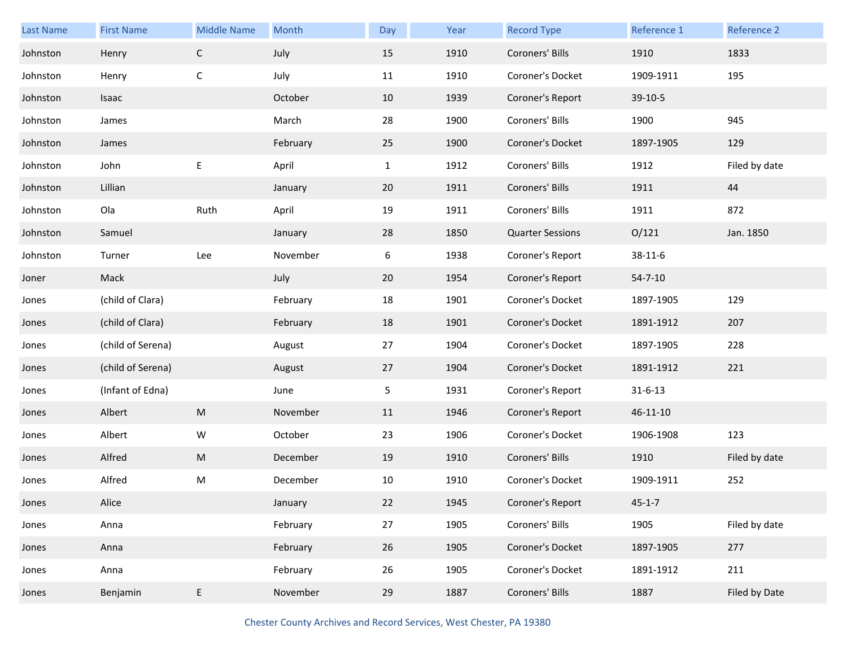| Last Name | <b>First Name</b> | <b>Middle Name</b> | Month    | Day          | Year | <b>Record Type</b>      | Reference 1   | Reference 2   |
|-----------|-------------------|--------------------|----------|--------------|------|-------------------------|---------------|---------------|
| Johnston  | Henry             | $\mathsf{C}$       | July     | 15           | 1910 | Coroners' Bills         | 1910          | 1833          |
| Johnston  | Henry             | $\mathsf C$        | July     | 11           | 1910 | Coroner's Docket        | 1909-1911     | 195           |
| Johnston  | Isaac             |                    | October  | 10           | 1939 | Coroner's Report        | 39-10-5       |               |
| Johnston  | James             |                    | March    | 28           | 1900 | Coroners' Bills         | 1900          | 945           |
| Johnston  | James             |                    | February | 25           | 1900 | Coroner's Docket        | 1897-1905     | 129           |
| Johnston  | John              | Е                  | April    | $\mathbf{1}$ | 1912 | Coroners' Bills         | 1912          | Filed by date |
| Johnston  | Lillian           |                    | January  | 20           | 1911 | Coroners' Bills         | 1911          | 44            |
| Johnston  | Ola               | Ruth               | April    | 19           | 1911 | Coroners' Bills         | 1911          | 872           |
| Johnston  | Samuel            |                    | January  | 28           | 1850 | <b>Quarter Sessions</b> | O/121         | Jan. 1850     |
| Johnston  | Turner            | Lee                | November | 6            | 1938 | Coroner's Report        | 38-11-6       |               |
| Joner     | Mack              |                    | July     | 20           | 1954 | Coroner's Report        | $54 - 7 - 10$ |               |
| Jones     | (child of Clara)  |                    | February | 18           | 1901 | Coroner's Docket        | 1897-1905     | 129           |
| Jones     | (child of Clara)  |                    | February | 18           | 1901 | Coroner's Docket        | 1891-1912     | 207           |
| Jones     | (child of Serena) |                    | August   | 27           | 1904 | Coroner's Docket        | 1897-1905     | 228           |
| Jones     | (child of Serena) |                    | August   | 27           | 1904 | Coroner's Docket        | 1891-1912     | 221           |
| Jones     | (Infant of Edna)  |                    | June     | 5            | 1931 | Coroner's Report        | $31 - 6 - 13$ |               |
| Jones     | Albert            | ${\sf M}$          | November | 11           | 1946 | Coroner's Report        | 46-11-10      |               |
| Jones     | Albert            | W                  | October  | 23           | 1906 | Coroner's Docket        | 1906-1908     | 123           |
| Jones     | Alfred            | ${\sf M}$          | December | 19           | 1910 | Coroners' Bills         | 1910          | Filed by date |
| Jones     | Alfred            | M                  | December | 10           | 1910 | Coroner's Docket        | 1909-1911     | 252           |
| Jones     | Alice             |                    | January  | 22           | 1945 | Coroner's Report        | $45 - 1 - 7$  |               |
| Jones     | Anna              |                    | February | 27           | 1905 | Coroners' Bills         | 1905          | Filed by date |
| Jones     | Anna              |                    | February | 26           | 1905 | Coroner's Docket        | 1897-1905     | 277           |
| Jones     | Anna              |                    | February | 26           | 1905 | Coroner's Docket        | 1891-1912     | 211           |
| Jones     | Benjamin          | E                  | November | 29           | 1887 | Coroners' Bills         | 1887          | Filed by Date |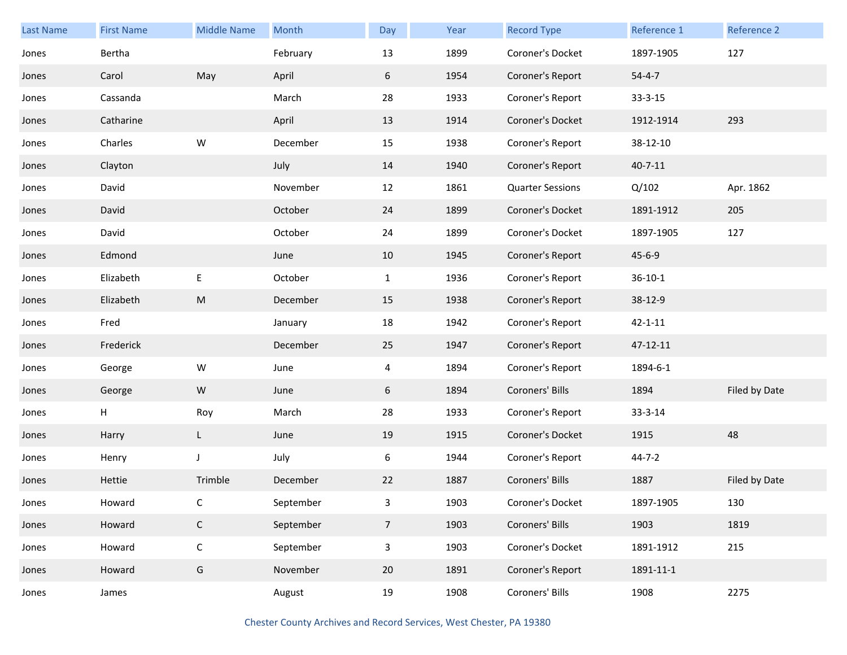| <b>Last Name</b> | <b>First Name</b> | <b>Middle Name</b> | Month     | Day            | Year | <b>Record Type</b>      | Reference 1   | Reference 2   |
|------------------|-------------------|--------------------|-----------|----------------|------|-------------------------|---------------|---------------|
| Jones            | Bertha            |                    | February  | 13             | 1899 | Coroner's Docket        | 1897-1905     | 127           |
| Jones            | Carol             | May                | April     | 6              | 1954 | Coroner's Report        | $54 - 4 - 7$  |               |
| Jones            | Cassanda          |                    | March     | 28             | 1933 | Coroner's Report        | $33 - 3 - 15$ |               |
| Jones            | Catharine         |                    | April     | 13             | 1914 | Coroner's Docket        | 1912-1914     | 293           |
| Jones            | Charles           | ${\mathsf W}$      | December  | 15             | 1938 | Coroner's Report        | 38-12-10      |               |
| Jones            | Clayton           |                    | July      | 14             | 1940 | Coroner's Report        | $40 - 7 - 11$ |               |
| Jones            | David             |                    | November  | 12             | 1861 | <b>Quarter Sessions</b> | Q/102         | Apr. 1862     |
| Jones            | David             |                    | October   | 24             | 1899 | Coroner's Docket        | 1891-1912     | 205           |
| Jones            | David             |                    | October   | 24             | 1899 | Coroner's Docket        | 1897-1905     | 127           |
| Jones            | Edmond            |                    | June      | 10             | 1945 | Coroner's Report        | $45 - 6 - 9$  |               |
| Jones            | Elizabeth         | E                  | October   | $\mathbf{1}$   | 1936 | Coroner's Report        | $36 - 10 - 1$ |               |
| Jones            | Elizabeth         | M                  | December  | 15             | 1938 | Coroner's Report        | 38-12-9       |               |
| Jones            | Fred              |                    | January   | 18             | 1942 | Coroner's Report        | $42 - 1 - 11$ |               |
| Jones            | Frederick         |                    | December  | 25             | 1947 | Coroner's Report        | 47-12-11      |               |
| Jones            | George            | W                  | June      | 4              | 1894 | Coroner's Report        | 1894-6-1      |               |
| Jones            | George            | W                  | June      | 6              | 1894 | Coroners' Bills         | 1894          | Filed by Date |
| Jones            | H                 | Roy                | March     | 28             | 1933 | Coroner's Report        | 33-3-14       |               |
| Jones            | Harry             | L                  | June      | 19             | 1915 | Coroner's Docket        | 1915          | 48            |
| Jones            | Henry             | J                  | July      | 6              | 1944 | Coroner's Report        | $44 - 7 - 2$  |               |
| Jones            | Hettie            | Trimble            | December  | 22             | 1887 | Coroners' Bills         | 1887          | Filed by Date |
| Jones            | Howard            | C                  | September | 3              | 1903 | Coroner's Docket        | 1897-1905     | 130           |
| Jones            | Howard            | $\mathsf{C}$       | September | $\overline{7}$ | 1903 | Coroners' Bills         | 1903          | 1819          |
| Jones            | Howard            | $\mathsf{C}$       | September | $\overline{3}$ | 1903 | Coroner's Docket        | 1891-1912     | 215           |
| Jones            | Howard            | G                  | November  | 20             | 1891 | Coroner's Report        | 1891-11-1     |               |
| Jones            | James             |                    | August    | 19             | 1908 | Coroners' Bills         | 1908          | 2275          |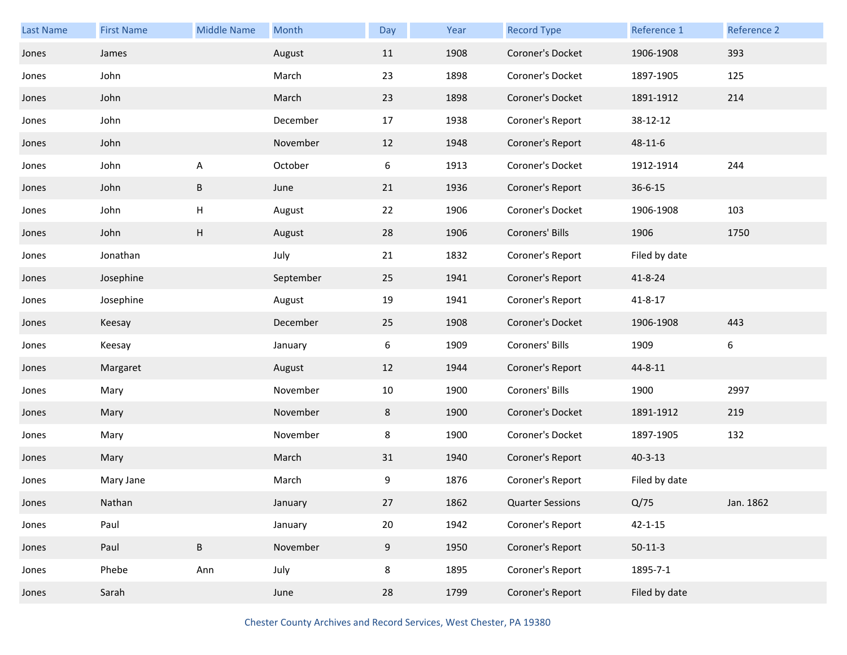| Last Name | <b>First Name</b> | <b>Middle Name</b> | Month     | Day | Year | <b>Record Type</b>      | Reference 1   | Reference 2 |
|-----------|-------------------|--------------------|-----------|-----|------|-------------------------|---------------|-------------|
| Jones     | James             |                    | August    | 11  | 1908 | Coroner's Docket        | 1906-1908     | 393         |
| Jones     | John              |                    | March     | 23  | 1898 | Coroner's Docket        | 1897-1905     | 125         |
| Jones     | John              |                    | March     | 23  | 1898 | Coroner's Docket        | 1891-1912     | 214         |
| Jones     | John              |                    | December  | 17  | 1938 | Coroner's Report        | 38-12-12      |             |
| Jones     | John              |                    | November  | 12  | 1948 | Coroner's Report        | 48-11-6       |             |
| Jones     | John              | A                  | October   | 6   | 1913 | Coroner's Docket        | 1912-1914     | 244         |
| Jones     | John              | B                  | June      | 21  | 1936 | Coroner's Report        | $36 - 6 - 15$ |             |
| Jones     | John              | Н                  | August    | 22  | 1906 | Coroner's Docket        | 1906-1908     | 103         |
| Jones     | John              | Н                  | August    | 28  | 1906 | Coroners' Bills         | 1906          | 1750        |
| Jones     | Jonathan          |                    | July      | 21  | 1832 | Coroner's Report        | Filed by date |             |
| Jones     | Josephine         |                    | September | 25  | 1941 | Coroner's Report        | $41 - 8 - 24$ |             |
| Jones     | Josephine         |                    | August    | 19  | 1941 | Coroner's Report        | $41 - 8 - 17$ |             |
| Jones     | Keesay            |                    | December  | 25  | 1908 | Coroner's Docket        | 1906-1908     | 443         |
| Jones     | Keesay            |                    | January   | 6   | 1909 | Coroners' Bills         | 1909          | 6           |
| Jones     | Margaret          |                    | August    | 12  | 1944 | Coroner's Report        | 44-8-11       |             |
| Jones     | Mary              |                    | November  | 10  | 1900 | Coroners' Bills         | 1900          | 2997        |
| Jones     | Mary              |                    | November  | 8   | 1900 | Coroner's Docket        | 1891-1912     | 219         |
| Jones     | Mary              |                    | November  | 8   | 1900 | Coroner's Docket        | 1897-1905     | 132         |
| Jones     | Mary              |                    | March     | 31  | 1940 | Coroner's Report        | $40 - 3 - 13$ |             |
| Jones     | Mary Jane         |                    | March     | 9   | 1876 | Coroner's Report        | Filed by date |             |
| Jones     | Nathan            |                    | January   | 27  | 1862 | <b>Quarter Sessions</b> | Q/75          | Jan. 1862   |
| Jones     | Paul              |                    | January   | 20  | 1942 | Coroner's Report        | $42 - 1 - 15$ |             |
| Jones     | Paul              | $\sf B$            | November  | 9   | 1950 | Coroner's Report        | $50-11-3$     |             |
| Jones     | Phebe             | Ann                | July      | 8   | 1895 | Coroner's Report        | 1895-7-1      |             |
| Jones     | Sarah             |                    | June      | 28  | 1799 | Coroner's Report        | Filed by date |             |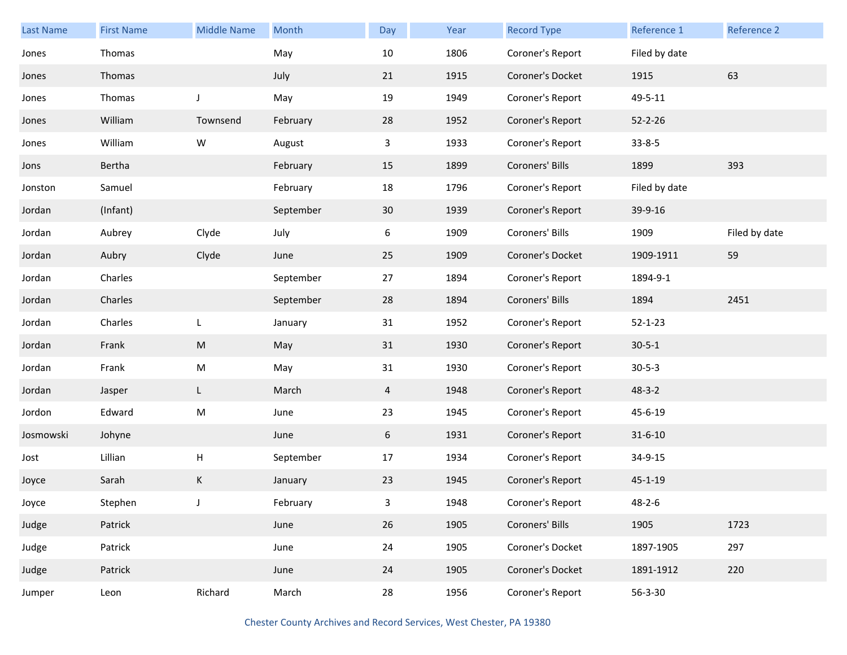| Last Name | <b>First Name</b> | <b>Middle Name</b> | Month     | Day | Year | <b>Record Type</b> | Reference 1   | Reference 2   |
|-----------|-------------------|--------------------|-----------|-----|------|--------------------|---------------|---------------|
| Jones     | Thomas            |                    | May       | 10  | 1806 | Coroner's Report   | Filed by date |               |
| Jones     | Thomas            |                    | July      | 21  | 1915 | Coroner's Docket   | 1915          | 63            |
| Jones     | Thomas            | J                  | May       | 19  | 1949 | Coroner's Report   | 49-5-11       |               |
| Jones     | William           | Townsend           | February  | 28  | 1952 | Coroner's Report   | $52 - 2 - 26$ |               |
| Jones     | William           | W                  | August    | 3   | 1933 | Coroner's Report   | $33 - 8 - 5$  |               |
| Jons      | Bertha            |                    | February  | 15  | 1899 | Coroners' Bills    | 1899          | 393           |
| Jonston   | Samuel            |                    | February  | 18  | 1796 | Coroner's Report   | Filed by date |               |
| Jordan    | (Infant)          |                    | September | 30  | 1939 | Coroner's Report   | 39-9-16       |               |
| Jordan    | Aubrey            | Clyde              | July      | 6   | 1909 | Coroners' Bills    | 1909          | Filed by date |
| Jordan    | Aubry             | Clyde              | June      | 25  | 1909 | Coroner's Docket   | 1909-1911     | 59            |
| Jordan    | Charles           |                    | September | 27  | 1894 | Coroner's Report   | 1894-9-1      |               |
| Jordan    | Charles           |                    | September | 28  | 1894 | Coroners' Bills    | 1894          | 2451          |
| Jordan    | Charles           | L                  | January   | 31  | 1952 | Coroner's Report   | $52 - 1 - 23$ |               |
| Jordan    | Frank             | ${\sf M}$          | May       | 31  | 1930 | Coroner's Report   | $30 - 5 - 1$  |               |
| Jordan    | Frank             | ${\sf M}$          | May       | 31  | 1930 | Coroner's Report   | $30 - 5 - 3$  |               |
| Jordan    | Jasper            | L                  | March     | 4   | 1948 | Coroner's Report   | $48 - 3 - 2$  |               |
| Jordon    | Edward            | ${\sf M}$          | June      | 23  | 1945 | Coroner's Report   | 45-6-19       |               |
| Josmowski | Johyne            |                    | June      | 6   | 1931 | Coroner's Report   | $31 - 6 - 10$ |               |
| Jost      | Lillian           | Н                  | September | 17  | 1934 | Coroner's Report   | 34-9-15       |               |
| Joyce     | Sarah             | K                  | January   | 23  | 1945 | Coroner's Report   | $45 - 1 - 19$ |               |
| Joyce     | Stephen           | J                  | February  | 3   | 1948 | Coroner's Report   | $48 - 2 - 6$  |               |
| Judge     | Patrick           |                    | June      | 26  | 1905 | Coroners' Bills    | 1905          | 1723          |
| Judge     | Patrick           |                    | June      | 24  | 1905 | Coroner's Docket   | 1897-1905     | 297           |
| Judge     | Patrick           |                    | June      | 24  | 1905 | Coroner's Docket   | 1891-1912     | 220           |
| Jumper    | Leon              | Richard            | March     | 28  | 1956 | Coroner's Report   | 56-3-30       |               |